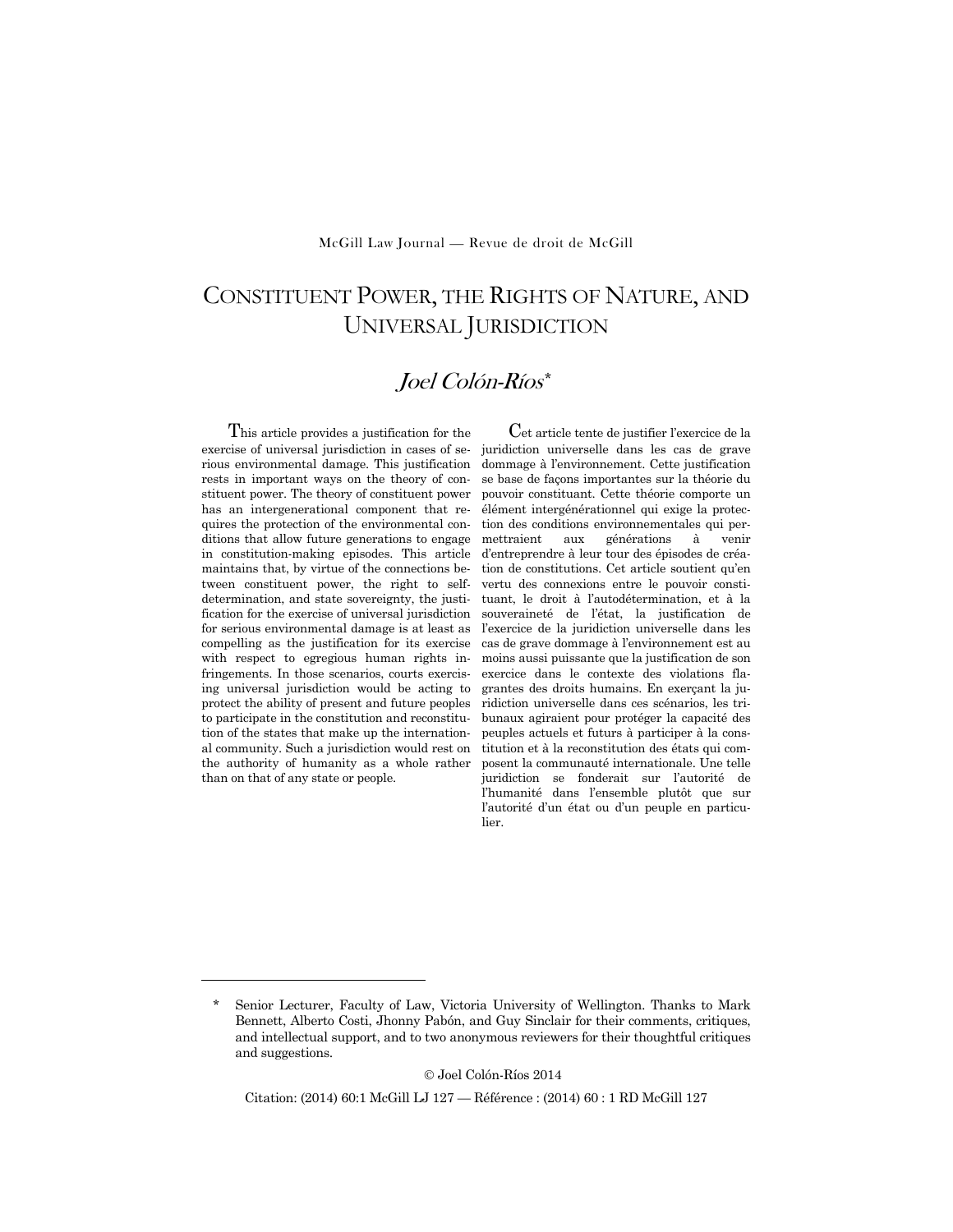## McGill Law Journal — Revue de droit de McGill

# CONSTITUENT POWER, THE RIGHTS OF NATURE, AND UNIVERSAL JURISDICTION

## Joel Colón-Ríos\*

This article provides a justification for the exercise of universal jurisdiction in cases of serious environmental damage. This justification rests in important ways on the theory of constituent power. The theory of constituent power has an intergenerational component that requires the protection of the environmental conditions that allow future generations to engage in constitution-making episodes. This article maintains that, by virtue of the connections between constituent power, the right to selfdetermination, and state sovereignty, the justification for the exercise of universal jurisdiction for serious environmental damage is at least as compelling as the justification for its exercise with respect to egregious human rights infringements. In those scenarios, courts exercising universal jurisdiction would be acting to protect the ability of present and future peoples to participate in the constitution and reconstitution of the states that make up the international community. Such a jurisdiction would rest on the authority of humanity as a whole rather than on that of any state or people.

-

Cet article tente de justifier l'exercice de la juridiction universelle dans les cas de grave dommage à l'environnement. Cette justification se base de façons importantes sur la théorie du pouvoir constituant. Cette théorie comporte un élément intergénérationnel qui exige la protection des conditions environnementales qui permettraient aux générations à venir d'entreprendre à leur tour des épisodes de création de constitutions. Cet article soutient qu'en vertu des connexions entre le pouvoir constituant, le droit à l'autodétermination, et à la souveraineté de l'état, la justification de l'exercice de la juridiction universelle dans les cas de grave dommage à l'environnement est au moins aussi puissante que la justification de son exercice dans le contexte des violations flagrantes des droits humains. En exerçant la juridiction universelle dans ces scénarios, les tribunaux agiraient pour protéger la capacité des peuples actuels et futurs à participer à la constitution et à la reconstitution des états qui composent la communauté internationale. Une telle juridiction se fonderait sur l'autorité de l'humanité dans l'ensemble plutôt que sur l'autorité d'un état ou d'un peuple en particulier.

Joel Colón-Ríos 2014

Citation: (2014) 60:1 McGill LJ 127 — Référence : (2014) 60 : 1 RD McGill 127

Senior Lecturer, Faculty of Law, Victoria University of Wellington. Thanks to Mark Bennett, Alberto Costi, Jhonny Pabón, and Guy Sinclair for their comments, critiques, and intellectual support, and to two anonymous reviewers for their thoughtful critiques and suggestions.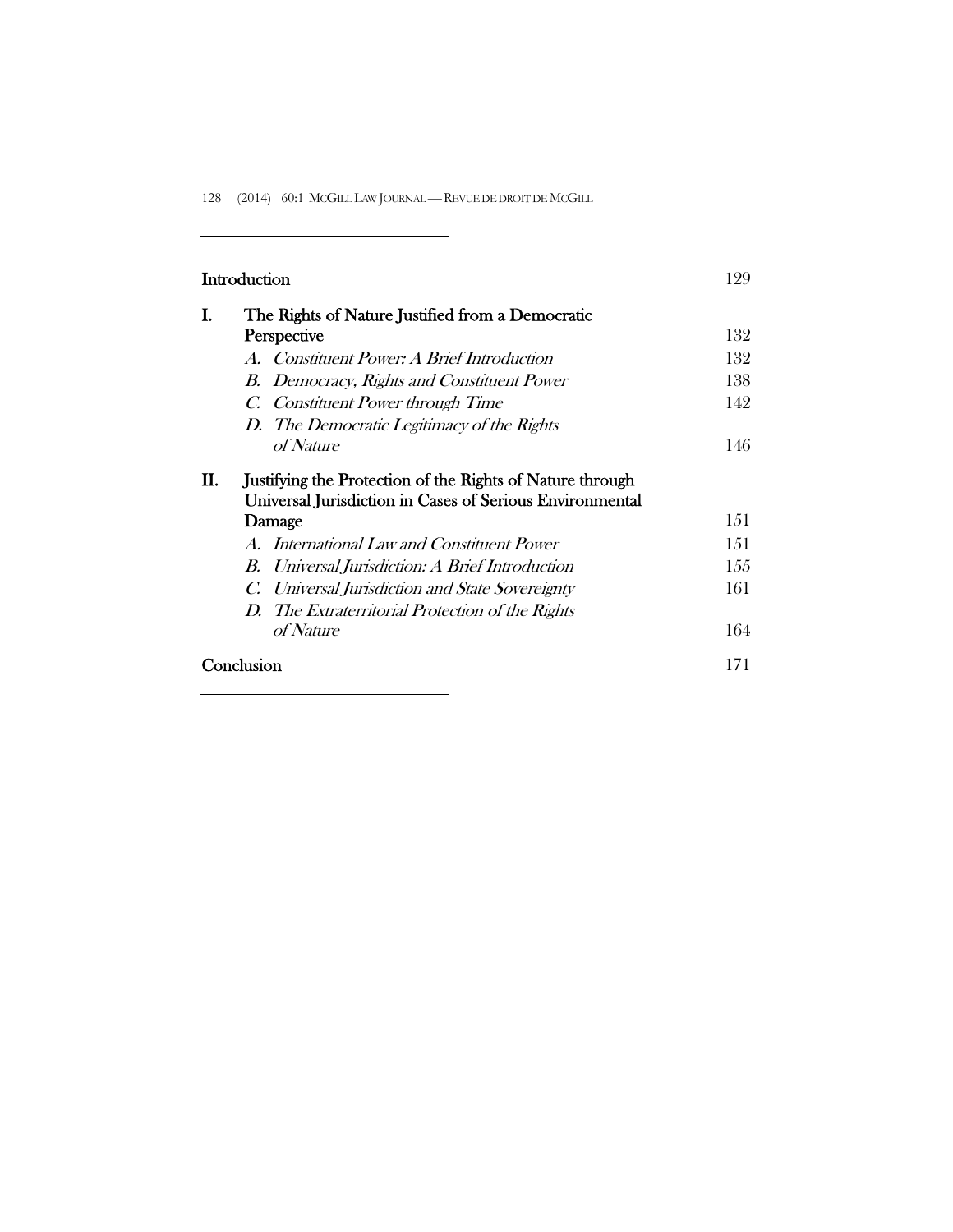| Introduction                                                                                                                          | 129 |
|---------------------------------------------------------------------------------------------------------------------------------------|-----|
| I.<br>The Rights of Nature Justified from a Democratic                                                                                |     |
| Perspective                                                                                                                           | 132 |
| A. Constituent Power: A Brief Introduction                                                                                            | 132 |
| B. Democracy, Rights and Constituent Power                                                                                            | 138 |
| C. Constituent Power through Time                                                                                                     | 142 |
| D. The Democratic Legitimacy of the Rights                                                                                            |     |
| <i>of Nature</i>                                                                                                                      | 146 |
| П.<br>Justifying the Protection of the Rights of Nature through<br>Universal Jurisdiction in Cases of Serious Environmental<br>Damage | 151 |
| A. International Law and Constituent Power                                                                                            | 151 |
| Universal Jurisdiction: A Brief Introduction<br>B.                                                                                    | 155 |
| Universal Jurisdiction and State Sovereignty<br>C.                                                                                    | 161 |
| D. The Extraterritorial Protection of the Rights                                                                                      |     |
| of Nature                                                                                                                             | 164 |
| Conclusion                                                                                                                            | 171 |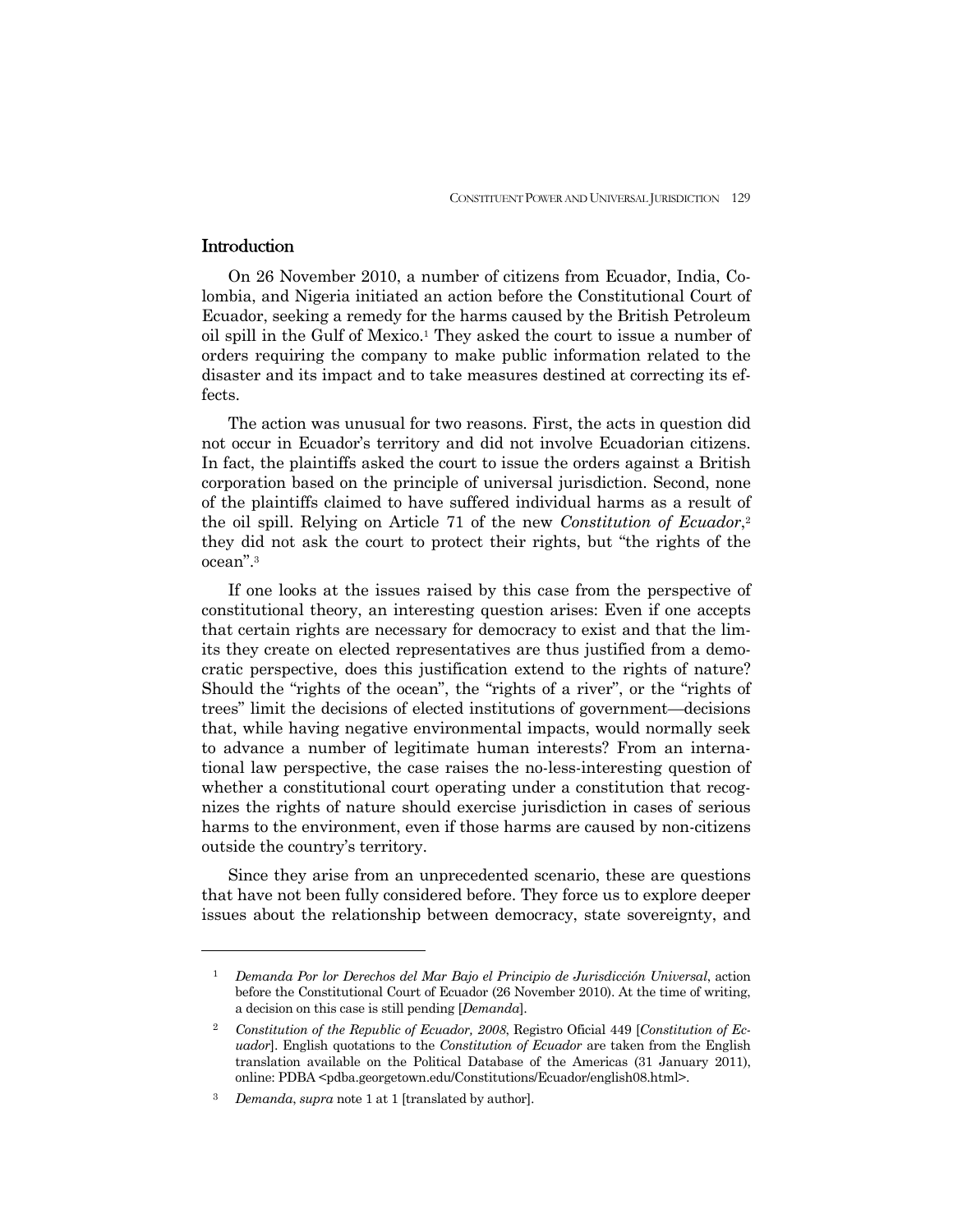## **Introduction**

-

 On 26 November 2010, a number of citizens from Ecuador, India, Colombia, and Nigeria initiated an action before the Constitutional Court of Ecuador, seeking a remedy for the harms caused by the British Petroleum oil spill in the Gulf of Mexico.1 They asked the court to issue a number of orders requiring the company to make public information related to the disaster and its impact and to take measures destined at correcting its effects.

 The action was unusual for two reasons. First, the acts in question did not occur in Ecuador's territory and did not involve Ecuadorian citizens. In fact, the plaintiffs asked the court to issue the orders against a British corporation based on the principle of universal jurisdiction. Second, none of the plaintiffs claimed to have suffered individual harms as a result of the oil spill. Relying on Article 71 of the new *Constitution of Ecuador*,2 they did not ask the court to protect their rights, but "the rights of the ocean".3

 If one looks at the issues raised by this case from the perspective of constitutional theory, an interesting question arises: Even if one accepts that certain rights are necessary for democracy to exist and that the limits they create on elected representatives are thus justified from a democratic perspective, does this justification extend to the rights of nature? Should the "rights of the ocean", the "rights of a river", or the "rights of trees" limit the decisions of elected institutions of government—decisions that, while having negative environmental impacts, would normally seek to advance a number of legitimate human interests? From an international law perspective, the case raises the no-less-interesting question of whether a constitutional court operating under a constitution that recognizes the rights of nature should exercise jurisdiction in cases of serious harms to the environment, even if those harms are caused by non-citizens outside the country's territory.

 Since they arise from an unprecedented scenario, these are questions that have not been fully considered before. They force us to explore deeper issues about the relationship between democracy, state sovereignty, and

<sup>1</sup> *Demanda Por lor Derechos del Mar Bajo el Principio de Jurisdicción Universal*, action before the Constitutional Court of Ecuador (26 November 2010). At the time of writing, a decision on this case is still pending [*Demanda*].

<sup>2</sup> *Constitution of the Republic of Ecuador, 2008*, Registro Oficial 449 [*Constitution of Ecuador*]. English quotations to the *Constitution of Ecuador* are taken from the English translation available on the Political Database of the Americas (31 January 2011), online: PDBA <pdba.georgetown.edu/Constitutions/Ecuador/english08.html>.

<sup>3</sup> *Demanda*, *supra* note 1 at 1 [translated by author].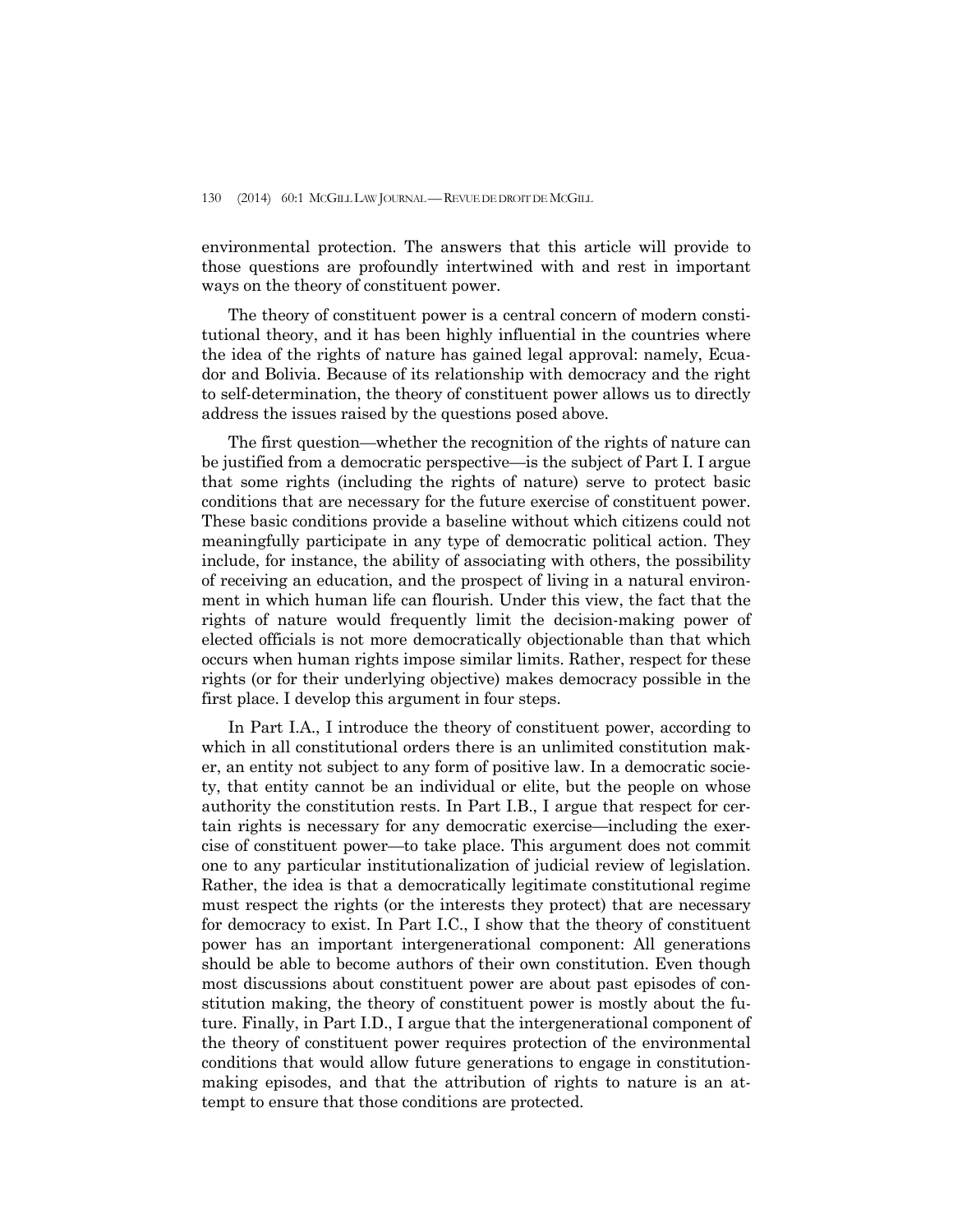environmental protection. The answers that this article will provide to those questions are profoundly intertwined with and rest in important ways on the theory of constituent power.

 The theory of constituent power is a central concern of modern constitutional theory, and it has been highly influential in the countries where the idea of the rights of nature has gained legal approval: namely, Ecuador and Bolivia. Because of its relationship with democracy and the right to self-determination, the theory of constituent power allows us to directly address the issues raised by the questions posed above.

 The first question—whether the recognition of the rights of nature can be justified from a democratic perspective—is the subject of Part I. I argue that some rights (including the rights of nature) serve to protect basic conditions that are necessary for the future exercise of constituent power. These basic conditions provide a baseline without which citizens could not meaningfully participate in any type of democratic political action. They include, for instance, the ability of associating with others, the possibility of receiving an education, and the prospect of living in a natural environment in which human life can flourish. Under this view, the fact that the rights of nature would frequently limit the decision-making power of elected officials is not more democratically objectionable than that which occurs when human rights impose similar limits. Rather, respect for these rights (or for their underlying objective) makes democracy possible in the first place. I develop this argument in four steps.

 In Part I.A., I introduce the theory of constituent power, according to which in all constitutional orders there is an unlimited constitution maker, an entity not subject to any form of positive law. In a democratic society, that entity cannot be an individual or elite, but the people on whose authority the constitution rests. In Part I.B., I argue that respect for certain rights is necessary for any democratic exercise—including the exercise of constituent power—to take place. This argument does not commit one to any particular institutionalization of judicial review of legislation. Rather, the idea is that a democratically legitimate constitutional regime must respect the rights (or the interests they protect) that are necessary for democracy to exist. In Part I.C., I show that the theory of constituent power has an important intergenerational component: All generations should be able to become authors of their own constitution. Even though most discussions about constituent power are about past episodes of constitution making, the theory of constituent power is mostly about the future. Finally, in Part I.D., I argue that the intergenerational component of the theory of constituent power requires protection of the environmental conditions that would allow future generations to engage in constitutionmaking episodes, and that the attribution of rights to nature is an attempt to ensure that those conditions are protected.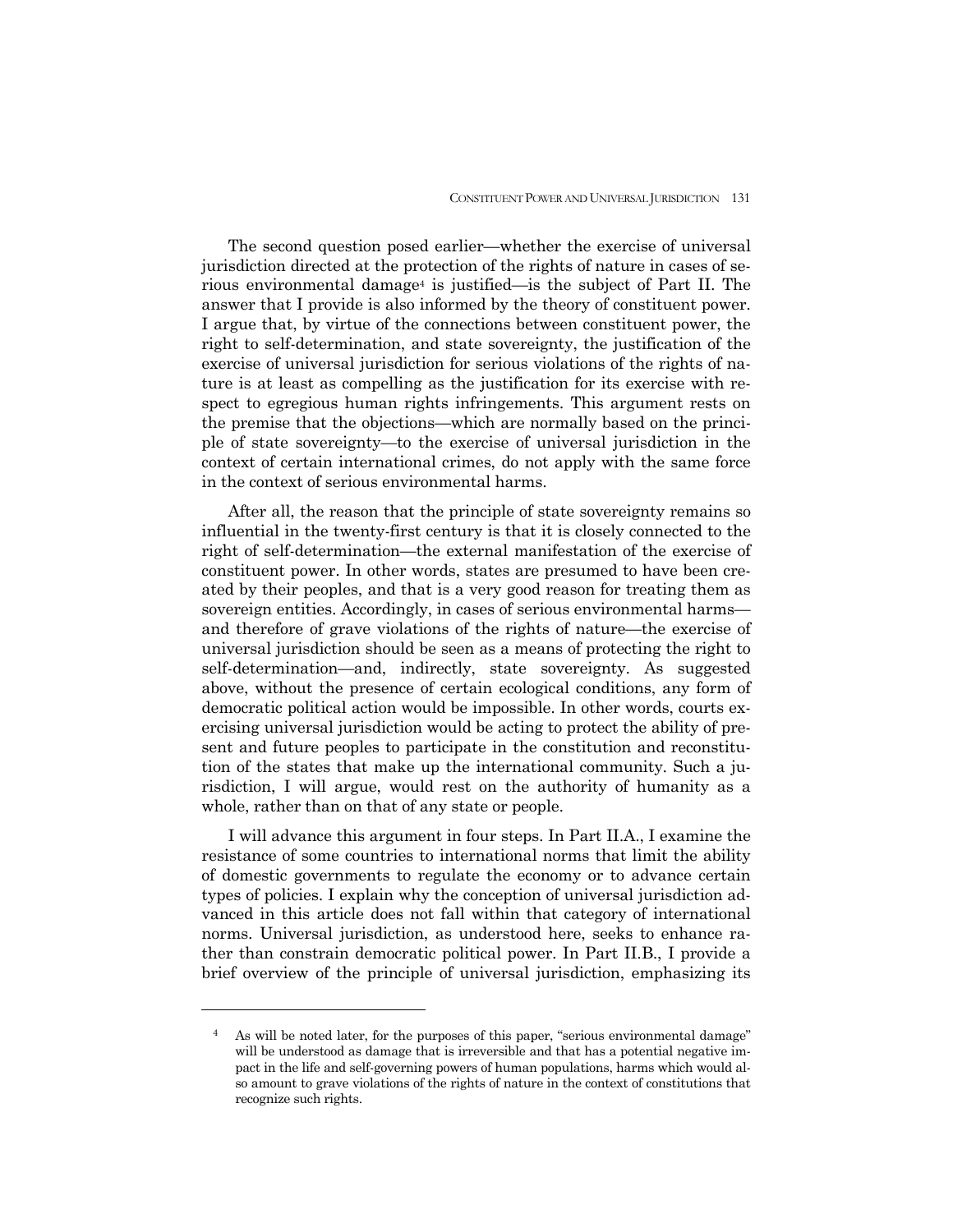The second question posed earlier—whether the exercise of universal jurisdiction directed at the protection of the rights of nature in cases of serious environmental damage4 is justified—is the subject of Part II. The answer that I provide is also informed by the theory of constituent power. I argue that, by virtue of the connections between constituent power, the right to self-determination, and state sovereignty, the justification of the exercise of universal jurisdiction for serious violations of the rights of nature is at least as compelling as the justification for its exercise with respect to egregious human rights infringements. This argument rests on the premise that the objections—which are normally based on the principle of state sovereignty—to the exercise of universal jurisdiction in the context of certain international crimes, do not apply with the same force in the context of serious environmental harms.

 After all, the reason that the principle of state sovereignty remains so influential in the twenty-first century is that it is closely connected to the right of self-determination—the external manifestation of the exercise of constituent power. In other words, states are presumed to have been created by their peoples, and that is a very good reason for treating them as sovereign entities. Accordingly, in cases of serious environmental harms and therefore of grave violations of the rights of nature—the exercise of universal jurisdiction should be seen as a means of protecting the right to self-determination—and, indirectly, state sovereignty. As suggested above, without the presence of certain ecological conditions, any form of democratic political action would be impossible. In other words, courts exercising universal jurisdiction would be acting to protect the ability of present and future peoples to participate in the constitution and reconstitution of the states that make up the international community. Such a jurisdiction, I will argue, would rest on the authority of humanity as a whole, rather than on that of any state or people.

 I will advance this argument in four steps. In Part II.A., I examine the resistance of some countries to international norms that limit the ability of domestic governments to regulate the economy or to advance certain types of policies. I explain why the conception of universal jurisdiction advanced in this article does not fall within that category of international norms. Universal jurisdiction, as understood here, seeks to enhance rather than constrain democratic political power. In Part II.B., I provide a brief overview of the principle of universal jurisdiction, emphasizing its

<sup>4</sup> As will be noted later, for the purposes of this paper, "serious environmental damage" will be understood as damage that is irreversible and that has a potential negative impact in the life and self-governing powers of human populations, harms which would also amount to grave violations of the rights of nature in the context of constitutions that recognize such rights.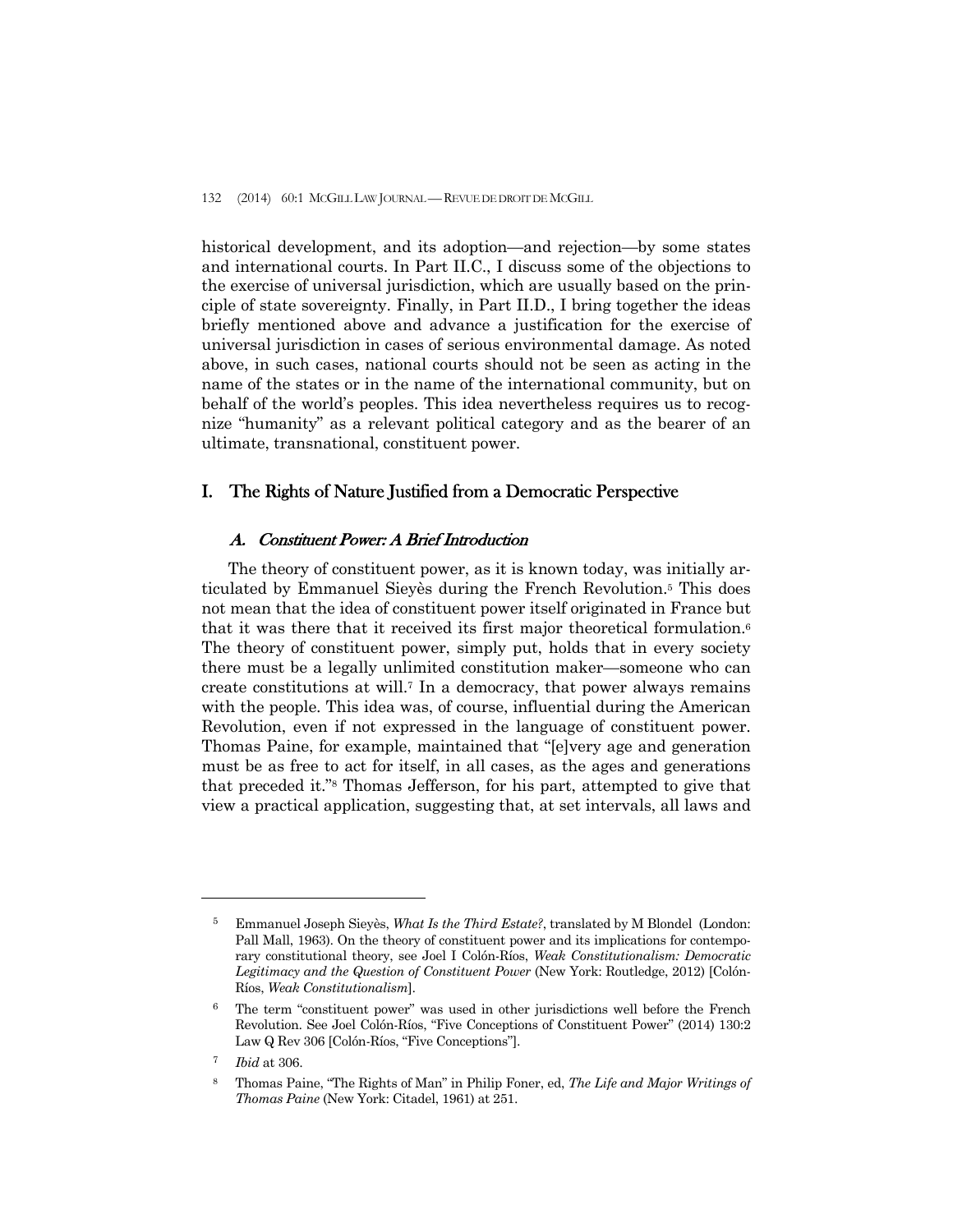historical development, and its adoption—and rejection—by some states and international courts. In Part II.C., I discuss some of the objections to the exercise of universal jurisdiction, which are usually based on the principle of state sovereignty. Finally, in Part II.D., I bring together the ideas briefly mentioned above and advance a justification for the exercise of universal jurisdiction in cases of serious environmental damage. As noted above, in such cases, national courts should not be seen as acting in the name of the states or in the name of the international community, but on behalf of the world's peoples. This idea nevertheless requires us to recognize "humanity" as a relevant political category and as the bearer of an ultimate, transnational, constituent power.

## I. The Rights of Nature Justified from a Democratic Perspective

## A. Constituent Power: A Brief Introduction

 The theory of constituent power, as it is known today, was initially articulated by Emmanuel Sieyès during the French Revolution.5 This does not mean that the idea of constituent power itself originated in France but that it was there that it received its first major theoretical formulation.6 The theory of constituent power, simply put, holds that in every society there must be a legally unlimited constitution maker—someone who can create constitutions at will.7 In a democracy, that power always remains with the people. This idea was, of course, influential during the American Revolution, even if not expressed in the language of constituent power. Thomas Paine, for example, maintained that "[e]very age and generation must be as free to act for itself, in all cases, as the ages and generations that preceded it."8 Thomas Jefferson, for his part, attempted to give that view a practical application, suggesting that, at set intervals, all laws and

<sup>5</sup> Emmanuel Joseph Sieyès, *What Is the Third Estate?*, translated by M Blondel (London: Pall Mall, 1963). On the theory of constituent power and its implications for contemporary constitutional theory, see Joel I Colón-Ríos, *Weak Constitutionalism: Democratic Legitimacy and the Question of Constituent Power* (New York: Routledge, 2012) [Colón-Ríos, *Weak Constitutionalism*].

<sup>6</sup> The term "constituent power" was used in other jurisdictions well before the French Revolution. See Joel Colón-Ríos, "Five Conceptions of Constituent Power" (2014) 130:2 Law Q Rev 306 [Colón-Ríos, "Five Conceptions"].

<sup>7</sup> *Ibid* at 306.

<sup>8</sup> Thomas Paine, "The Rights of Man" in Philip Foner, ed, *The Life and Major Writings of Thomas Paine* (New York: Citadel, 1961) at 251.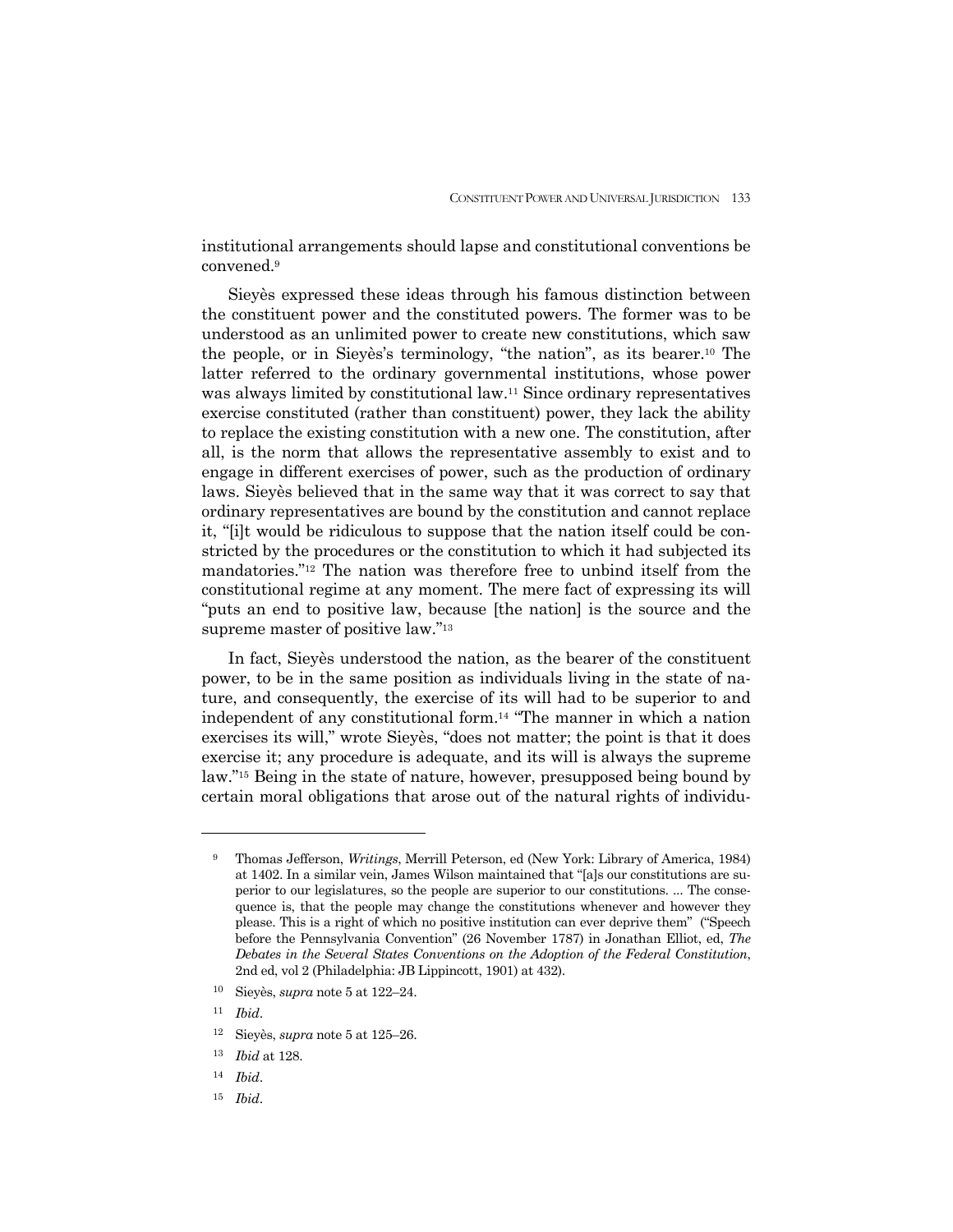institutional arrangements should lapse and constitutional conventions be convened.9

 Sieyès expressed these ideas through his famous distinction between the constituent power and the constituted powers. The former was to be understood as an unlimited power to create new constitutions, which saw the people, or in Sieyès's terminology, "the nation", as its bearer.10 The latter referred to the ordinary governmental institutions, whose power was always limited by constitutional law.11 Since ordinary representatives exercise constituted (rather than constituent) power, they lack the ability to replace the existing constitution with a new one. The constitution, after all, is the norm that allows the representative assembly to exist and to engage in different exercises of power, such as the production of ordinary laws. Sieyès believed that in the same way that it was correct to say that ordinary representatives are bound by the constitution and cannot replace it, "[i]t would be ridiculous to suppose that the nation itself could be constricted by the procedures or the constitution to which it had subjected its mandatories."12 The nation was therefore free to unbind itself from the constitutional regime at any moment. The mere fact of expressing its will "puts an end to positive law, because [the nation] is the source and the supreme master of positive law."13

 In fact, Sieyès understood the nation, as the bearer of the constituent power, to be in the same position as individuals living in the state of nature, and consequently, the exercise of its will had to be superior to and independent of any constitutional form.14 "The manner in which a nation exercises its will," wrote Sieyès, "does not matter; the point is that it does exercise it; any procedure is adequate, and its will is always the supreme law."15 Being in the state of nature, however, presupposed being bound by certain moral obligations that arose out of the natural rights of individu-

-

15 *Ibid*.

<sup>9</sup> Thomas Jefferson, *Writings*, Merrill Peterson, ed (New York: Library of America, 1984) at 1402. In a similar vein, James Wilson maintained that "[a]s our constitutions are superior to our legislatures, so the people are superior to our constitutions. ... The consequence is, that the people may change the constitutions whenever and however they please. This is a right of which no positive institution can ever deprive them" ("Speech before the Pennsylvania Convention" (26 November 1787) in Jonathan Elliot, ed, *The Debates in the Several States Conventions on the Adoption of the Federal Constitution*, 2nd ed, vol 2 (Philadelphia: JB Lippincott, 1901) at 432).

<sup>10</sup> Sieyès, *supra* note 5 at 122–24.

<sup>11</sup> *Ibid*.

<sup>12</sup> Sieyès, *supra* note 5 at 125–26.

<sup>13</sup> *Ibid* at 128.

<sup>14</sup> *Ibid*.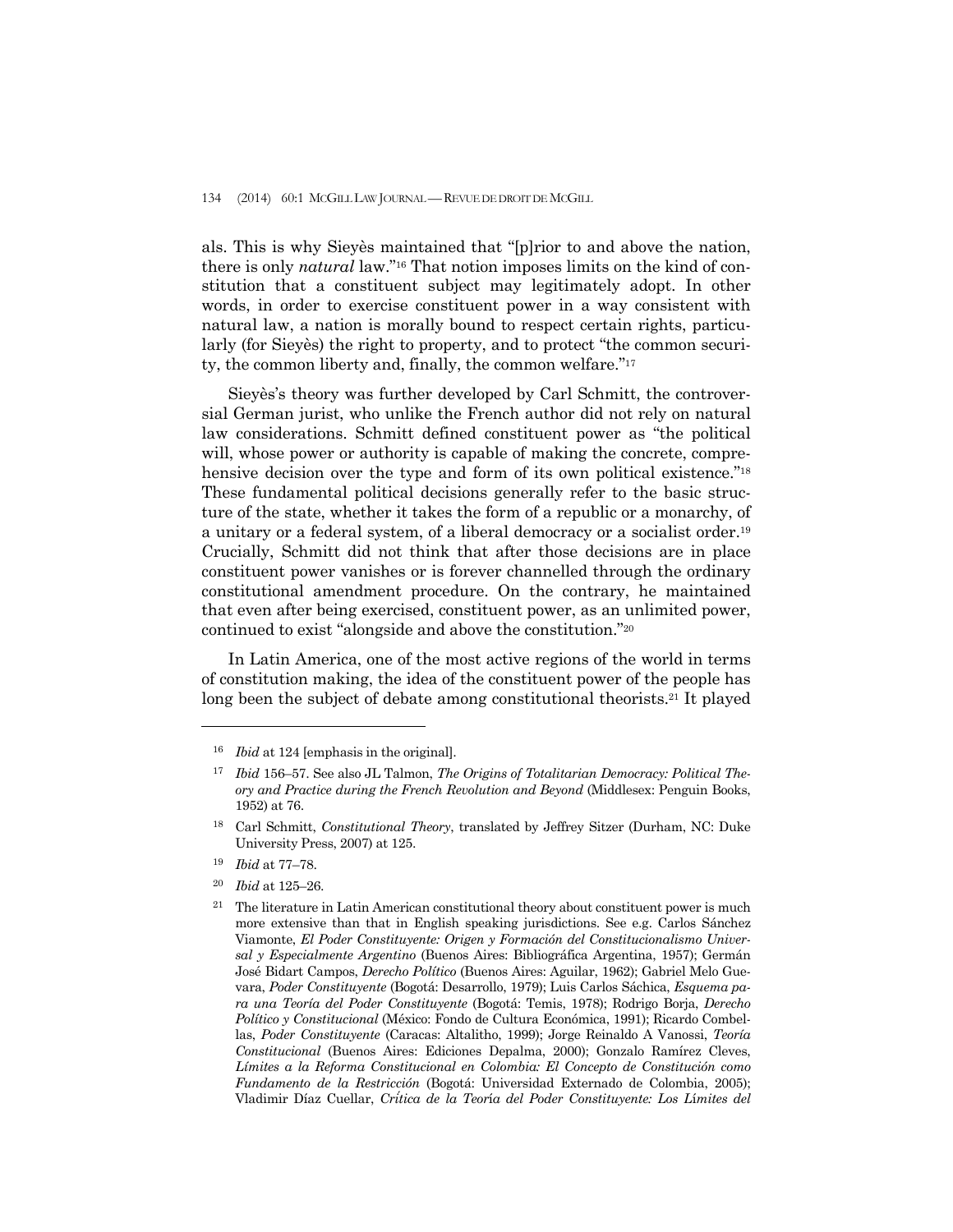als. This is why Sieyès maintained that "[p]rior to and above the nation, there is only *natural* law."16 That notion imposes limits on the kind of constitution that a constituent subject may legitimately adopt. In other words, in order to exercise constituent power in a way consistent with natural law, a nation is morally bound to respect certain rights, particularly (for Sieyès) the right to property, and to protect "the common security, the common liberty and, finally, the common welfare."17

 Sieyès's theory was further developed by Carl Schmitt, the controversial German jurist, who unlike the French author did not rely on natural law considerations. Schmitt defined constituent power as "the political will, whose power or authority is capable of making the concrete, comprehensive decision over the type and form of its own political existence."<sup>18</sup> These fundamental political decisions generally refer to the basic structure of the state, whether it takes the form of a republic or a monarchy, of a unitary or a federal system, of a liberal democracy or a socialist order.19 Crucially, Schmitt did not think that after those decisions are in place constituent power vanishes or is forever channelled through the ordinary constitutional amendment procedure. On the contrary, he maintained that even after being exercised, constituent power, as an unlimited power, continued to exist "alongside and above the constitution."20

 In Latin America, one of the most active regions of the world in terms of constitution making, the idea of the constituent power of the people has long been the subject of debate among constitutional theorists.<sup>21</sup> It played

<sup>19</sup> *Ibid* at 77–78.

-

<sup>20</sup> *Ibid* at 125–26.

<sup>16</sup> *Ibid* at 124 [emphasis in the original].

<sup>17</sup> *Ibid* 156–57. See also JL Talmon, *The Origins of Totalitarian Democracy: Political Theory and Practice during the French Revolution and Beyond* (Middlesex: Penguin Books, 1952) at 76.

<sup>18</sup> Carl Schmitt, *Constitutional Theory*, translated by Jeffrey Sitzer (Durham, NC: Duke University Press, 2007) at 125.

<sup>&</sup>lt;sup>21</sup> The literature in Latin American constitutional theory about constituent power is much more extensive than that in English speaking jurisdictions. See e.g. Carlos Sánchez Viamonte, *El Poder Constituyente: Origen y Formación del Constitucionalismo Universal y Especialmente Argentino* (Buenos Aires: Bibliográfica Argentina, 1957); Germán José Bidart Campos, *Derecho Político* (Buenos Aires: Aguilar, 1962); Gabriel Melo Guevara, *Poder Constituyente* (Bogotá: Desarrollo, 1979); Luis Carlos Sáchica, *Esquema para una Teoría del Poder Constituyente* (Bogotá: Temis, 1978); Rodrigo Borja, *Derecho Político y Constitucional* (México: Fondo de Cultura Económica, 1991); Ricardo Combellas, *Poder Constituyente* (Caracas: Altalitho, 1999); Jorge Reinaldo A Vanossi, *Teoría Constitucional* (Buenos Aires: Ediciones Depalma, 2000); Gonzalo Ramírez Cleves, *Límites a la Reforma Constitucional en Colombia: El Concepto de Constitución como Fundamento de la Restricción* (Bogotá: Universidad Externado de Colombia, 2005); Vladimir Díaz Cuellar, *Crítica de la Teor*í*a del Poder Constituyente: Los L*í*mites del*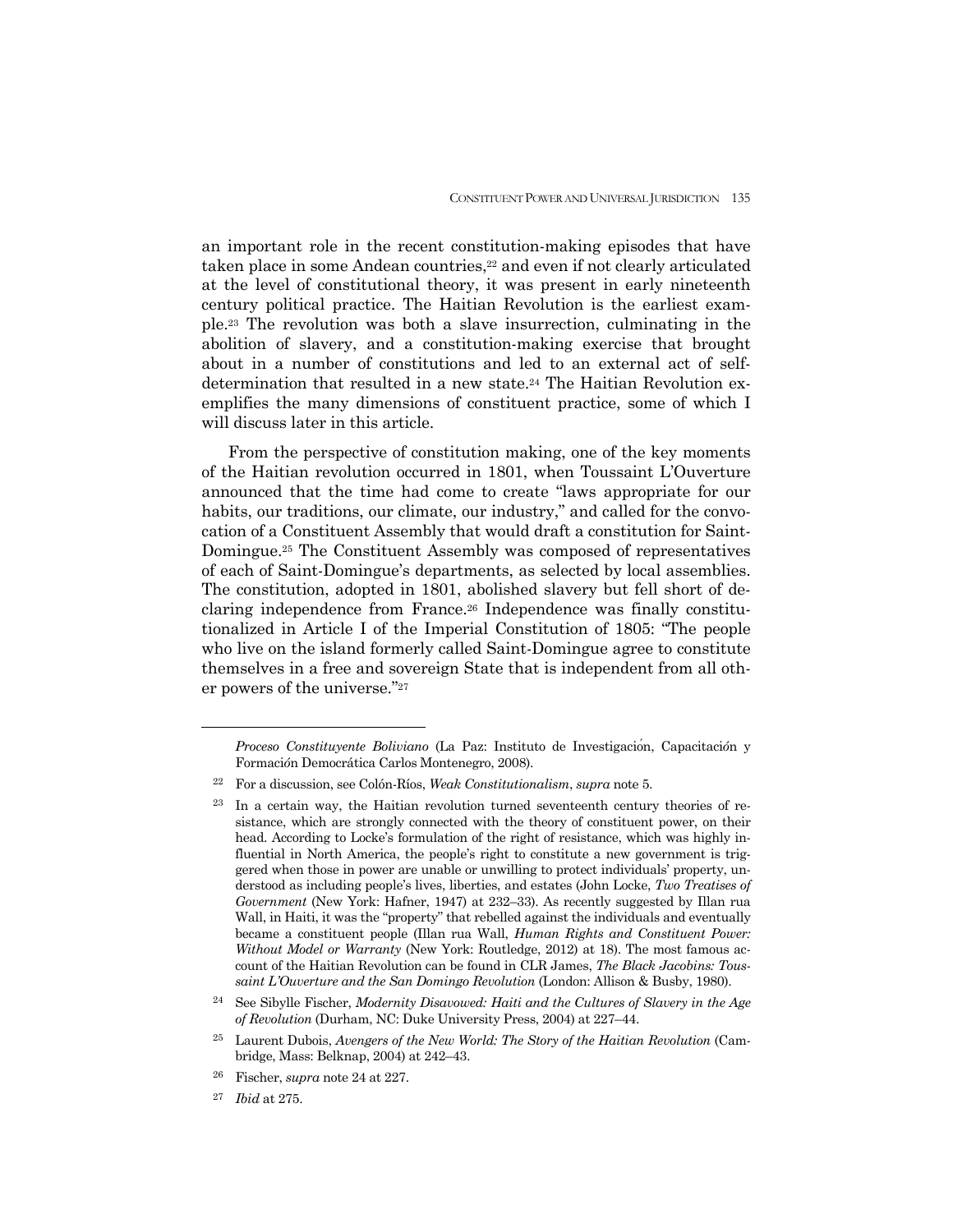an important role in the recent constitution-making episodes that have taken place in some Andean countries,<sup>22</sup> and even if not clearly articulated at the level of constitutional theory, it was present in early nineteenth century political practice. The Haitian Revolution is the earliest example.23 The revolution was both a slave insurrection, culminating in the abolition of slavery, and a constitution-making exercise that brought about in a number of constitutions and led to an external act of selfdetermination that resulted in a new state.24 The Haitian Revolution exemplifies the many dimensions of constituent practice, some of which I will discuss later in this article.

 From the perspective of constitution making, one of the key moments of the Haitian revolution occurred in 1801, when Toussaint L'Ouverture announced that the time had come to create "laws appropriate for our habits, our traditions, our climate, our industry," and called for the convocation of a Constituent Assembly that would draft a constitution for Saint-Domingue.25 The Constituent Assembly was composed of representatives of each of Saint-Domingue's departments, as selected by local assemblies. The constitution, adopted in 1801, abolished slavery but fell short of declaring independence from France.26 Independence was finally constitutionalized in Article I of the Imperial Constitution of 1805: "The people who live on the island formerly called Saint-Domingue agree to constitute themselves in a free and sovereign State that is independent from all other powers of the universe."27

*Proceso Constituyente Boliviano* (La Paz: Instituto de Investigación, Capacitaci*ó*n y Formaci*ó*n Democrática Carlos Montenegro, 2008).

<sup>22</sup> For a discussion, see Colón-Ríos, *Weak Constitutionalism*, *supra* note 5.

<sup>&</sup>lt;sup>23</sup> In a certain way, the Haitian revolution turned seventeenth century theories of resistance, which are strongly connected with the theory of constituent power, on their head. According to Locke's formulation of the right of resistance, which was highly influential in North America, the people's right to constitute a new government is triggered when those in power are unable or unwilling to protect individuals' property, understood as including people's lives, liberties, and estates (John Locke, *Two Treatises of Government* (New York: Hafner, 1947) at 232–33). As recently suggested by Illan rua Wall, in Haiti, it was the "property" that rebelled against the individuals and eventually became a constituent people (Illan rua Wall, *Human Rights and Constituent Power: Without Model or Warranty* (New York: Routledge, 2012) at 18). The most famous account of the Haitian Revolution can be found in CLR James, *The Black Jacobins: Toussaint L'Ouverture and the San Domingo Revolution* (London: Allison & Busby, 1980).

<sup>24</sup> See Sibylle Fischer, *Modernity Disavowed: Haiti and the Cultures of Slavery in the Age of Revolution* (Durham, NC: Duke University Press, 2004) at 227–44.

<sup>25</sup> Laurent Dubois, *Avengers of the New World: The Story of the Haitian Revolution* (Cambridge, Mass: Belknap, 2004) at 242–43.

<sup>26</sup> Fischer, *supra* note 24 at 227.

<sup>27</sup> *Ibid* at 275.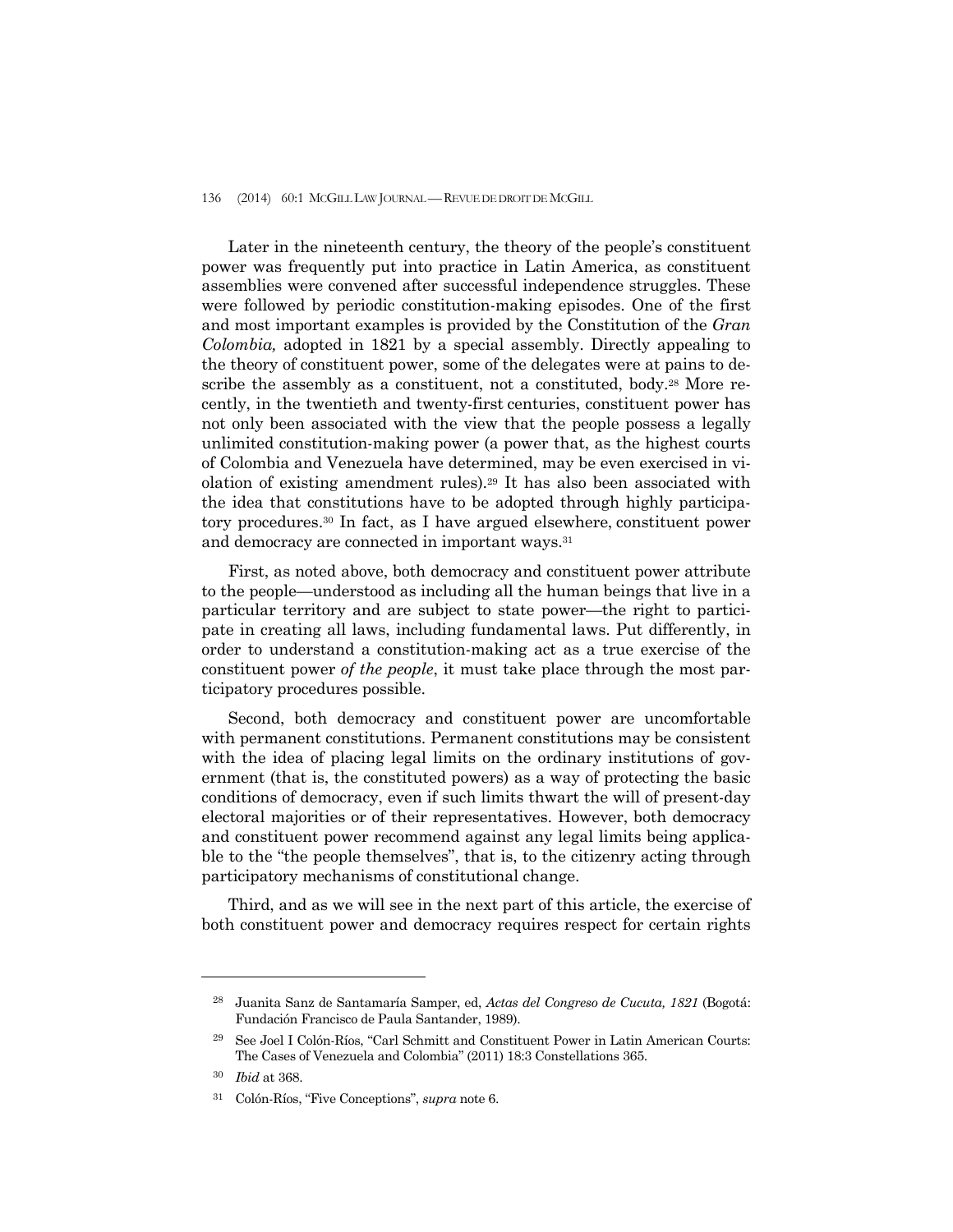Later in the nineteenth century, the theory of the people's constituent power was frequently put into practice in Latin America, as constituent assemblies were convened after successful independence struggles. These were followed by periodic constitution-making episodes. One of the first and most important examples is provided by the Constitution of the *Gran Colombia,* adopted in 1821 by a special assembly. Directly appealing to the theory of constituent power, some of the delegates were at pains to describe the assembly as a constituent, not a constituted, body.<sup>28</sup> More recently, in the twentieth and twenty-first centuries, constituent power has not only been associated with the view that the people possess a legally unlimited constitution-making power (a power that, as the highest courts of Colombia and Venezuela have determined, may be even exercised in violation of existing amendment rules).29 It has also been associated with the idea that constitutions have to be adopted through highly participatory procedures.30 In fact, as I have argued elsewhere, constituent power and democracy are connected in important ways.31

 First, as noted above, both democracy and constituent power attribute to the people—understood as including all the human beings that live in a particular territory and are subject to state power—the right to participate in creating all laws, including fundamental laws. Put differently, in order to understand a constitution-making act as a true exercise of the constituent power *of the people*, it must take place through the most participatory procedures possible.

 Second, both democracy and constituent power are uncomfortable with permanent constitutions. Permanent constitutions may be consistent with the idea of placing legal limits on the ordinary institutions of government (that is, the constituted powers) as a way of protecting the basic conditions of democracy, even if such limits thwart the will of present-day electoral majorities or of their representatives. However, both democracy and constituent power recommend against any legal limits being applicable to the "the people themselves", that is, to the citizenry acting through participatory mechanisms of constitutional change.

 Third, and as we will see in the next part of this article, the exercise of both constituent power and democracy requires respect for certain rights

<sup>28</sup> Juanita Sanz de Santamaría Samper, ed, *Actas del Congreso de Cucuta, 1821* (Bogotá: Fundación Francisco de Paula Santander, 1989).

<sup>29</sup> See Joel I Colón-Ríos, "Carl Schmitt and Constituent Power in Latin American Courts: The Cases of Venezuela and Colombia" (2011) 18:3 Constellations 365.

<sup>30</sup> *Ibid* at 368.

<sup>31</sup> Colón-Ríos, "Five Conceptions", *supra* note 6.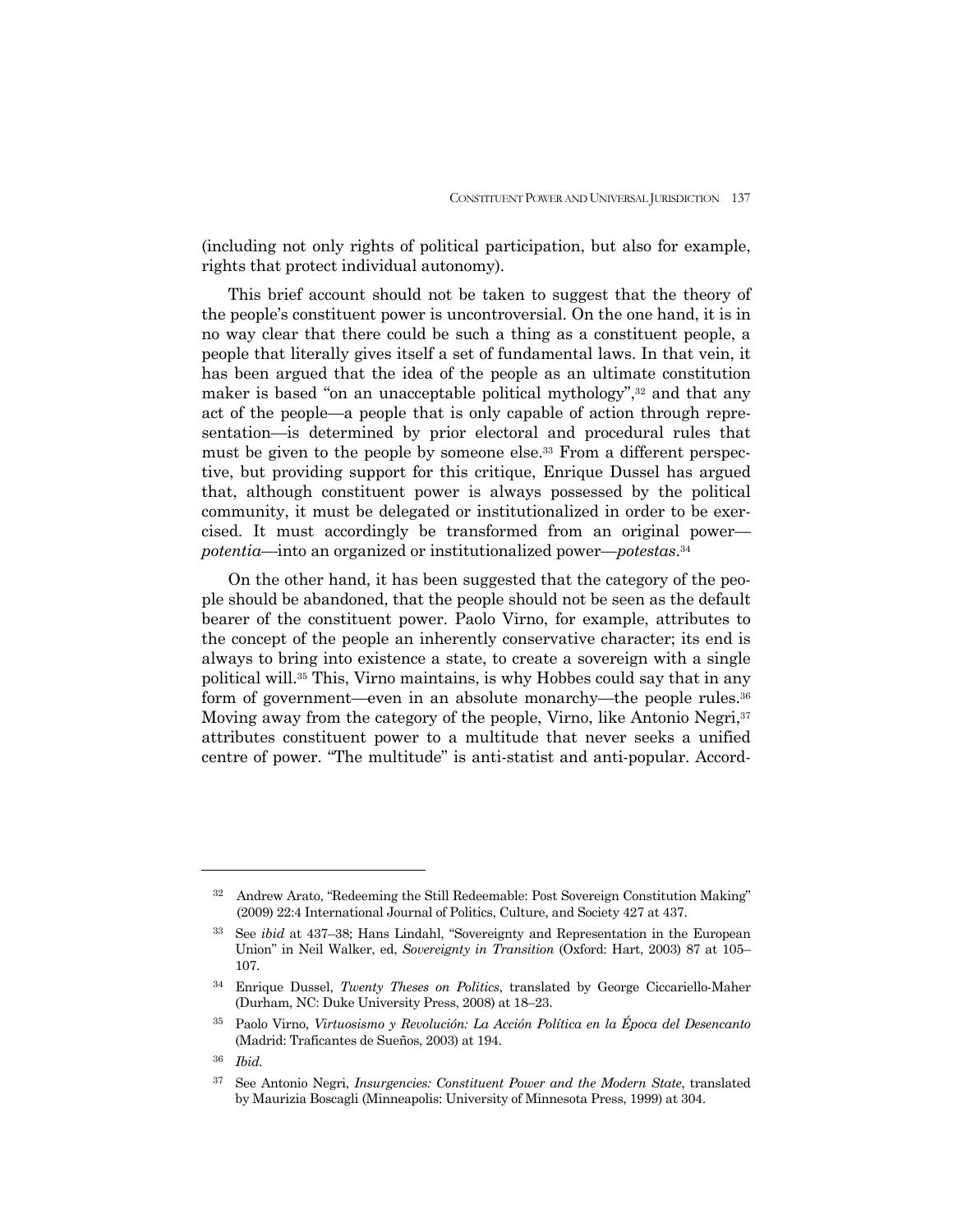(including not only rights of political participation, but also for example, rights that protect individual autonomy).

 This brief account should not be taken to suggest that the theory of the people's constituent power is uncontroversial. On the one hand, it is in no way clear that there could be such a thing as a constituent people, a people that literally gives itself a set of fundamental laws. In that vein, it has been argued that the idea of the people as an ultimate constitution maker is based "on an unacceptable political mythology",<sup>32</sup> and that any act of the people—a people that is only capable of action through representation—is determined by prior electoral and procedural rules that must be given to the people by someone else.33 From a different perspective, but providing support for this critique, Enrique Dussel has argued that, although constituent power is always possessed by the political community, it must be delegated or institutionalized in order to be exercised. It must accordingly be transformed from an original power *potentia*—into an organized or institutionalized power—*potestas*.34

 On the other hand, it has been suggested that the category of the people should be abandoned, that the people should not be seen as the default bearer of the constituent power. Paolo Virno, for example, attributes to the concept of the people an inherently conservative character; its end is always to bring into existence a state, to create a sovereign with a single political will.35 This, Virno maintains, is why Hobbes could say that in any form of government—even in an absolute monarchy—the people rules.36 Moving away from the category of the people, Virno, like Antonio Negri,<sup>37</sup> attributes constituent power to a multitude that never seeks a unified centre of power. "The multitude" is anti-statist and anti-popular. Accord-

<sup>32</sup> Andrew Arato, "Redeeming the Still Redeemable: Post Sovereign Constitution Making" (2009) 22:4 International Journal of Politics, Culture, and Society 427 at 437.

<sup>33</sup> See *ibid* at 437–38; Hans Lindahl, "Sovereignty and Representation in the European Union" in Neil Walker, ed, *Sovereignty in Transition* (Oxford: Hart, 2003) 87 at 105– 107.

<sup>34</sup> Enrique Dussel, *Twenty Theses on Politics*, translated by George Ciccariello-Maher (Durham, NC: Duke University Press, 2008) at 18–23.

<sup>35</sup> Paolo Virno, *Virtuosismo y Revolución: La Acción Política en la Época del Desencanto* (Madrid: Traficantes de Sueños, 2003) at 194.

<sup>36</sup> *Ibid.* 

<sup>37</sup> See Antonio Negri, *Insurgencies: Constituent Power and the Modern State*, translated by Maurizia Boscagli (Minneapolis: University of Minnesota Press, 1999) at 304.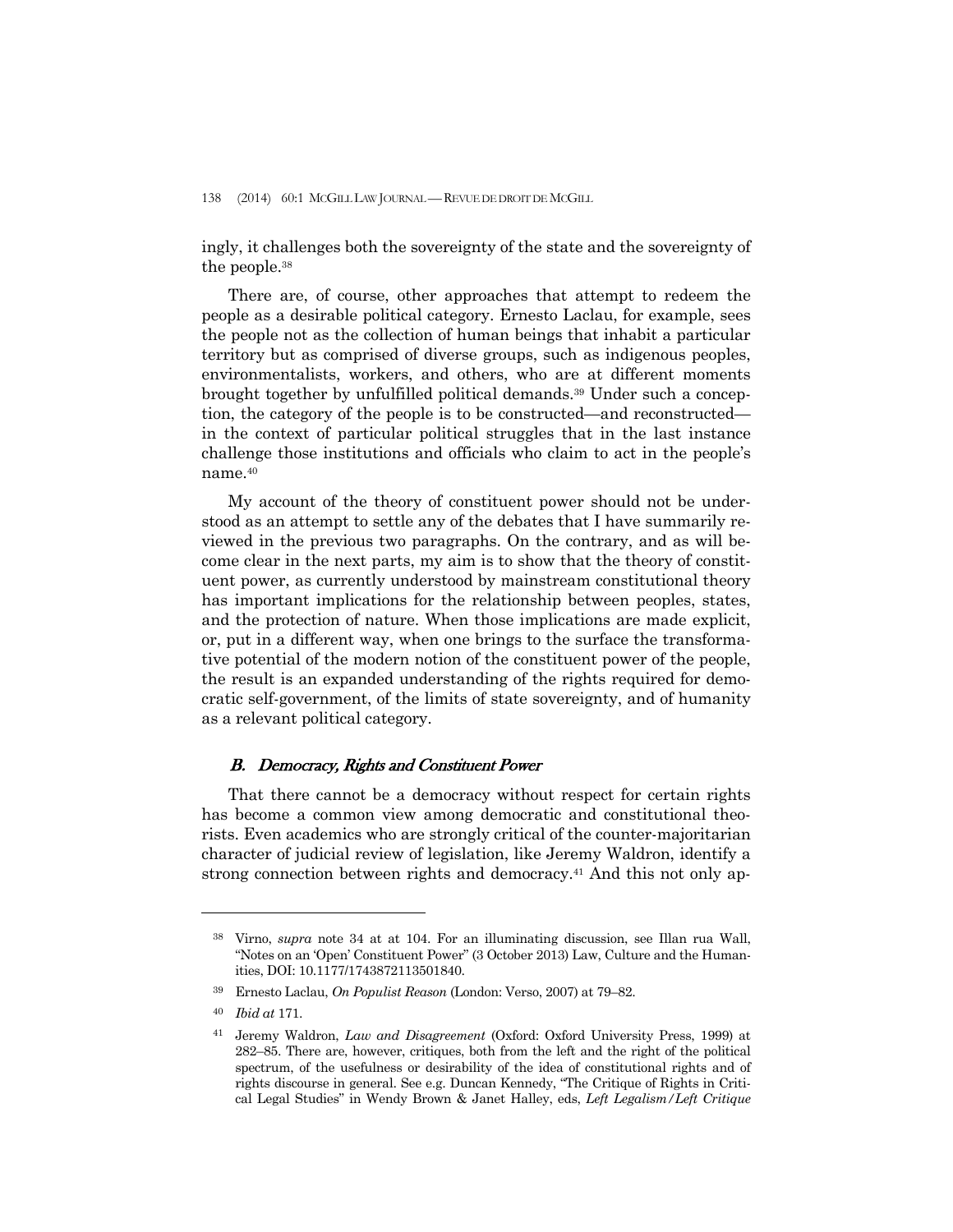ingly, it challenges both the sovereignty of the state and the sovereignty of the people.38

 There are, of course, other approaches that attempt to redeem the people as a desirable political category. Ernesto Laclau, for example, sees the people not as the collection of human beings that inhabit a particular territory but as comprised of diverse groups, such as indigenous peoples, environmentalists, workers, and others, who are at different moments brought together by unfulfilled political demands.39 Under such a conception, the category of the people is to be constructed—and reconstructed in the context of particular political struggles that in the last instance challenge those institutions and officials who claim to act in the people's name.40

 My account of the theory of constituent power should not be understood as an attempt to settle any of the debates that I have summarily reviewed in the previous two paragraphs. On the contrary, and as will become clear in the next parts, my aim is to show that the theory of constituent power, as currently understood by mainstream constitutional theory has important implications for the relationship between peoples, states, and the protection of nature. When those implications are made explicit, or, put in a different way, when one brings to the surface the transformative potential of the modern notion of the constituent power of the people, the result is an expanded understanding of the rights required for democratic self-government, of the limits of state sovereignty, and of humanity as a relevant political category.

## B. Democracy, Rights and Constituent Power

 That there cannot be a democracy without respect for certain rights has become a common view among democratic and constitutional theorists. Even academics who are strongly critical of the counter-majoritarian character of judicial review of legislation, like Jeremy Waldron, identify a strong connection between rights and democracy.41 And this not only ap-

<sup>38</sup> Virno, *supra* note 34 at at 104. For an illuminating discussion, see Illan rua Wall, "Notes on an 'Open' Constituent Power" (3 October 2013) Law, Culture and the Humanities, DOI: 10.1177/1743872113501840.

<sup>39</sup> Ernesto Laclau, *On Populist Reason* (London: Verso, 2007) at 79–82.

<sup>40</sup> *Ibid at* 171.

<sup>41</sup>Jeremy Waldron, *Law and Disagreement* (Oxford: Oxford University Press, 1999) at 282–85. There are, however, critiques, both from the left and the right of the political spectrum, of the usefulness or desirability of the idea of constitutional rights and of rights discourse in general. See e.g. Duncan Kennedy, "The Critique of Rights in Critical Legal Studies" in Wendy Brown & Janet Halley, eds, *Left Legalism/Left Critique*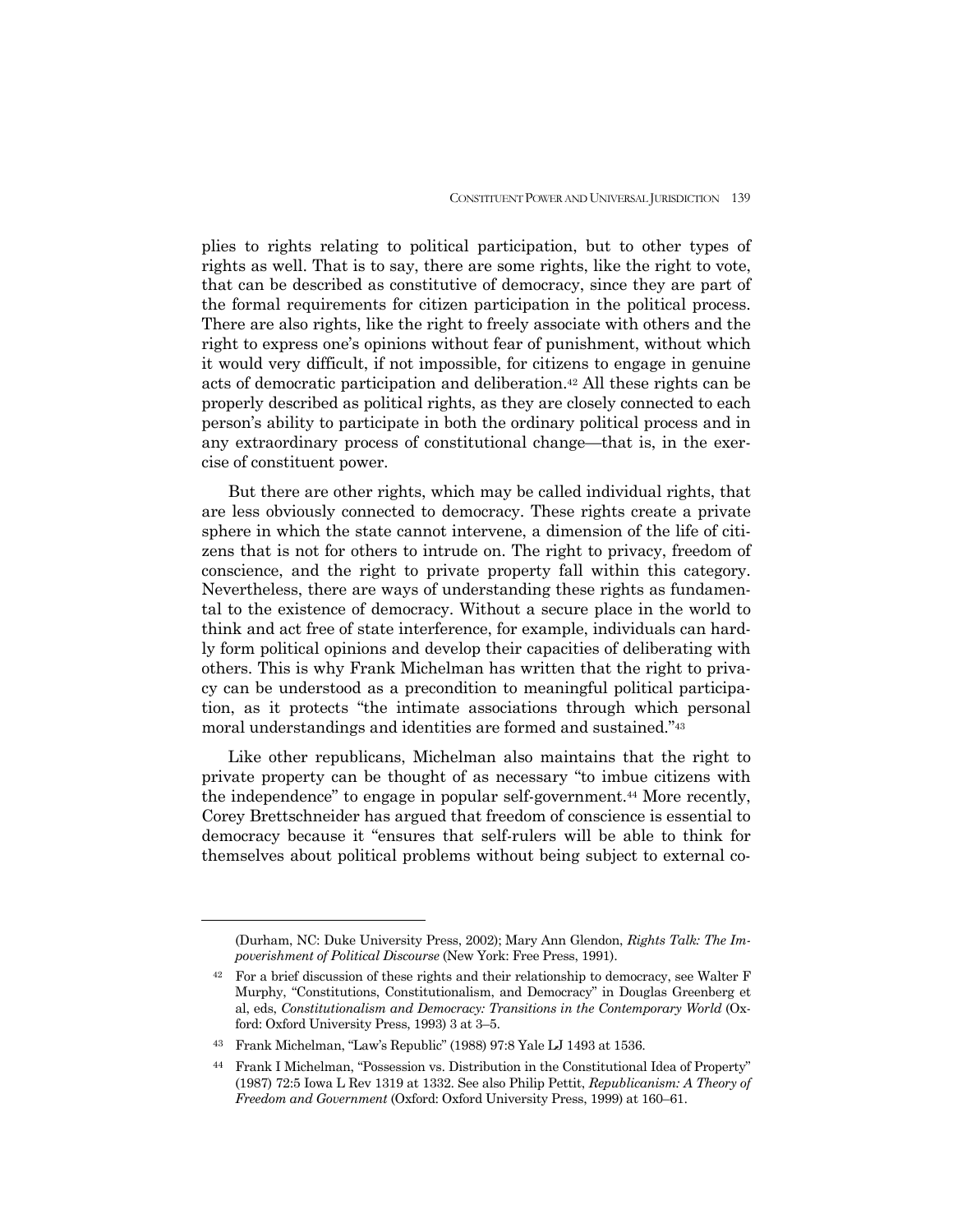plies to rights relating to political participation, but to other types of rights as well. That is to say, there are some rights, like the right to vote, that can be described as constitutive of democracy, since they are part of the formal requirements for citizen participation in the political process. There are also rights, like the right to freely associate with others and the right to express one's opinions without fear of punishment, without which it would very difficult, if not impossible, for citizens to engage in genuine acts of democratic participation and deliberation.42 All these rights can be properly described as political rights, as they are closely connected to each person's ability to participate in both the ordinary political process and in any extraordinary process of constitutional change—that is, in the exercise of constituent power.

 But there are other rights, which may be called individual rights, that are less obviously connected to democracy. These rights create a private sphere in which the state cannot intervene, a dimension of the life of citizens that is not for others to intrude on. The right to privacy, freedom of conscience, and the right to private property fall within this category. Nevertheless, there are ways of understanding these rights as fundamental to the existence of democracy. Without a secure place in the world to think and act free of state interference, for example, individuals can hardly form political opinions and develop their capacities of deliberating with others. This is why Frank Michelman has written that the right to privacy can be understood as a precondition to meaningful political participation, as it protects "the intimate associations through which personal moral understandings and identities are formed and sustained."43

 Like other republicans, Michelman also maintains that the right to private property can be thought of as necessary "to imbue citizens with the independence" to engage in popular self-government.44 More recently, Corey Brettschneider has argued that freedom of conscience is essential to democracy because it "ensures that self-rulers will be able to think for themselves about political problems without being subject to external co-

<sup>(</sup>Durham, NC: Duke University Press, 2002); Mary Ann Glendon, *Rights Talk: The Impoverishment of Political Discourse* (New York: Free Press, 1991).

<sup>42</sup> For a brief discussion of these rights and their relationship to democracy, see Walter F Murphy, "Constitutions, Constitutionalism, and Democracy" in Douglas Greenberg et al, eds, *Constitutionalism and Democracy: Transitions in the Contemporary World* (Oxford: Oxford University Press, 1993) 3 at 3–5.

<sup>43</sup> Frank Michelman, "Law's Republic" (1988) 97:8 Yale LJ 1493 at 1536.

<sup>44</sup> Frank I Michelman, "Possession vs. Distribution in the Constitutional Idea of Property" (1987) 72:5 Iowa L Rev 1319 at 1332. See also Philip Pettit, *Republicanism: A Theory of Freedom and Government* (Oxford: Oxford University Press, 1999) at 160–61.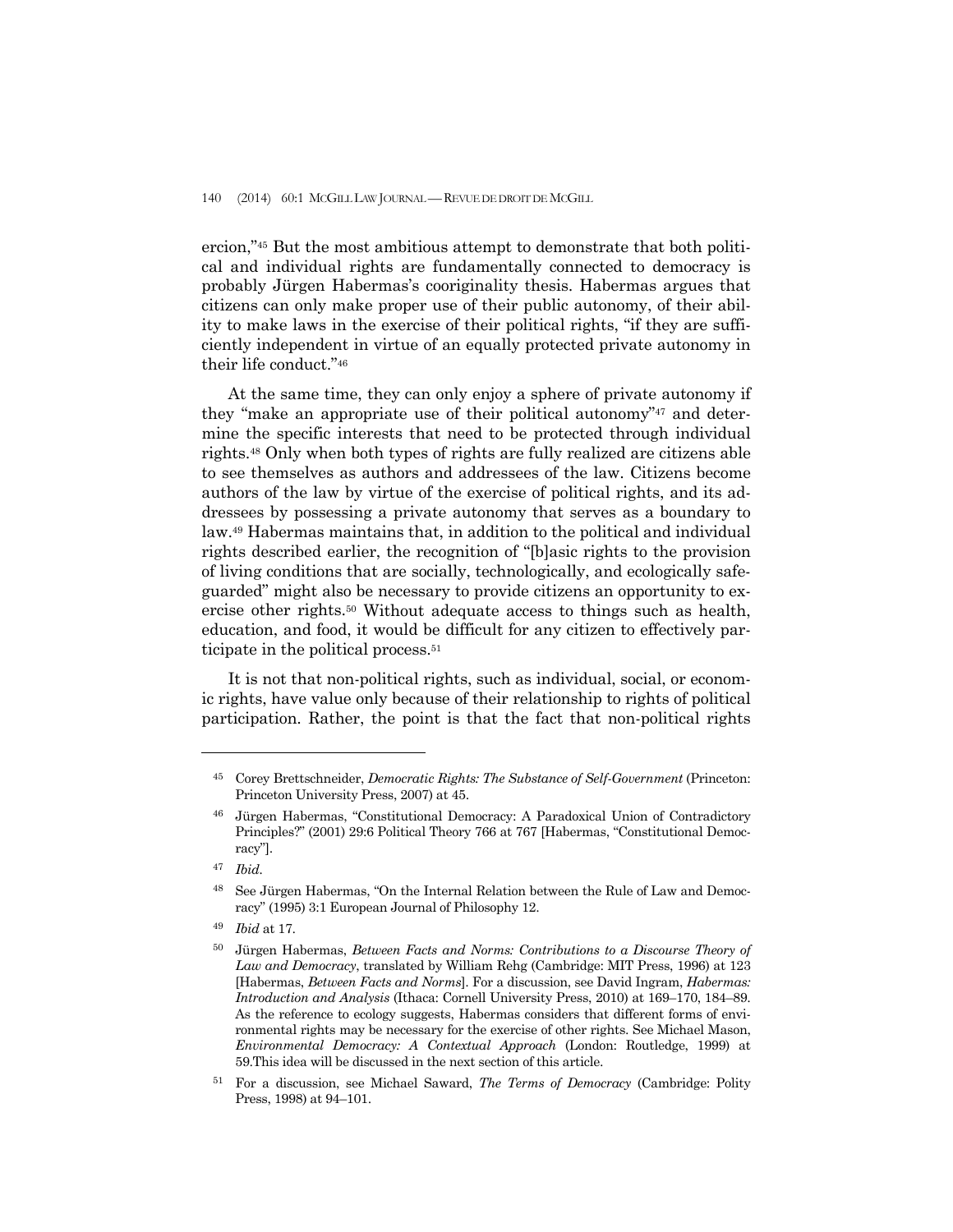ercion,"45 But the most ambitious attempt to demonstrate that both political and individual rights are fundamentally connected to democracy is probably Jürgen Habermas's cooriginality thesis. Habermas argues that citizens can only make proper use of their public autonomy, of their ability to make laws in the exercise of their political rights, "if they are sufficiently independent in virtue of an equally protected private autonomy in their life conduct."46

 At the same time, they can only enjoy a sphere of private autonomy if they "make an appropriate use of their political autonomy"47 and determine the specific interests that need to be protected through individual rights.48 Only when both types of rights are fully realized are citizens able to see themselves as authors and addressees of the law. Citizens become authors of the law by virtue of the exercise of political rights, and its addressees by possessing a private autonomy that serves as a boundary to law.49 Habermas maintains that, in addition to the political and individual rights described earlier, the recognition of "[b]asic rights to the provision of living conditions that are socially, technologically, and ecologically safeguarded" might also be necessary to provide citizens an opportunity to exercise other rights.50 Without adequate access to things such as health, education, and food, it would be difficult for any citizen to effectively participate in the political process.<sup>51</sup>

 It is not that non-political rights, such as individual, social, or economic rights, have value only because of their relationship to rights of political participation. Rather, the point is that the fact that non-political rights

<sup>45</sup> Corey Brettschneider, *Democratic Rights: The Substance of Self-Government* (Princeton: Princeton University Press, 2007) at 45.

<sup>46</sup> Jürgen Habermas, "Constitutional Democracy: A Paradoxical Union of Contradictory Principles?" (2001) 29:6 Political Theory 766 at 767 [Habermas, "Constitutional Democracy"].

<sup>47</sup> *Ibid.*

<sup>48</sup> See Jürgen Habermas, "On the Internal Relation between the Rule of Law and Democracy" (1995) 3:1 European Journal of Philosophy 12.

<sup>49</sup> *Ibid* at 17.

<sup>50</sup> Jürgen Habermas, *Between Facts and Norms: Contributions to a Discourse Theory of Law and Democracy*, translated by William Rehg (Cambridge: MIT Press, 1996) at 123 [Habermas, *Between Facts and Norms*]. For a discussion, see David Ingram, *Habermas: Introduction and Analysis* (Ithaca: Cornell University Press, 2010) at 169–170, 184–89. As the reference to ecology suggests, Habermas considers that different forms of environmental rights may be necessary for the exercise of other rights. See Michael Mason, *Environmental Democracy: A Contextual Approach* (London: Routledge, 1999) at 59.This idea will be discussed in the next section of this article.

<sup>51</sup> For a discussion, see Michael Saward, *The Terms of Democracy* (Cambridge: Polity Press, 1998) at 94–101.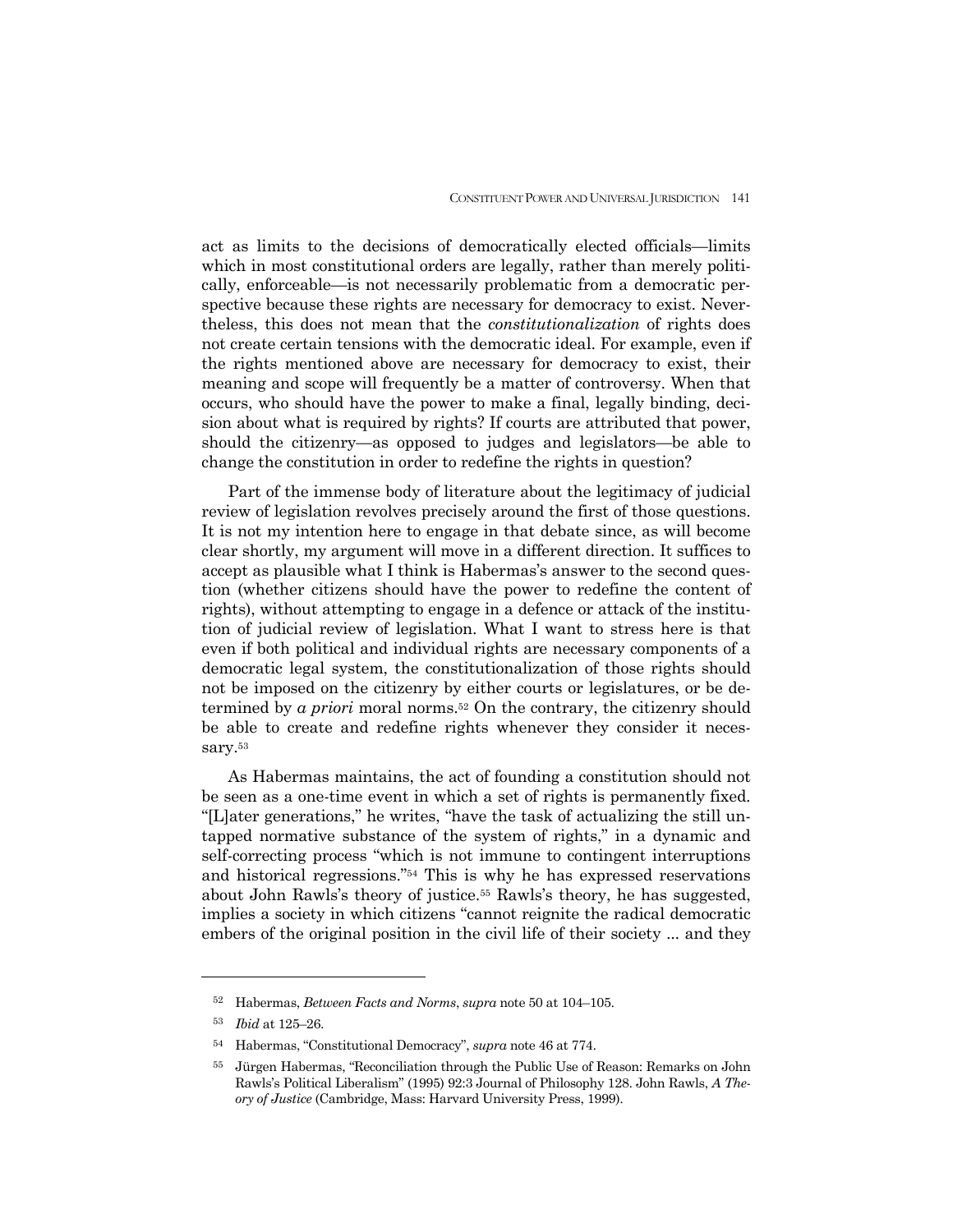act as limits to the decisions of democratically elected officials—limits which in most constitutional orders are legally, rather than merely politically, enforceable—is not necessarily problematic from a democratic perspective because these rights are necessary for democracy to exist. Nevertheless, this does not mean that the *constitutionalization* of rights does not create certain tensions with the democratic ideal. For example, even if the rights mentioned above are necessary for democracy to exist, their meaning and scope will frequently be a matter of controversy. When that occurs, who should have the power to make a final, legally binding, decision about what is required by rights? If courts are attributed that power, should the citizenry—as opposed to judges and legislators—be able to change the constitution in order to redefine the rights in question?

 Part of the immense body of literature about the legitimacy of judicial review of legislation revolves precisely around the first of those questions. It is not my intention here to engage in that debate since, as will become clear shortly, my argument will move in a different direction. It suffices to accept as plausible what I think is Habermas's answer to the second question (whether citizens should have the power to redefine the content of rights), without attempting to engage in a defence or attack of the institution of judicial review of legislation. What I want to stress here is that even if both political and individual rights are necessary components of a democratic legal system, the constitutionalization of those rights should not be imposed on the citizenry by either courts or legislatures, or be determined by *a priori* moral norms.52 On the contrary, the citizenry should be able to create and redefine rights whenever they consider it necessary.53

 As Habermas maintains, the act of founding a constitution should not be seen as a one-time event in which a set of rights is permanently fixed. "[L]ater generations," he writes, "have the task of actualizing the still untapped normative substance of the system of rights," in a dynamic and self-correcting process "which is not immune to contingent interruptions and historical regressions."54 This is why he has expressed reservations about John Rawls's theory of justice.55 Rawls's theory, he has suggested, implies a society in which citizens "cannot reignite the radical democratic embers of the original position in the civil life of their society ... and they

<sup>52</sup> Habermas, *Between Facts and Norms*, *supra* note 50 at 104–105.

<sup>53</sup> *Ibid* at 125–26.

<sup>54</sup> Habermas, "Constitutional Democracy", *supra* note 46 at 774.

<sup>55</sup> Jürgen Habermas, "Reconciliation through the Public Use of Reason: Remarks on John Rawls's Political Liberalism" (1995) 92:3 Journal of Philosophy 128. John Rawls, *A Theory of Justice* (Cambridge, Mass: Harvard University Press, 1999).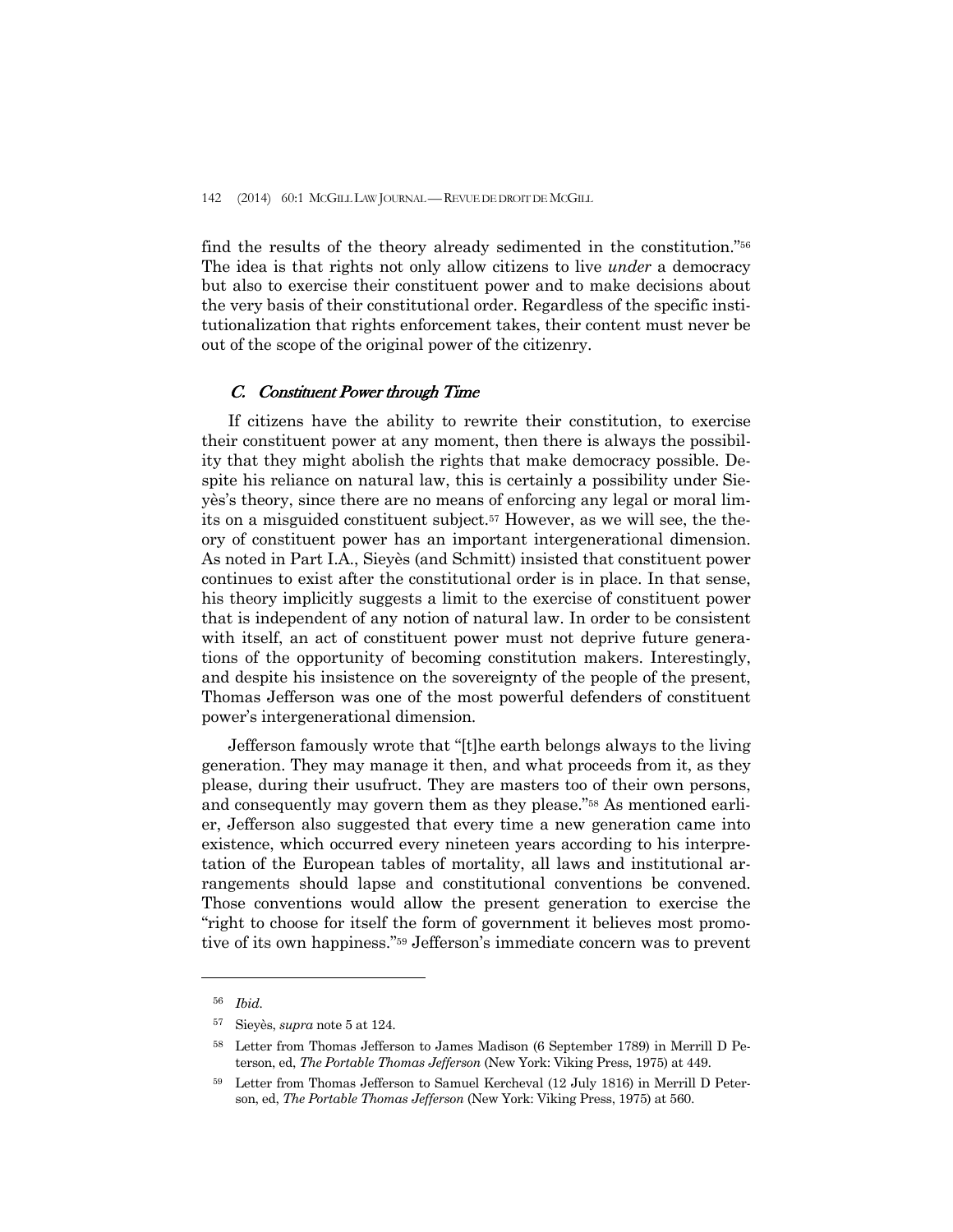find the results of the theory already sedimented in the constitution."56 The idea is that rights not only allow citizens to live *under* a democracy but also to exercise their constituent power and to make decisions about the very basis of their constitutional order. Regardless of the specific institutionalization that rights enforcement takes, their content must never be out of the scope of the original power of the citizenry.

### C. Constituent Power through Time

 If citizens have the ability to rewrite their constitution, to exercise their constituent power at any moment, then there is always the possibility that they might abolish the rights that make democracy possible. Despite his reliance on natural law, this is certainly a possibility under Sieyès's theory, since there are no means of enforcing any legal or moral limits on a misguided constituent subject.57 However, as we will see, the theory of constituent power has an important intergenerational dimension. As noted in Part I.A., Sieyès (and Schmitt) insisted that constituent power continues to exist after the constitutional order is in place. In that sense, his theory implicitly suggests a limit to the exercise of constituent power that is independent of any notion of natural law. In order to be consistent with itself, an act of constituent power must not deprive future generations of the opportunity of becoming constitution makers. Interestingly, and despite his insistence on the sovereignty of the people of the present, Thomas Jefferson was one of the most powerful defenders of constituent power's intergenerational dimension.

 Jefferson famously wrote that "[t]he earth belongs always to the living generation. They may manage it then, and what proceeds from it, as they please, during their usufruct. They are masters too of their own persons, and consequently may govern them as they please."58 As mentioned earlier, Jefferson also suggested that every time a new generation came into existence, which occurred every nineteen years according to his interpretation of the European tables of mortality, all laws and institutional arrangements should lapse and constitutional conventions be convened. Those conventions would allow the present generation to exercise the "right to choose for itself the form of government it believes most promotive of its own happiness."59 Jefferson's immediate concern was to prevent

<sup>56</sup> *Ibid.*

<sup>57</sup> Sieyès, *supra* note 5 at 124.

<sup>58</sup> Letter from Thomas Jefferson to James Madison (6 September 1789) in Merrill D Peterson, ed, *The Portable Thomas Jefferson* (New York: Viking Press, 1975) at 449.

<sup>59</sup> Letter from Thomas Jefferson to Samuel Kercheval (12 July 1816) in Merrill D Peterson, ed, *The Portable Thomas Jefferson* (New York: Viking Press, 1975) at 560.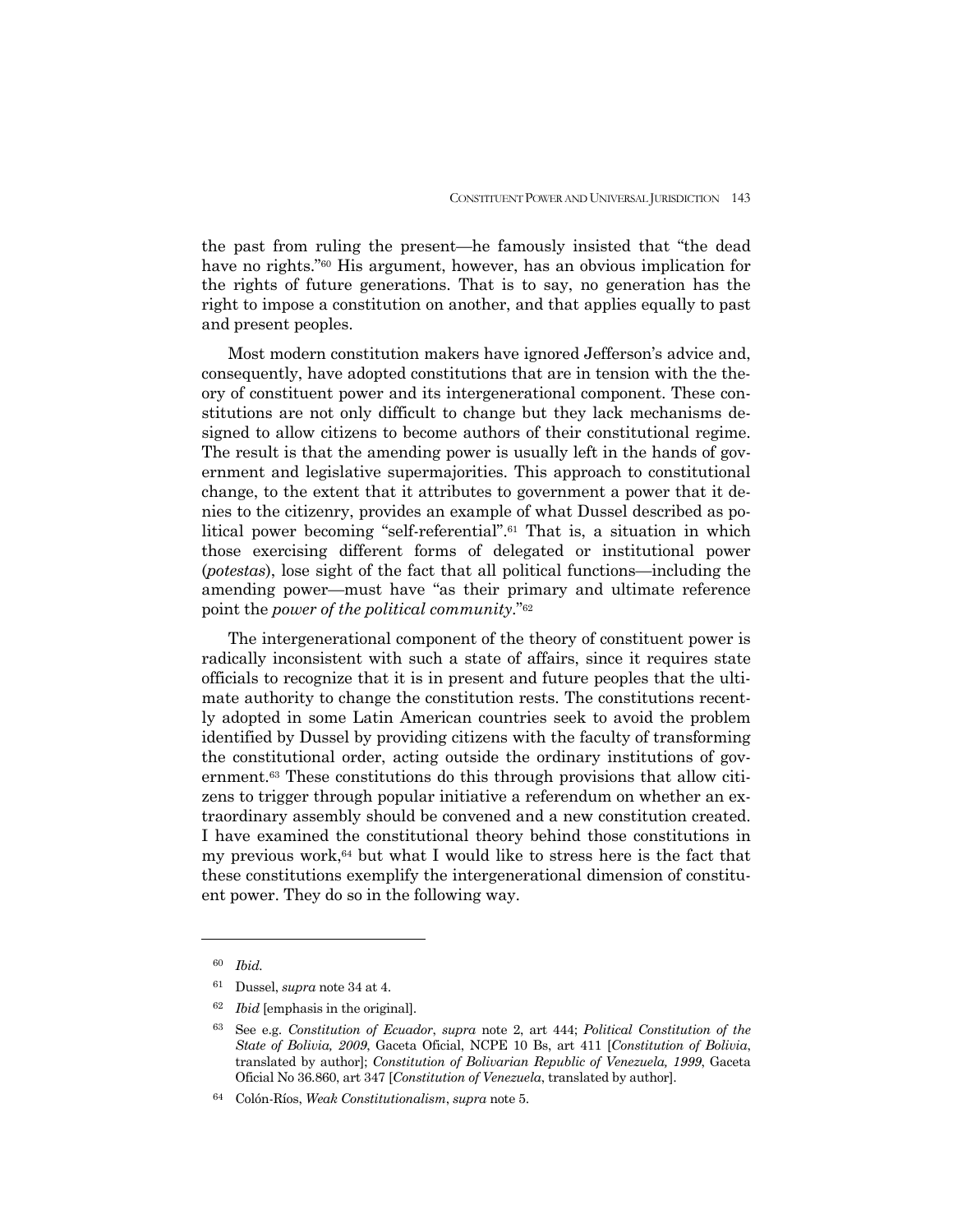the past from ruling the present—he famously insisted that "the dead have no rights."<sup>60</sup> His argument, however, has an obvious implication for the rights of future generations. That is to say, no generation has the right to impose a constitution on another, and that applies equally to past and present peoples.

 Most modern constitution makers have ignored Jefferson's advice and, consequently, have adopted constitutions that are in tension with the theory of constituent power and its intergenerational component. These constitutions are not only difficult to change but they lack mechanisms designed to allow citizens to become authors of their constitutional regime. The result is that the amending power is usually left in the hands of government and legislative supermajorities. This approach to constitutional change, to the extent that it attributes to government a power that it denies to the citizenry, provides an example of what Dussel described as political power becoming "self-referential".61 That is, a situation in which those exercising different forms of delegated or institutional power (*potestas*), lose sight of the fact that all political functions—including the amending power—must have "as their primary and ultimate reference point the *power of the political community*."62

 The intergenerational component of the theory of constituent power is radically inconsistent with such a state of affairs, since it requires state officials to recognize that it is in present and future peoples that the ultimate authority to change the constitution rests. The constitutions recently adopted in some Latin American countries seek to avoid the problem identified by Dussel by providing citizens with the faculty of transforming the constitutional order, acting outside the ordinary institutions of government.63 These constitutions do this through provisions that allow citizens to trigger through popular initiative a referendum on whether an extraordinary assembly should be convened and a new constitution created. I have examined the constitutional theory behind those constitutions in my previous work, $64$  but what I would like to stress here is the fact that these constitutions exemplify the intergenerational dimension of constituent power. They do so in the following way.

<sup>60</sup> *Ibid.* 

<sup>61</sup> Dussel, *supra* note 34 at 4.

<sup>62</sup> *Ibid* [emphasis in the original].

<sup>63</sup> See e.g. *Constitution of Ecuador*, *supra* note 2, art 444; *Political Constitution of the State of Bolivia, 2009*, Gaceta Oficial, NCPE 10 Bs, art 411 [*Constitution of Bolivia*, translated by author]; *Constitution of Bolivarian Republic of Venezuela, 1999*, Gaceta Oficial No 36.860, art 347 [*Constitution of Venezuela*, translated by author].

<sup>64</sup> Colón-Ríos, *Weak Constitutionalism*, *supra* note 5.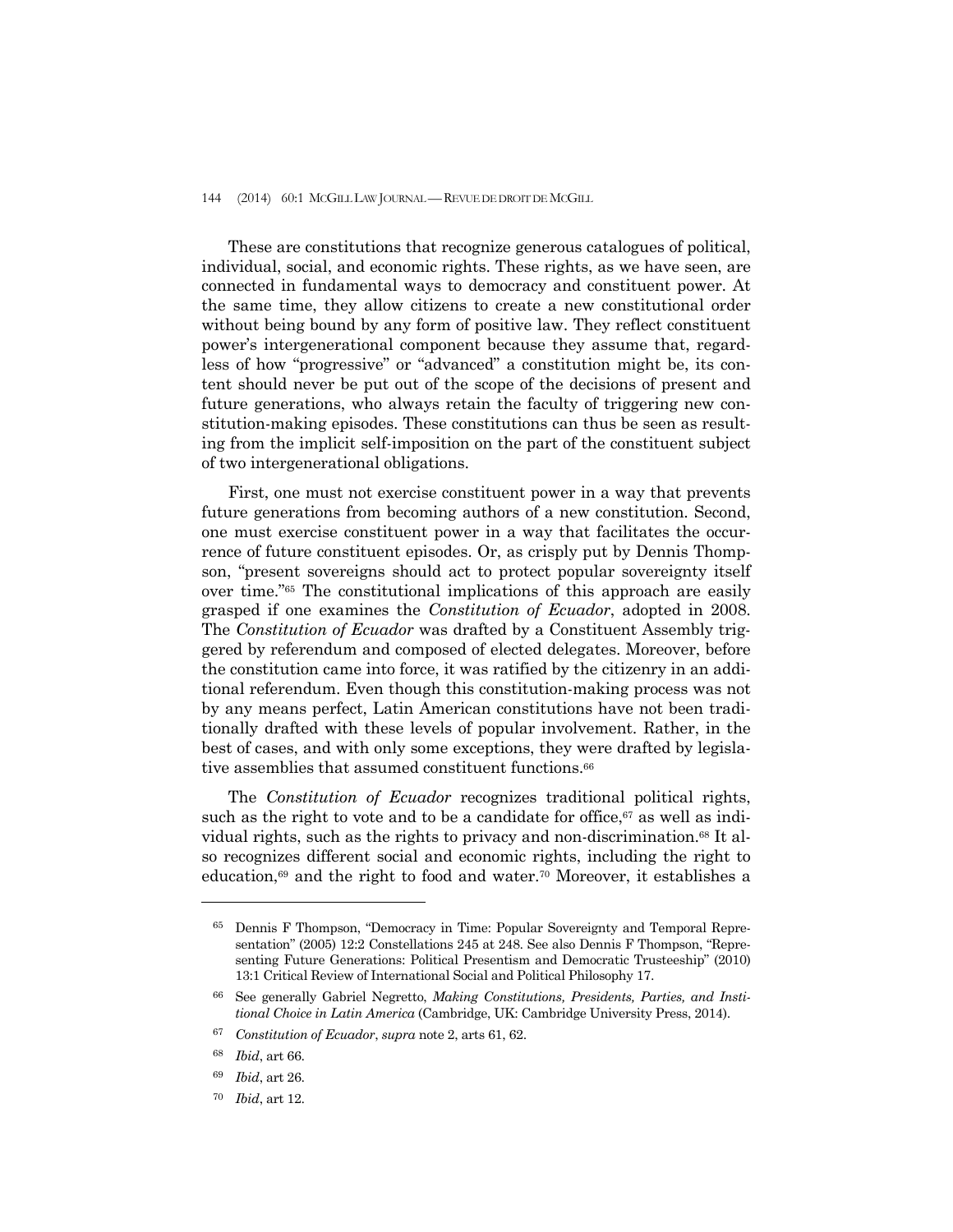These are constitutions that recognize generous catalogues of political, individual, social, and economic rights. These rights, as we have seen, are connected in fundamental ways to democracy and constituent power. At the same time, they allow citizens to create a new constitutional order without being bound by any form of positive law. They reflect constituent power's intergenerational component because they assume that, regardless of how "progressive" or "advanced" a constitution might be, its content should never be put out of the scope of the decisions of present and future generations, who always retain the faculty of triggering new constitution-making episodes. These constitutions can thus be seen as resulting from the implicit self-imposition on the part of the constituent subject of two intergenerational obligations.

 First, one must not exercise constituent power in a way that prevents future generations from becoming authors of a new constitution. Second, one must exercise constituent power in a way that facilitates the occurrence of future constituent episodes. Or, as crisply put by Dennis Thompson, "present sovereigns should act to protect popular sovereignty itself over time."65 The constitutional implications of this approach are easily grasped if one examines the *Constitution of Ecuador*, adopted in 2008. The *Constitution of Ecuador* was drafted by a Constituent Assembly triggered by referendum and composed of elected delegates. Moreover, before the constitution came into force, it was ratified by the citizenry in an additional referendum. Even though this constitution-making process was not by any means perfect, Latin American constitutions have not been traditionally drafted with these levels of popular involvement. Rather, in the best of cases, and with only some exceptions, they were drafted by legislative assemblies that assumed constituent functions.<sup>66</sup>

 The *Constitution of Ecuador* recognizes traditional political rights, such as the right to vote and to be a candidate for office, $67$  as well as individual rights, such as the rights to privacy and non-discrimination.68 It also recognizes different social and economic rights, including the right to education,<sup>69</sup> and the right to food and water.<sup>70</sup> Moreover, it establishes a

<sup>65</sup> Dennis F Thompson, "Democracy in Time: Popular Sovereignty and Temporal Representation" (2005) 12:2 Constellations 245 at 248. See also Dennis F Thompson, "Representing Future Generations: Political Presentism and Democratic Trusteeship" (2010) 13:1 Critical Review of International Social and Political Philosophy 17.

<sup>66</sup> See generally Gabriel Negretto, *Making Constitutions, Presidents, Parties, and Institional Choice in Latin America* (Cambridge, UK: Cambridge University Press, 2014).

<sup>67</sup> *Constitution of Ecuador*, *supra* note 2, arts 61, 62.

<sup>68</sup> *Ibid*, art 66.

<sup>69</sup> *Ibid*, art 26.

<sup>70</sup> *Ibid*, art 12.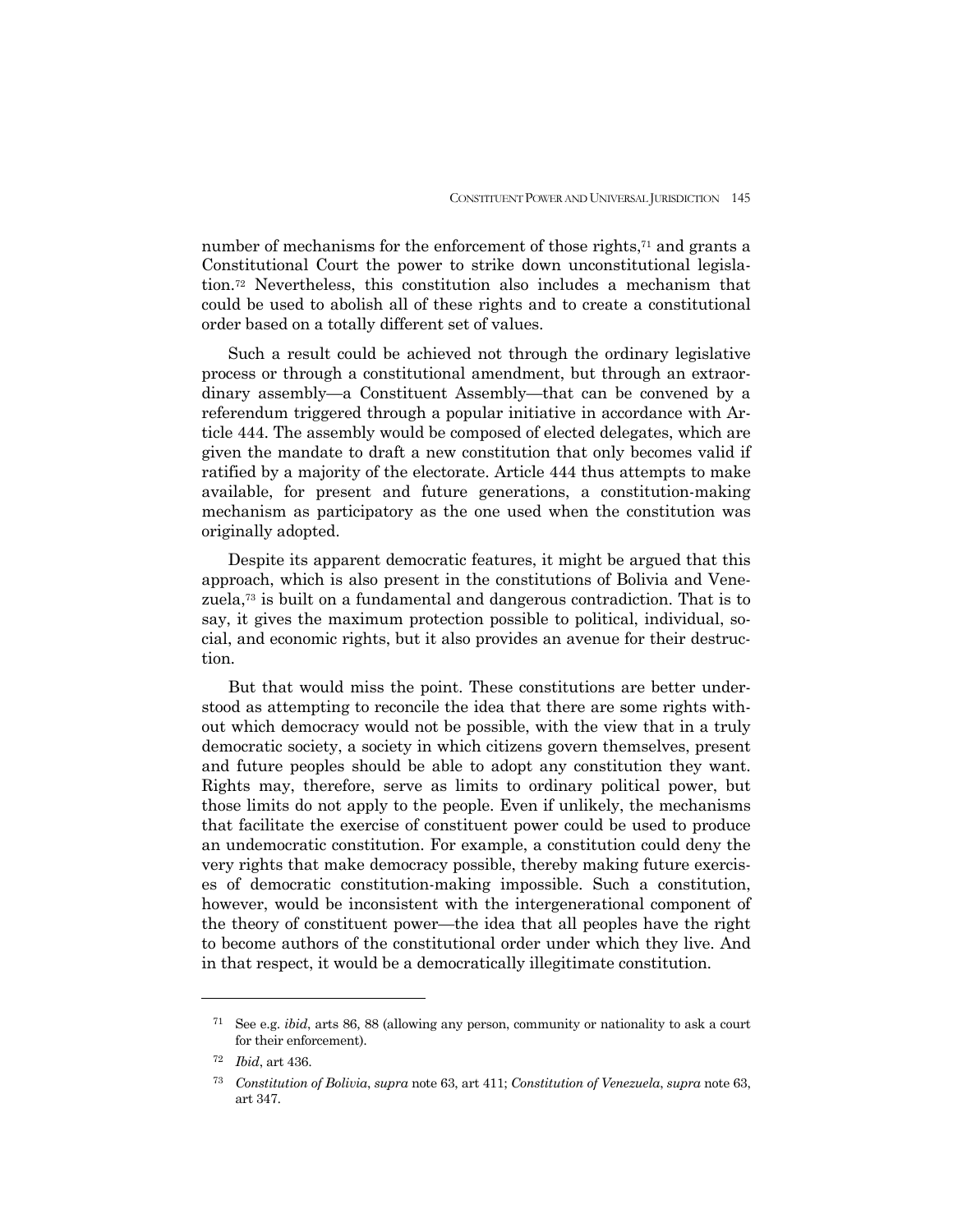number of mechanisms for the enforcement of those rights,71 and grants a Constitutional Court the power to strike down unconstitutional legislation.72 Nevertheless, this constitution also includes a mechanism that could be used to abolish all of these rights and to create a constitutional order based on a totally different set of values.

 Such a result could be achieved not through the ordinary legislative process or through a constitutional amendment, but through an extraordinary assembly—a Constituent Assembly—that can be convened by a referendum triggered through a popular initiative in accordance with Article 444. The assembly would be composed of elected delegates, which are given the mandate to draft a new constitution that only becomes valid if ratified by a majority of the electorate. Article 444 thus attempts to make available, for present and future generations, a constitution-making mechanism as participatory as the one used when the constitution was originally adopted.

 Despite its apparent democratic features, it might be argued that this approach, which is also present in the constitutions of Bolivia and Venezuela,73 is built on a fundamental and dangerous contradiction. That is to say, it gives the maximum protection possible to political, individual, social, and economic rights, but it also provides an avenue for their destruction.

 But that would miss the point. These constitutions are better understood as attempting to reconcile the idea that there are some rights without which democracy would not be possible, with the view that in a truly democratic society, a society in which citizens govern themselves, present and future peoples should be able to adopt any constitution they want. Rights may, therefore, serve as limits to ordinary political power, but those limits do not apply to the people. Even if unlikely, the mechanisms that facilitate the exercise of constituent power could be used to produce an undemocratic constitution. For example, a constitution could deny the very rights that make democracy possible, thereby making future exercises of democratic constitution-making impossible. Such a constitution, however, would be inconsistent with the intergenerational component of the theory of constituent power—the idea that all peoples have the right to become authors of the constitutional order under which they live. And in that respect, it would be a democratically illegitimate constitution.

<sup>71</sup> See e.g. *ibid*, arts 86, 88 (allowing any person, community or nationality to ask a court for their enforcement).

<sup>72</sup> *Ibid*, art 436.

<sup>73</sup> *Constitution of Bolivia*, *supra* note 63, art 411; *Constitution of Venezuela*, *supra* note 63, art 347.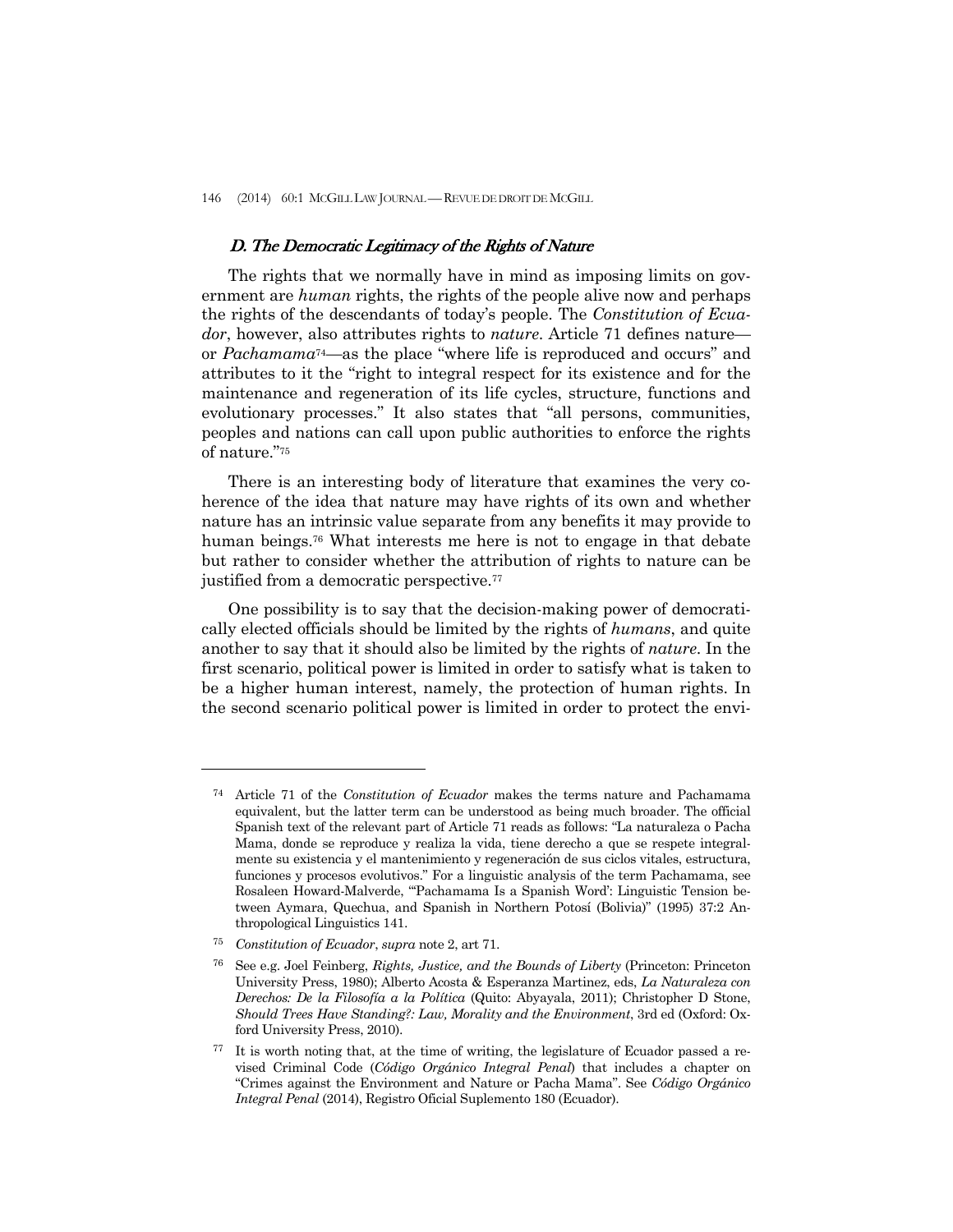#### D. The Democratic Legitimacy of the Rights of Nature

 The rights that we normally have in mind as imposing limits on government are *human* rights, the rights of the people alive now and perhaps the rights of the descendants of today's people. The *Constitution of Ecuador*, however, also attributes rights to *nature*. Article 71 defines nature or *Pachamama*74—as the place "where life is reproduced and occurs" and attributes to it the "right to integral respect for its existence and for the maintenance and regeneration of its life cycles, structure, functions and evolutionary processes." It also states that "all persons, communities, peoples and nations can call upon public authorities to enforce the rights of nature."75

 There is an interesting body of literature that examines the very coherence of the idea that nature may have rights of its own and whether nature has an intrinsic value separate from any benefits it may provide to human beings.76 What interests me here is not to engage in that debate but rather to consider whether the attribution of rights to nature can be justified from a democratic perspective.<sup>77</sup>

 One possibility is to say that the decision-making power of democratically elected officials should be limited by the rights of *humans*, and quite another to say that it should also be limited by the rights of *nature*. In the first scenario, political power is limited in order to satisfy what is taken to be a higher human interest, namely, the protection of human rights. In the second scenario political power is limited in order to protect the envi-

<sup>74</sup>Article 71 of the *Constitution of Ecuador* makes the terms nature and Pachamama equivalent, but the latter term can be understood as being much broader. The official Spanish text of the relevant part of Article 71 reads as follows: "La naturaleza o Pacha Mama, donde se reproduce y realiza la vida, tiene derecho a que se respete integralmente su existencia y el mantenimiento y regeneración de sus ciclos vitales, estructura, funciones y procesos evolutivos." For a linguistic analysis of the term Pachamama, see Rosaleen Howard-Malverde, "'Pachamama Is a Spanish Word': Linguistic Tension between Aymara, Quechua, and Spanish in Northern Potosí (Bolivia)" (1995) 37:2 Anthropological Linguistics 141.

<sup>75</sup> *Constitution of Ecuador*, *supra* note 2, art 71.

<sup>76</sup> See e.g. Joel Feinberg, *Rights, Justice, and the Bounds of Liberty* (Princeton: Princeton University Press, 1980); Alberto Acosta & Esperanza Martinez, eds, *La Naturaleza con Derechos: De la Filosofía a la Política* (Quito: Abyayala, 2011); Christopher D Stone, *Should Trees Have Standing?: Law, Morality and the Environment*, 3rd ed (Oxford: Oxford University Press, 2010).

<sup>77</sup> It is worth noting that, at the time of writing, the legislature of Ecuador passed a revised Criminal Code (*Código Orgánico Integral Penal*) that includes a chapter on "Crimes against the Environment and Nature or Pacha Mama". See *Código Orgánico Integral Penal* (2014), Registro Oficial Suplemento 180 (Ecuador).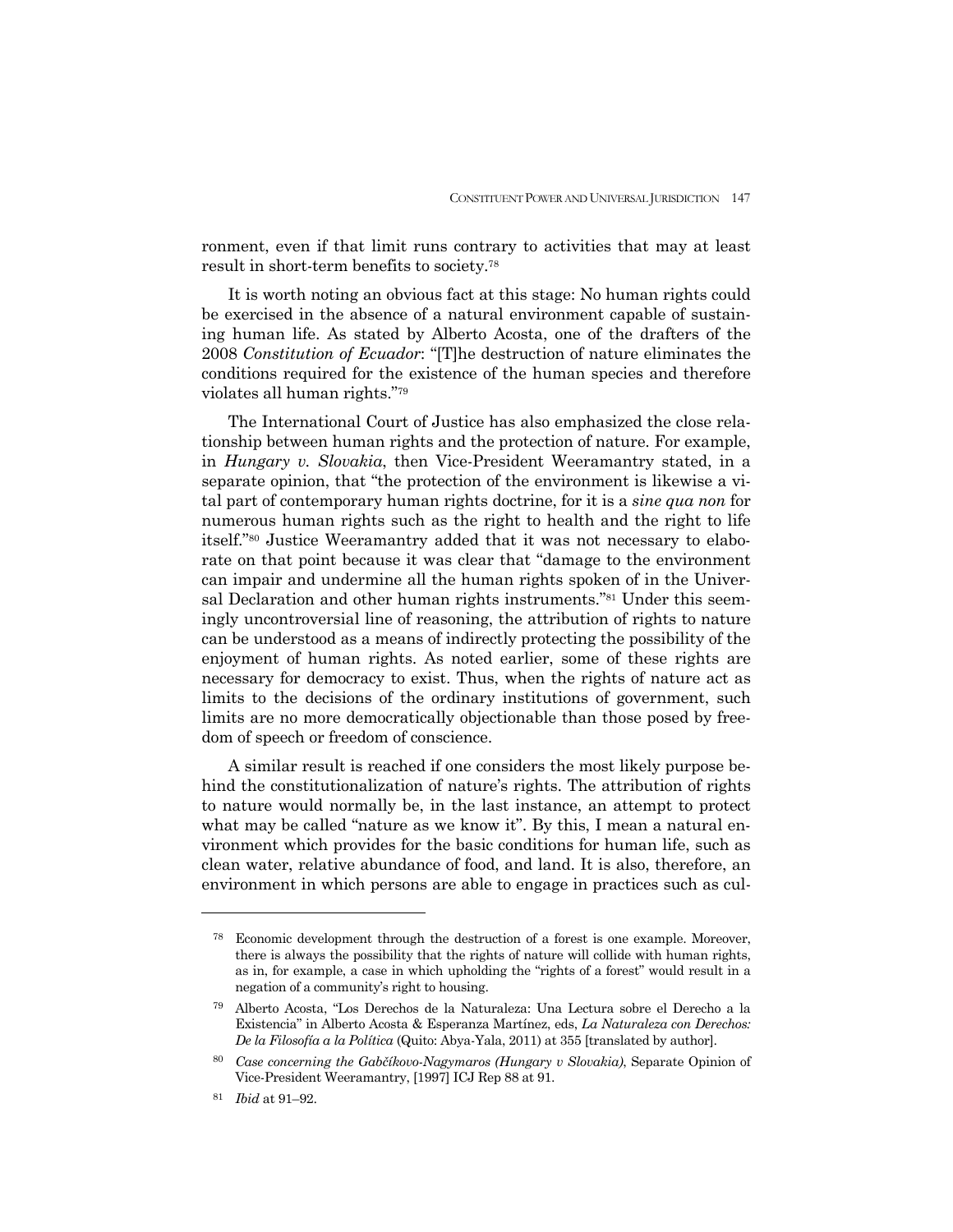ronment, even if that limit runs contrary to activities that may at least result in short-term benefits to society.78

 It is worth noting an obvious fact at this stage: No human rights could be exercised in the absence of a natural environment capable of sustaining human life. As stated by Alberto Acosta, one of the drafters of the 2008 *Constitution of Ecuador*: "[T]he destruction of nature eliminates the conditions required for the existence of the human species and therefore violates all human rights."79

 The International Court of Justice has also emphasized the close relationship between human rights and the protection of nature. For example, in *Hungary v. Slovakia*, then Vice-President Weeramantry stated, in a separate opinion, that "the protection of the environment is likewise a vital part of contemporary human rights doctrine, for it is a *sine qua non* for numerous human rights such as the right to health and the right to life itself."80 Justice Weeramantry added that it was not necessary to elaborate on that point because it was clear that "damage to the environment can impair and undermine all the human rights spoken of in the Universal Declaration and other human rights instruments."81 Under this seemingly uncontroversial line of reasoning, the attribution of rights to nature can be understood as a means of indirectly protecting the possibility of the enjoyment of human rights. As noted earlier, some of these rights are necessary for democracy to exist. Thus, when the rights of nature act as limits to the decisions of the ordinary institutions of government, such limits are no more democratically objectionable than those posed by freedom of speech or freedom of conscience.

 A similar result is reached if one considers the most likely purpose behind the constitutionalization of nature's rights. The attribution of rights to nature would normally be, in the last instance, an attempt to protect what may be called "nature as we know it". By this, I mean a natural environment which provides for the basic conditions for human life, such as clean water, relative abundance of food, and land. It is also, therefore, an environment in which persons are able to engage in practices such as cul-

<sup>78</sup> Economic development through the destruction of a forest is one example. Moreover, there is always the possibility that the rights of nature will collide with human rights, as in, for example, a case in which upholding the "rights of a forest" would result in a negation of a community's right to housing.

<sup>79</sup> Alberto Acosta, "Los Derechos de la Naturaleza: Una Lectura sobre el Derecho a la Existencia" in Alberto Acosta & Esperanza Martínez, eds, *La Naturaleza con Derechos: De la Filosofía a la Política* (Quito: Abya-Yala, 2011) at 355 [translated by author].

<sup>80</sup> *Case concerning the Gabčíkovo-Nagymaros (Hungary v Slovakia)*, Separate Opinion of Vice-President Weeramantry, [1997] ICJ Rep 88 at 91.

<sup>81</sup> *Ibid* at 91–92.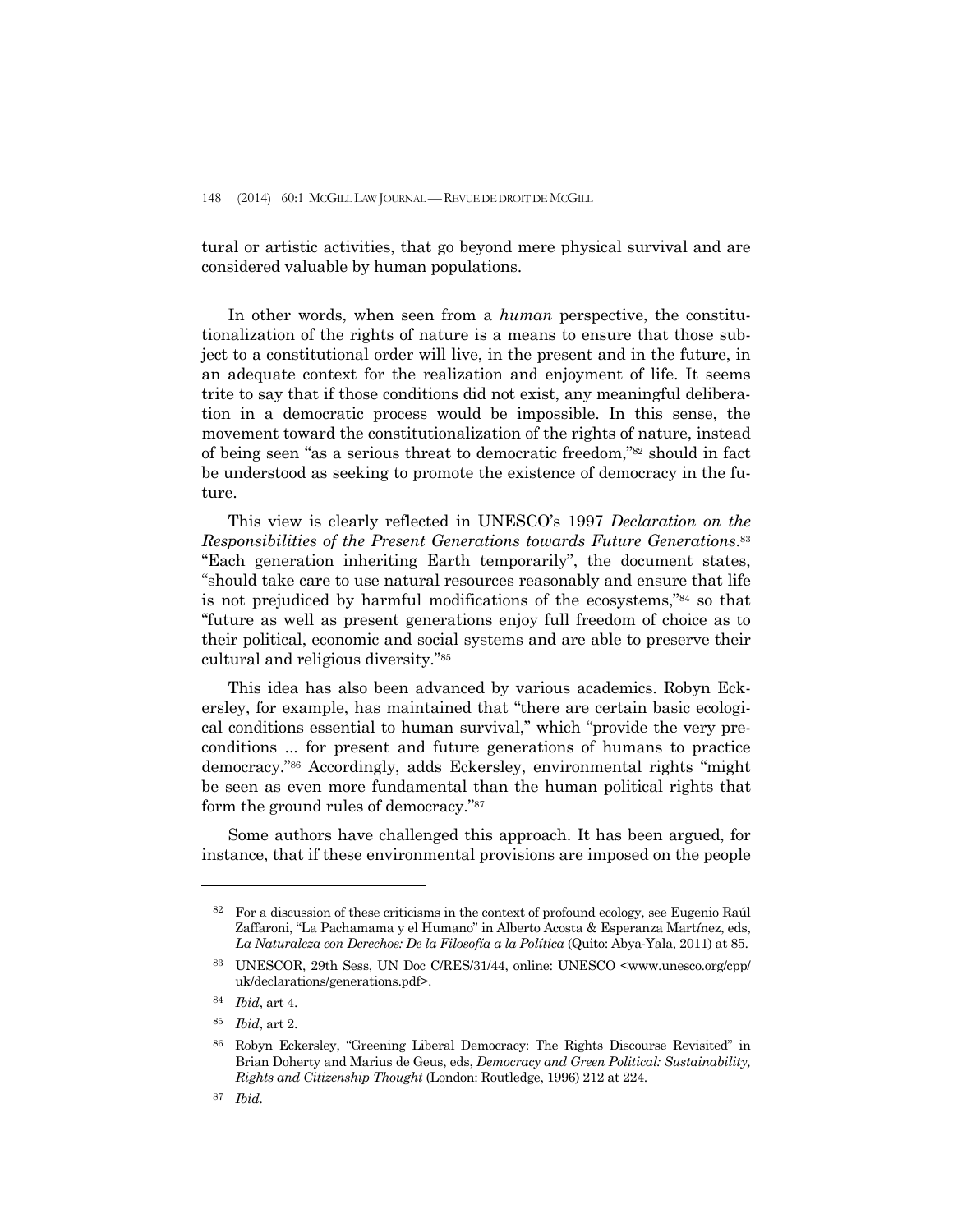tural or artistic activities, that go beyond mere physical survival and are considered valuable by human populations.

 In other words, when seen from a *human* perspective, the constitutionalization of the rights of nature is a means to ensure that those subject to a constitutional order will live, in the present and in the future, in an adequate context for the realization and enjoyment of life. It seems trite to say that if those conditions did not exist, any meaningful deliberation in a democratic process would be impossible. In this sense, the movement toward the constitutionalization of the rights of nature, instead of being seen "as a serious threat to democratic freedom,"82 should in fact be understood as seeking to promote the existence of democracy in the future.

 This view is clearly reflected in UNESCO's 1997 *Declaration on the Responsibilities of the Present Generations towards Future Generations*.83 "Each generation inheriting Earth temporarily", the document states, "should take care to use natural resources reasonably and ensure that life is not prejudiced by harmful modifications of the ecosystems,"84 so that "future as well as present generations enjoy full freedom of choice as to their political, economic and social systems and are able to preserve their cultural and religious diversity."85

 This idea has also been advanced by various academics. Robyn Eckersley, for example, has maintained that "there are certain basic ecological conditions essential to human survival," which "provide the very preconditions ... for present and future generations of humans to practice democracy."86 Accordingly, adds Eckersley, environmental rights "might be seen as even more fundamental than the human political rights that form the ground rules of democracy."87

 Some authors have challenged this approach. It has been argued, for instance, that if these environmental provisions are imposed on the people

<sup>82</sup> For a discussion of these criticisms in the context of profound ecology, see Eugenio Raúl Zaffaroni, "La Pachamama y el Humano" in Alberto Acosta & Esperanza Mart*í*nez, eds, *La Naturaleza con Derechos: De la Filosofía a la Política* (Quito: Abya-Yala, 2011) at 85.

<sup>83</sup> UNESCOR, 29th Sess, UN Doc C/RES/31/44, online: UNESCO <www.unesco.org/cpp/ uk/declarations/generations.pdf>.

<sup>84</sup> *Ibid*, art 4.

<sup>85</sup> *Ibid*, art 2.

<sup>86</sup> Robyn Eckersley, "Greening Liberal Democracy: The Rights Discourse Revisited" in Brian Doherty and Marius de Geus, eds, *Democracy and Green Political: Sustainability, Rights and Citizenship Thought* (London: Routledge, 1996) 212 at 224.

<sup>87</sup> *Ibid.*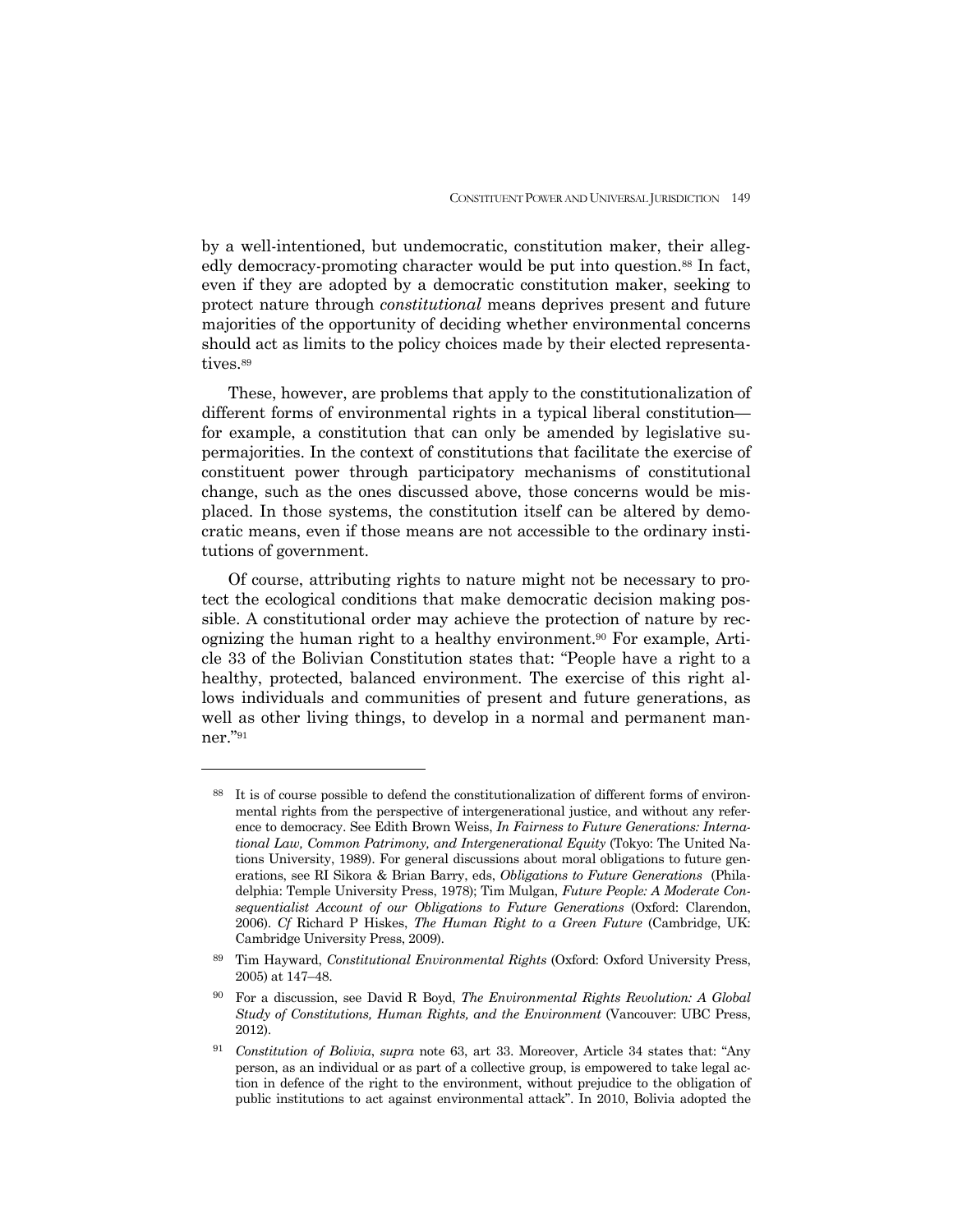by a well-intentioned, but undemocratic, constitution maker, their allegedly democracy-promoting character would be put into question.<sup>88</sup> In fact, even if they are adopted by a democratic constitution maker, seeking to protect nature through *constitutional* means deprives present and future majorities of the opportunity of deciding whether environmental concerns should act as limits to the policy choices made by their elected representatives.<sup>89</sup>

 These, however, are problems that apply to the constitutionalization of different forms of environmental rights in a typical liberal constitution for example, a constitution that can only be amended by legislative supermajorities. In the context of constitutions that facilitate the exercise of constituent power through participatory mechanisms of constitutional change, such as the ones discussed above, those concerns would be misplaced. In those systems, the constitution itself can be altered by democratic means, even if those means are not accessible to the ordinary institutions of government.

 Of course, attributing rights to nature might not be necessary to protect the ecological conditions that make democratic decision making possible. A constitutional order may achieve the protection of nature by recognizing the human right to a healthy environment.90 For example, Article 33 of the Bolivian Constitution states that: "People have a right to a healthy, protected, balanced environment. The exercise of this right allows individuals and communities of present and future generations, as well as other living things, to develop in a normal and permanent manner."91

It is of course possible to defend the constitutionalization of different forms of environmental rights from the perspective of intergenerational justice, and without any reference to democracy. See Edith Brown Weiss, *In Fairness to Future Generations: International Law, Common Patrimony, and Intergenerational Equity* (Tokyo: The United Nations University, 1989). For general discussions about moral obligations to future generations, see RI Sikora & Brian Barry, eds, *Obligations to Future Generations* (Philadelphia: Temple University Press, 1978); Tim Mulgan, *Future People: A Moderate Consequentialist Account of our Obligations to Future Generations* (Oxford: Clarendon, 2006). *Cf* Richard P Hiskes, *The Human Right to a Green Future* (Cambridge, UK: Cambridge University Press, 2009).

<sup>89</sup> Tim Hayward, *Constitutional Environmental Rights* (Oxford: Oxford University Press, 2005) at 147–48.

<sup>90</sup>For a discussion, see David R Boyd, *The Environmental Rights Revolution: A Global Study of Constitutions, Human Rights, and the Environment* (Vancouver: UBC Press, 2012).

<sup>91</sup> *Constitution of Bolivia*, *supra* note 63, art 33. Moreover, Article 34 states that: "Any person, as an individual or as part of a collective group, is empowered to take legal action in defence of the right to the environment, without prejudice to the obligation of public institutions to act against environmental attack". In 2010, Bolivia adopted the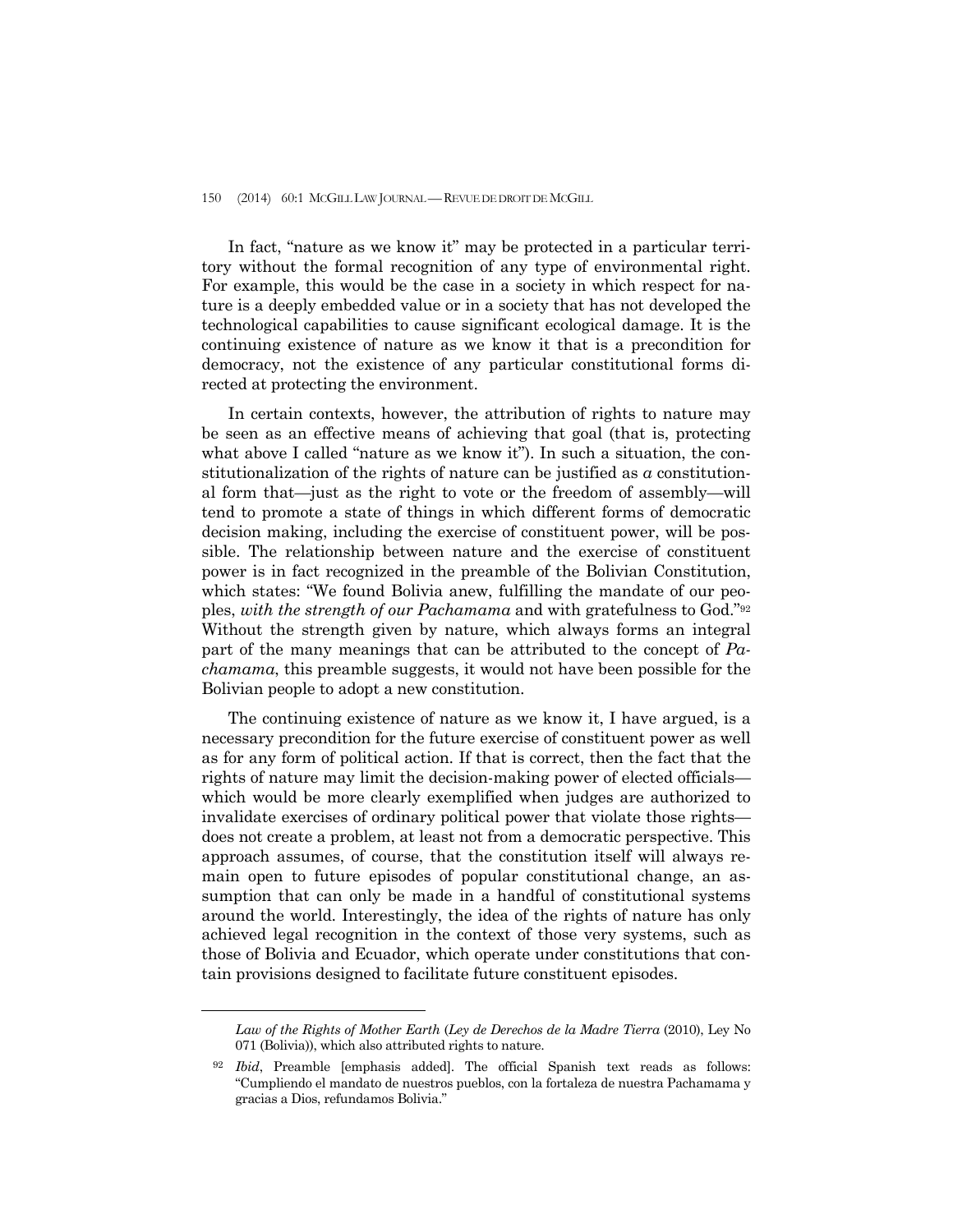In fact, "nature as we know it" may be protected in a particular territory without the formal recognition of any type of environmental right. For example, this would be the case in a society in which respect for nature is a deeply embedded value or in a society that has not developed the technological capabilities to cause significant ecological damage. It is the continuing existence of nature as we know it that is a precondition for democracy, not the existence of any particular constitutional forms directed at protecting the environment.

 In certain contexts, however, the attribution of rights to nature may be seen as an effective means of achieving that goal (that is, protecting what above I called "nature as we know it"). In such a situation, the constitutionalization of the rights of nature can be justified as *a* constitutional form that—just as the right to vote or the freedom of assembly—will tend to promote a state of things in which different forms of democratic decision making, including the exercise of constituent power, will be possible. The relationship between nature and the exercise of constituent power is in fact recognized in the preamble of the Bolivian Constitution, which states: "We found Bolivia anew, fulfilling the mandate of our peoples, *with the strength of our Pachamama* and with gratefulness to God."92 Without the strength given by nature, which always forms an integral part of the many meanings that can be attributed to the concept of *Pachamama*, this preamble suggests, it would not have been possible for the Bolivian people to adopt a new constitution.

 The continuing existence of nature as we know it, I have argued, is a necessary precondition for the future exercise of constituent power as well as for any form of political action. If that is correct, then the fact that the rights of nature may limit the decision-making power of elected officials which would be more clearly exemplified when judges are authorized to invalidate exercises of ordinary political power that violate those rights does not create a problem, at least not from a democratic perspective. This approach assumes, of course, that the constitution itself will always remain open to future episodes of popular constitutional change, an assumption that can only be made in a handful of constitutional systems around the world. Interestingly, the idea of the rights of nature has only achieved legal recognition in the context of those very systems, such as those of Bolivia and Ecuador, which operate under constitutions that contain provisions designed to facilitate future constituent episodes.

*Law of the Rights of Mother Earth* (*Ley de Derechos de la Madre Tierra* (2010), Ley No 071 (Bolivia)), which also attributed rights to nature.

<sup>92</sup> *Ibid*, Preamble [emphasis added]. The official Spanish text reads as follows: "Cumpliendo el mandato de nuestros pueblos, con la fortaleza de nuestra Pachamama y gracias a Dios, refundamos Bolivia."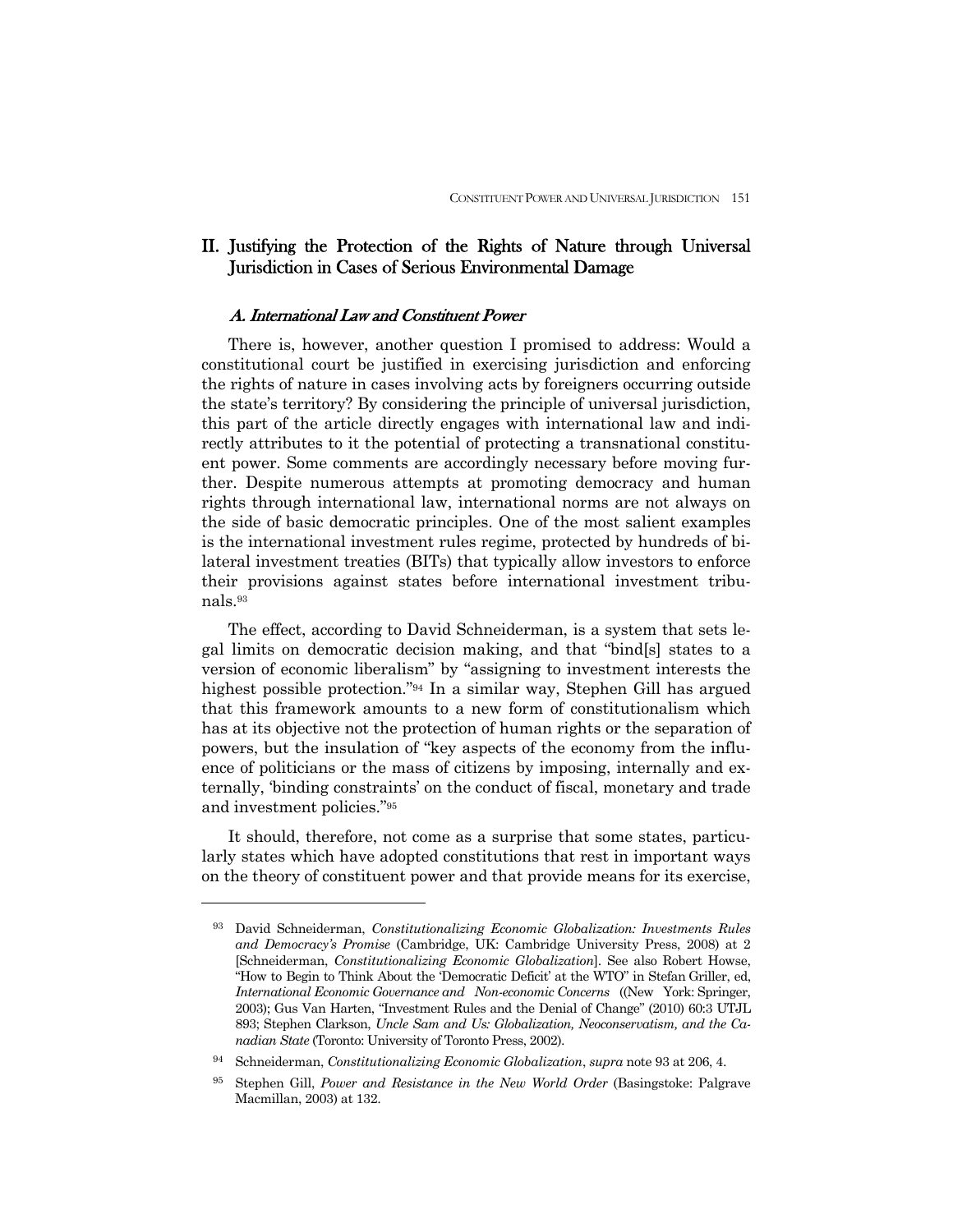## II. Justifying the Protection of the Rights of Nature through Universal Jurisdiction in Cases of Serious Environmental Damage

## A. International Law and Constituent Power

 There is, however, another question I promised to address: Would a constitutional court be justified in exercising jurisdiction and enforcing the rights of nature in cases involving acts by foreigners occurring outside the state's territory? By considering the principle of universal jurisdiction, this part of the article directly engages with international law and indirectly attributes to it the potential of protecting a transnational constituent power. Some comments are accordingly necessary before moving further. Despite numerous attempts at promoting democracy and human rights through international law, international norms are not always on the side of basic democratic principles. One of the most salient examples is the international investment rules regime, protected by hundreds of bilateral investment treaties (BITs) that typically allow investors to enforce their provisions against states before international investment tribunals.93

 The effect, according to David Schneiderman, is a system that sets legal limits on democratic decision making, and that "bind[s] states to a version of economic liberalism" by "assigning to investment interests the highest possible protection."94 In a similar way, Stephen Gill has argued that this framework amounts to a new form of constitutionalism which has at its objective not the protection of human rights or the separation of powers, but the insulation of "key aspects of the economy from the influence of politicians or the mass of citizens by imposing, internally and externally, 'binding constraints' on the conduct of fiscal, monetary and trade and investment policies."95

 It should, therefore, not come as a surprise that some states, particularly states which have adopted constitutions that rest in important ways on the theory of constituent power and that provide means for its exercise,

<sup>93</sup> David Schneiderman, *Constitutionalizing Economic Globalization: Investments Rules and Democracy's Promise* (Cambridge, UK: Cambridge University Press, 2008) at 2 [Schneiderman, *Constitutionalizing Economic Globalization*]. See also Robert Howse, "How to Begin to Think About the 'Democratic Deficit' at the WTO" in Stefan Griller, ed, *International Economic Governance and Non-economic Concerns* ((New York: Springer, 2003); Gus Van Harten, "Investment Rules and the Denial of Change" (2010) 60:3 UTJL 893; Stephen Clarkson, *Uncle Sam and Us: Globalization, Neoconservatism, and the Canadian State* (Toronto: University of Toronto Press, 2002).

<sup>94</sup>Schneiderman, *Constitutionalizing Economic Globalization*, *supra* note 93 at 206, 4.

<sup>95</sup> Stephen Gill, *Power and Resistance in the New World Order* (Basingstoke: Palgrave Macmillan, 2003) at 132.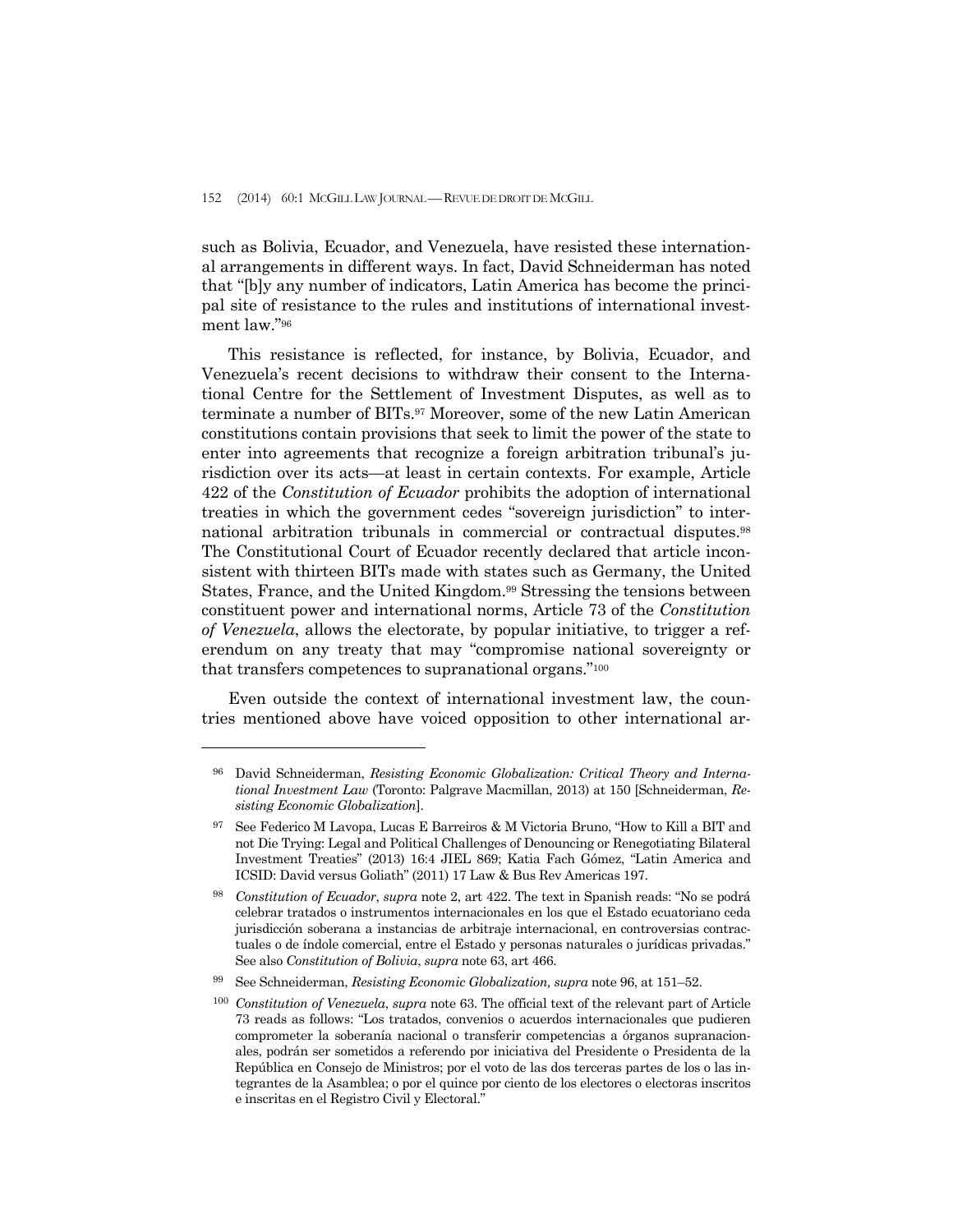such as Bolivia, Ecuador, and Venezuela, have resisted these international arrangements in different ways. In fact, David Schneiderman has noted that "[b]y any number of indicators, Latin America has become the principal site of resistance to the rules and institutions of international investment law."96

 This resistance is reflected, for instance, by Bolivia, Ecuador, and Venezuela's recent decisions to withdraw their consent to the International Centre for the Settlement of Investment Disputes, as well as to terminate a number of BITs.97 Moreover, some of the new Latin American constitutions contain provisions that seek to limit the power of the state to enter into agreements that recognize a foreign arbitration tribunal's jurisdiction over its acts—at least in certain contexts. For example, Article 422 of the *Constitution of Ecuador* prohibits the adoption of international treaties in which the government cedes "sovereign jurisdiction" to international arbitration tribunals in commercial or contractual disputes.98 The Constitutional Court of Ecuador recently declared that article inconsistent with thirteen BITs made with states such as Germany, the United States, France, and the United Kingdom.99 Stressing the tensions between constituent power and international norms, Article 73 of the *Constitution of Venezuela*, allows the electorate, by popular initiative, to trigger a referendum on any treaty that may "compromise national sovereignty or that transfers competences to supranational organs."100

 Even outside the context of international investment law, the countries mentioned above have voiced opposition to other international ar-

<sup>96</sup> David Schneiderman, *Resisting Economic Globalization: Critical Theory and International Investment Law* (Toronto: Palgrave Macmillan, 2013) at 150 [Schneiderman, *Resisting Economic Globalization*].

<sup>97</sup> See Federico M Lavopa, Lucas E Barreiros & M Victoria Bruno, "How to Kill a BIT and not Die Trying: Legal and Political Challenges of Denouncing or Renegotiating Bilateral Investment Treaties" (2013) 16:4 JIEL 869; Katia Fach Gómez, "Latin America and ICSID: David versus Goliath" (2011) 17 Law & Bus Rev Americas 197.

<sup>98</sup> *Constitution of Ecuador*, *supra* note 2, art 422. The text in Spanish reads: "No se podrá celebrar tratados o instrumentos internacionales en los que el Estado ecuatoriano ceda jurisdicción soberana a instancias de arbitraje internacional, en controversias contractuales o de índole comercial, entre el Estado y personas naturales o jurídicas privadas." See also *Constitution of Bolivia*, *supra* note 63, art 466.

<sup>99</sup> See Schneiderman, *Resisting Economic Globalization, supra* note 96, at 151–52.

<sup>100</sup> *Constitution of Venezuela*, *supra* note 63. The official text of the relevant part of Article 73 reads as follows: "Los tratados, convenios o acuerdos internacionales que pudieren comprometer la soberanía nacional o transferir competencias a órganos supranacionales, podrán ser sometidos a referendo por iniciativa del Presidente o Presidenta de la República en Consejo de Ministros; por el voto de las dos terceras partes de los o las integrantes de la Asamblea; o por el quince por ciento de los electores o electoras inscritos e inscritas en el Registro Civil y Electoral."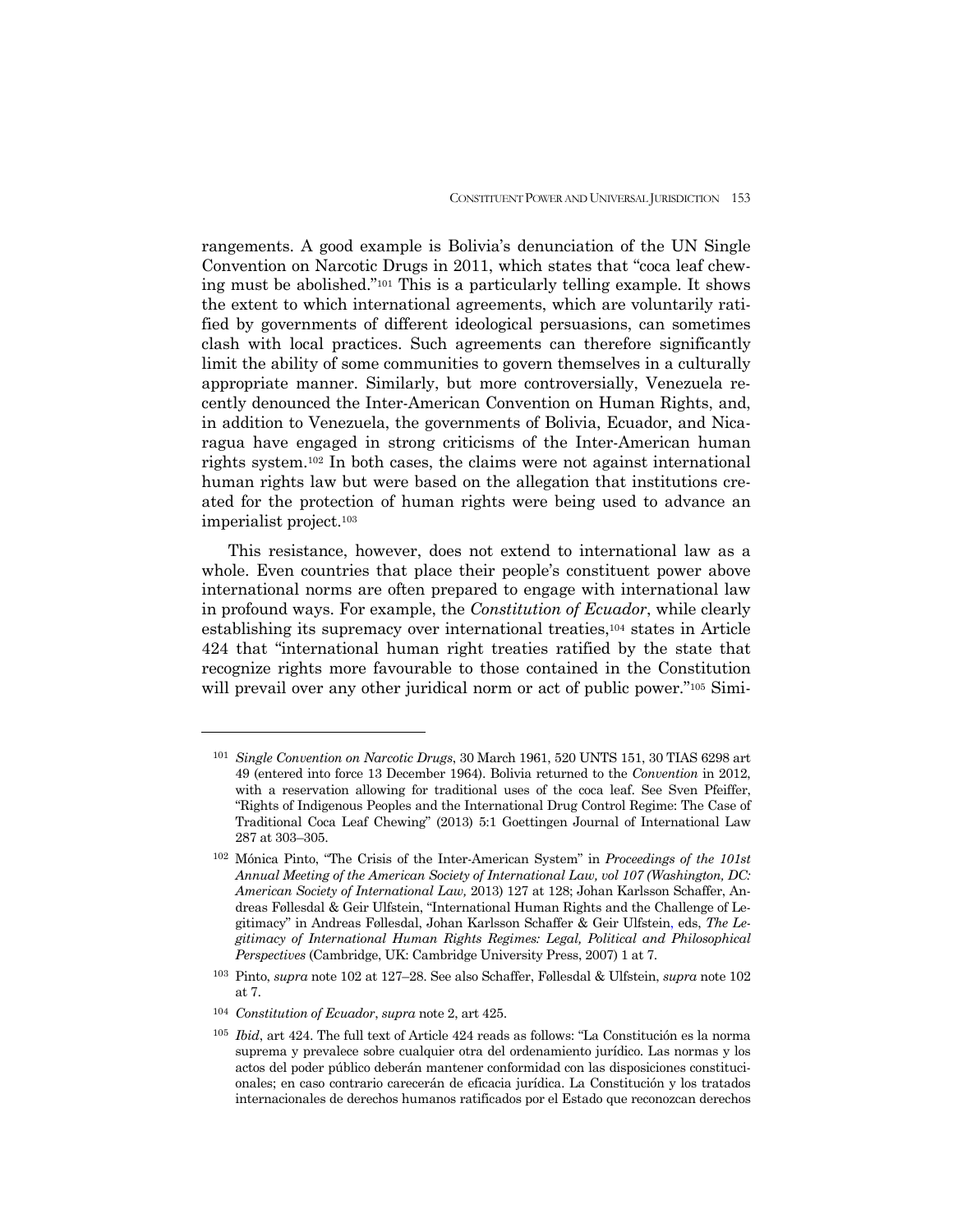rangements. A good example is Bolivia's denunciation of the UN Single Convention on Narcotic Drugs in 2011, which states that "coca leaf chewing must be abolished."101 This is a particularly telling example. It shows the extent to which international agreements, which are voluntarily ratified by governments of different ideological persuasions, can sometimes clash with local practices. Such agreements can therefore significantly limit the ability of some communities to govern themselves in a culturally appropriate manner. Similarly, but more controversially, Venezuela recently denounced the Inter-American Convention on Human Rights, and, in addition to Venezuela, the governments of Bolivia, Ecuador, and Nicaragua have engaged in strong criticisms of the Inter-American human rights system.102 In both cases, the claims were not against international human rights law but were based on the allegation that institutions created for the protection of human rights were being used to advance an imperialist project.103

 This resistance, however, does not extend to international law as a whole. Even countries that place their people's constituent power above international norms are often prepared to engage with international law in profound ways. For example, the *Constitution of Ecuador*, while clearly establishing its supremacy over international treaties,104 states in Article 424 that "international human right treaties ratified by the state that recognize rights more favourable to those contained in the Constitution will prevail over any other juridical norm or act of public power."<sup>105</sup> Simi-

<sup>101</sup> *Single Convention on Narcotic Drugs*, 30 March 1961, 520 UNTS 151, 30 TIAS 6298 art 49 (entered into force 13 December 1964). Bolivia returned to the *Convention* in 2012, with a reservation allowing for traditional uses of the coca leaf. See Sven Pfeiffer, "Rights of Indigenous Peoples and the International Drug Control Regime: The Case of Traditional Coca Leaf Chewing" (2013) 5:1 Goettingen Journal of International Law 287 at 303–305.

<sup>102</sup>Mónica Pinto, "The Crisis of the Inter-American System" in *Proceedings of the 101st Annual Meeting of the American Society of International Law, vol 107 (Washington, DC: American Society of International Law,* 2013) 127 at 128; Johan Karlsson Schaffer, Andreas Føllesdal & Geir Ulfstein, "International Human Rights and the Challenge of Legitimacy" in Andreas Føllesdal, Johan Karlsson Schaffer & Geir Ulfstein, eds, *The Legitimacy of International Human Rights Regimes: Legal, Political and Philosophical Perspectives* (Cambridge, UK: Cambridge University Press, 2007) 1 at 7.

<sup>103</sup> Pinto, *supra* note 102 at 127–28. See also Schaffer, Føllesdal & Ulfstein, *supra* note 102 at 7.

<sup>104</sup> *Constitution of Ecuador*, *supra* note 2, art 425.

<sup>105</sup> *Ibid*, art 424. The full text of Article 424 reads as follows: "La Constitución es la norma suprema y prevalece sobre cualquier otra del ordenamiento jurídico. Las normas y los actos del poder público deberán mantener conformidad con las disposiciones constitucionales; en caso contrario carecerán de eficacia jurídica. La Constitución y los tratados internacionales de derechos humanos ratificados por el Estado que reconozcan derechos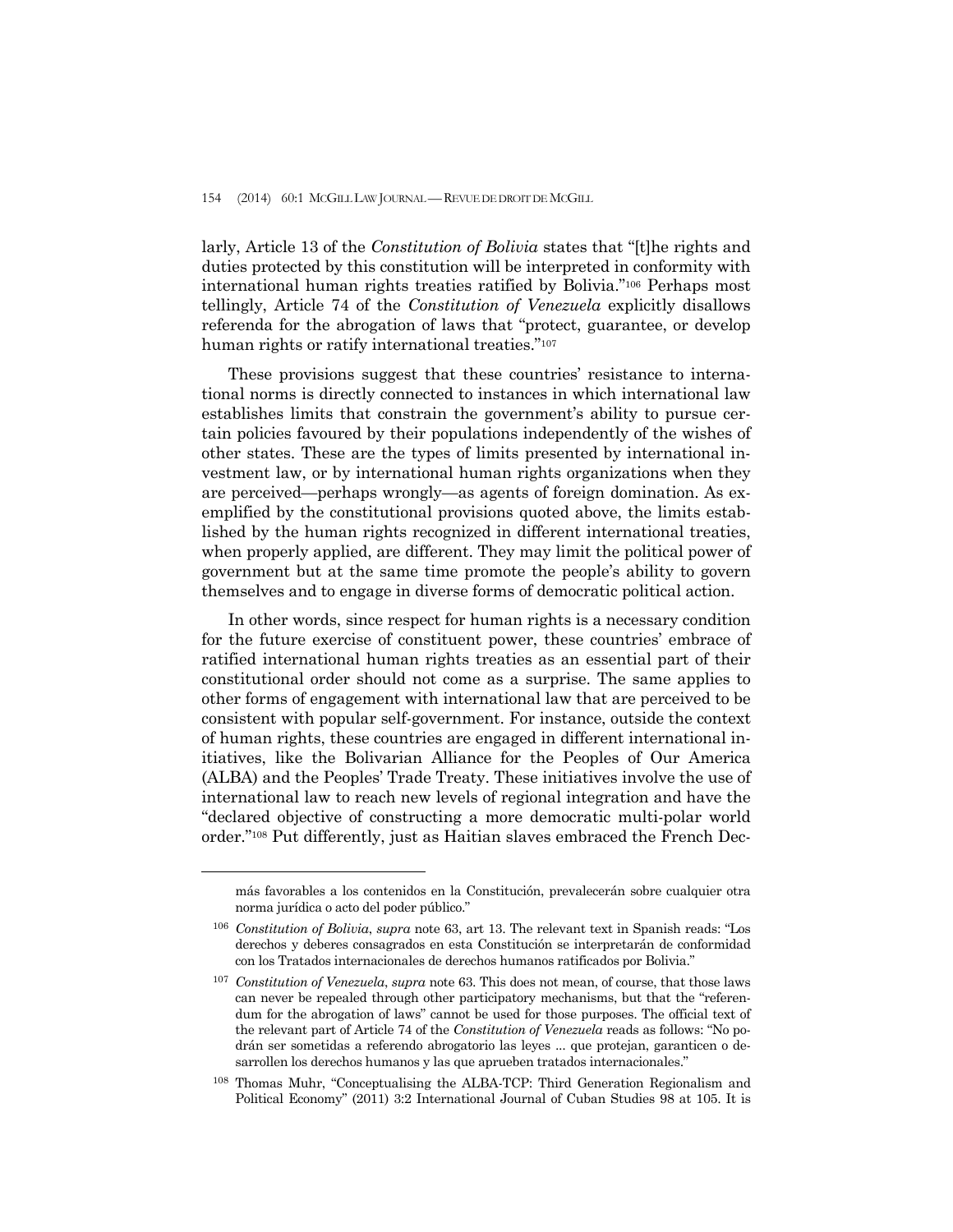larly, Article 13 of the *Constitution of Bolivia* states that "[t]he rights and duties protected by this constitution will be interpreted in conformity with international human rights treaties ratified by Bolivia."106 Perhaps most tellingly, Article 74 of the *Constitution of Venezuela* explicitly disallows referenda for the abrogation of laws that "protect, guarantee, or develop human rights or ratify international treaties."107

 These provisions suggest that these countries' resistance to international norms is directly connected to instances in which international law establishes limits that constrain the government's ability to pursue certain policies favoured by their populations independently of the wishes of other states. These are the types of limits presented by international investment law, or by international human rights organizations when they are perceived—perhaps wrongly—as agents of foreign domination. As exemplified by the constitutional provisions quoted above, the limits established by the human rights recognized in different international treaties, when properly applied, are different. They may limit the political power of government but at the same time promote the people's ability to govern themselves and to engage in diverse forms of democratic political action.

 In other words, since respect for human rights is a necessary condition for the future exercise of constituent power, these countries' embrace of ratified international human rights treaties as an essential part of their constitutional order should not come as a surprise. The same applies to other forms of engagement with international law that are perceived to be consistent with popular self-government. For instance, outside the context of human rights, these countries are engaged in different international initiatives, like the Bolivarian Alliance for the Peoples of Our America (ALBA) and the Peoples' Trade Treaty. These initiatives involve the use of international law to reach new levels of regional integration and have the "declared objective of constructing a more democratic multi-polar world order."108 Put differently, just as Haitian slaves embraced the French Dec-

más favorables a los contenidos en la Constitución, prevalecerán sobre cualquier otra norma jurídica o acto del poder público."

<sup>106</sup> *Constitution of Bolivia*, *supra* note 63, art 13. The relevant text in Spanish reads: "Los derechos y deberes consagrados en esta Constitución se interpretarán de conformidad con los Tratados internacionales de derechos humanos ratificados por Bolivia."

<sup>107</sup> *Constitution of Venezuela*, *supra* note 63. This does not mean, of course, that those laws can never be repealed through other participatory mechanisms, but that the "referendum for the abrogation of laws" cannot be used for those purposes. The official text of the relevant part of Article 74 of the *Constitution of Venezuela* reads as follows: "No podrán ser sometidas a referendo abrogatorio las leyes ... que protejan, garanticen o desarrollen los derechos humanos y las que aprueben tratados internacionales."

<sup>108</sup> Thomas Muhr, "Conceptualising the ALBA-TCP: Third Generation Regionalism and Political Economy" (2011) 3:2 International Journal of Cuban Studies 98 at 105. It is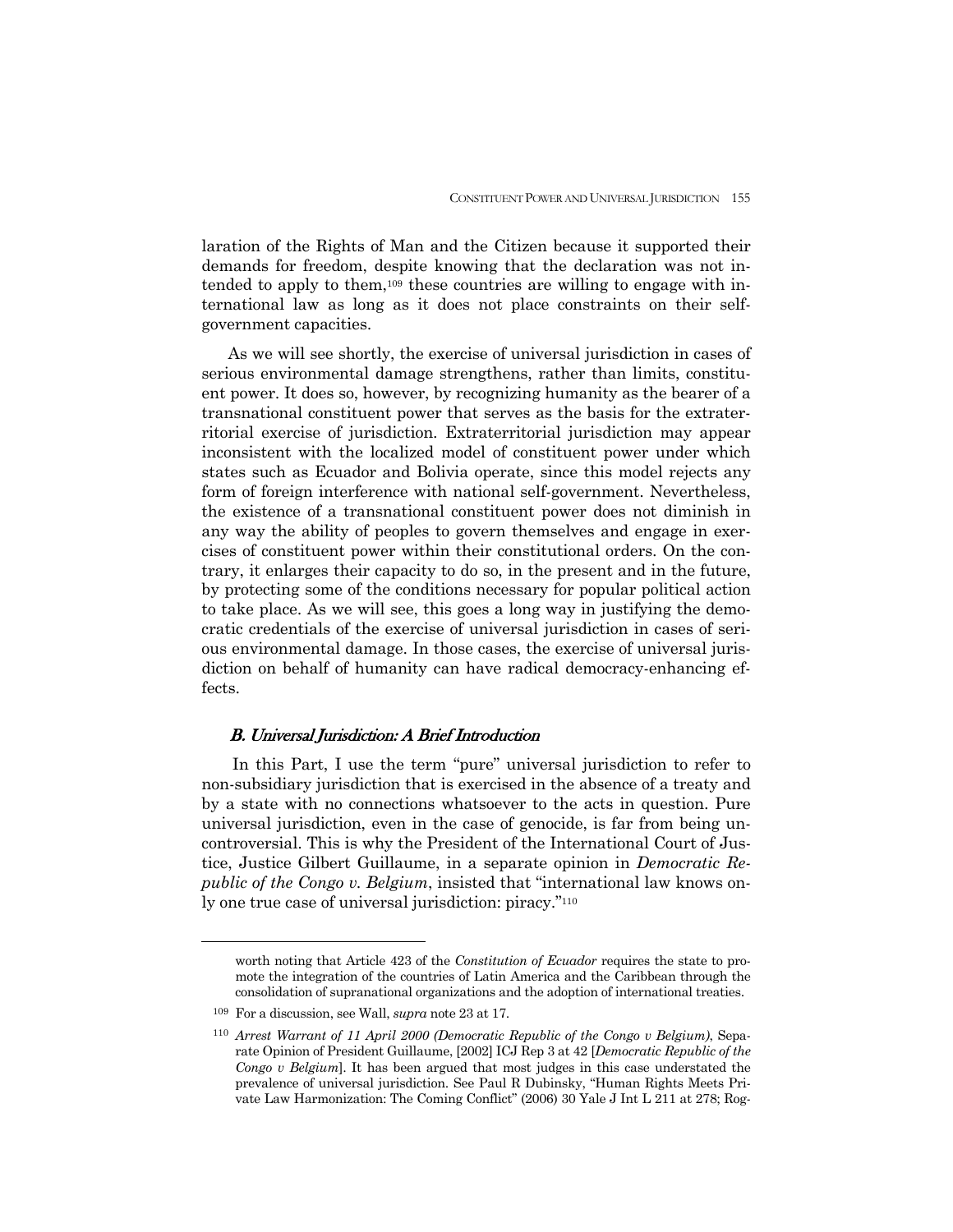laration of the Rights of Man and the Citizen because it supported their demands for freedom, despite knowing that the declaration was not intended to apply to them,109 these countries are willing to engage with international law as long as it does not place constraints on their selfgovernment capacities.

 As we will see shortly, the exercise of universal jurisdiction in cases of serious environmental damage strengthens, rather than limits, constituent power. It does so, however, by recognizing humanity as the bearer of a transnational constituent power that serves as the basis for the extraterritorial exercise of jurisdiction. Extraterritorial jurisdiction may appear inconsistent with the localized model of constituent power under which states such as Ecuador and Bolivia operate, since this model rejects any form of foreign interference with national self-government. Nevertheless, the existence of a transnational constituent power does not diminish in any way the ability of peoples to govern themselves and engage in exercises of constituent power within their constitutional orders. On the contrary, it enlarges their capacity to do so, in the present and in the future, by protecting some of the conditions necessary for popular political action to take place. As we will see, this goes a long way in justifying the democratic credentials of the exercise of universal jurisdiction in cases of serious environmental damage. In those cases, the exercise of universal jurisdiction on behalf of humanity can have radical democracy-enhancing effects.

## B. Universal Jurisdiction: A Brief Introduction

 In this Part, I use the term "pure" universal jurisdiction to refer to non-subsidiary jurisdiction that is exercised in the absence of a treaty and by a state with no connections whatsoever to the acts in question. Pure universal jurisdiction, even in the case of genocide, is far from being uncontroversial. This is why the President of the International Court of Justice, Justice Gilbert Guillaume, in a separate opinion in *Democratic Republic of the Congo v. Belgium*, insisted that "international law knows only one true case of universal jurisdiction: piracy."110

worth noting that Article 423 of the *Constitution of Ecuador* requires the state to promote the integration of the countries of Latin America and the Caribbean through the consolidation of supranational organizations and the adoption of international treaties.

<sup>109</sup> For a discussion, see Wall, *supra* note 23 at 17.

<sup>110</sup> *Arrest Warrant of 11 April 2000 (Democratic Republic of the Congo v Belgium)*, Separate Opinion of President Guillaume, [2002] ICJ Rep 3 at 42 [*Democratic Republic of the Congo v Belgium*]. It has been argued that most judges in this case understated the prevalence of universal jurisdiction. See Paul R Dubinsky, "Human Rights Meets Private Law Harmonization: The Coming Conflict" (2006) 30 Yale J Int L 211 at 278; Rog-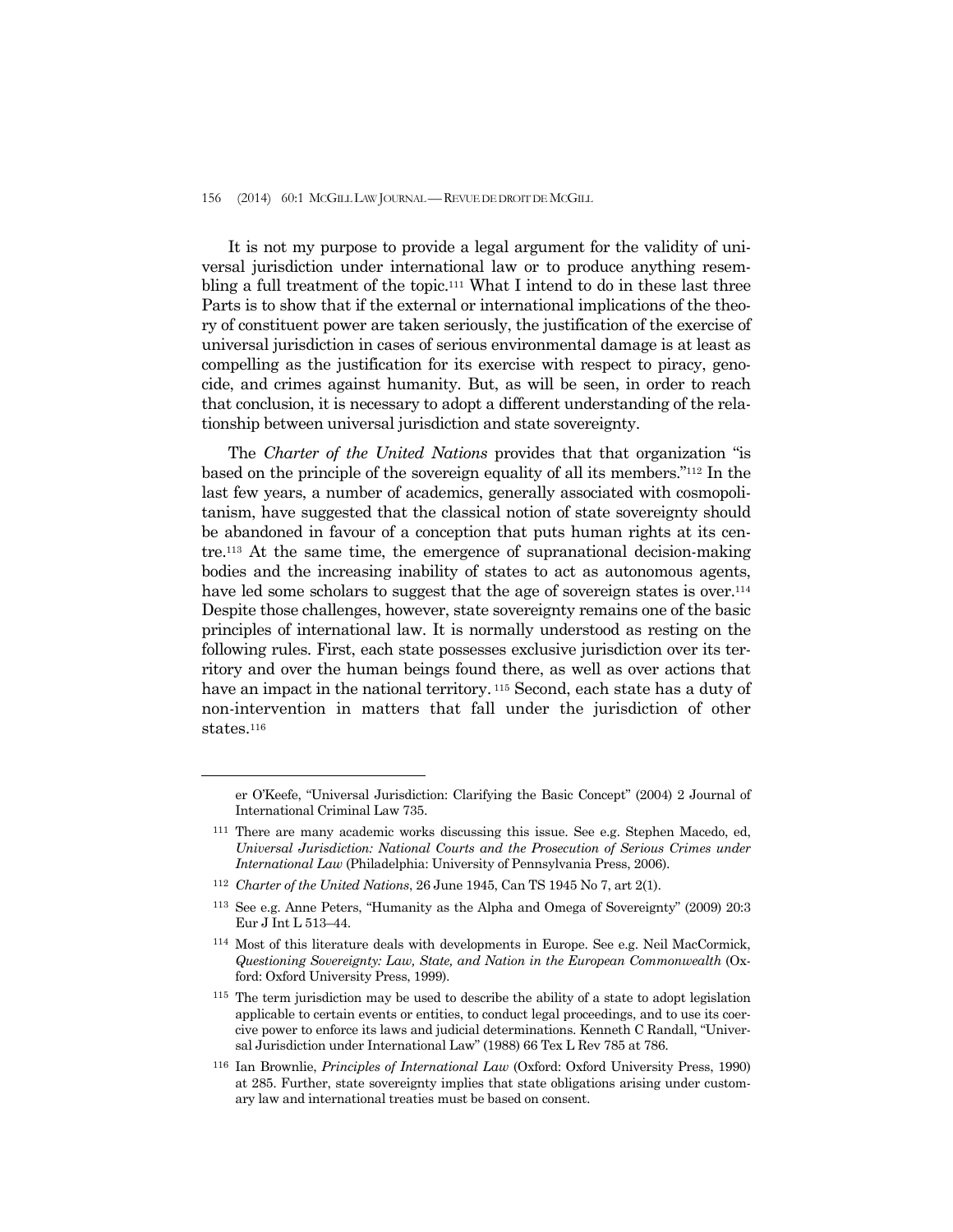It is not my purpose to provide a legal argument for the validity of universal jurisdiction under international law or to produce anything resembling a full treatment of the topic.111 What I intend to do in these last three Parts is to show that if the external or international implications of the theory of constituent power are taken seriously, the justification of the exercise of universal jurisdiction in cases of serious environmental damage is at least as compelling as the justification for its exercise with respect to piracy, genocide, and crimes against humanity. But, as will be seen, in order to reach that conclusion, it is necessary to adopt a different understanding of the relationship between universal jurisdiction and state sovereignty.

 The *Charter of the United Nations* provides that that organization "is based on the principle of the sovereign equality of all its members."112 In the last few years, a number of academics, generally associated with cosmopolitanism, have suggested that the classical notion of state sovereignty should be abandoned in favour of a conception that puts human rights at its centre.113 At the same time, the emergence of supranational decision-making bodies and the increasing inability of states to act as autonomous agents, have led some scholars to suggest that the age of sovereign states is over.<sup>114</sup> Despite those challenges, however, state sovereignty remains one of the basic principles of international law. It is normally understood as resting on the following rules. First, each state possesses exclusive jurisdiction over its territory and over the human beings found there, as well as over actions that have an impact in the national territory.<sup>115</sup> Second, each state has a duty of non-intervention in matters that fall under the jurisdiction of other states.<sup>116</sup>

er O'Keefe, "Universal Jurisdiction: Clarifying the Basic Concept" (2004) 2 Journal of International Criminal Law 735.

<sup>111</sup> There are many academic works discussing this issue. See e.g. Stephen Macedo, ed, *Universal Jurisdiction: National Courts and the Prosecution of Serious Crimes under International Law* (Philadelphia: University of Pennsylvania Press, 2006).

<sup>112</sup> *Charter of the United Nations*, 26 June 1945, Can TS 1945 No 7, art 2(1).

<sup>113</sup> See e.g. Anne Peters, "Humanity as the Alpha and Omega of Sovereignty" (2009) 20:3 Eur J Int L 513–44.

<sup>114</sup> Most of this literature deals with developments in Europe. See e.g. Neil MacCormick, *Questioning Sovereignty: Law, State, and Nation in the European Commonwealth* (Oxford: Oxford University Press, 1999).

<sup>&</sup>lt;sup>115</sup> The term jurisdiction may be used to describe the ability of a state to adopt legislation applicable to certain events or entities, to conduct legal proceedings, and to use its coercive power to enforce its laws and judicial determinations. Kenneth C Randall, "Universal Jurisdiction under International Law" (1988) 66 Tex L Rev 785 at 786.

<sup>116</sup> Ian Brownlie, *Principles of International Law* (Oxford: Oxford University Press, 1990) at 285. Further, state sovereignty implies that state obligations arising under customary law and international treaties must be based on consent.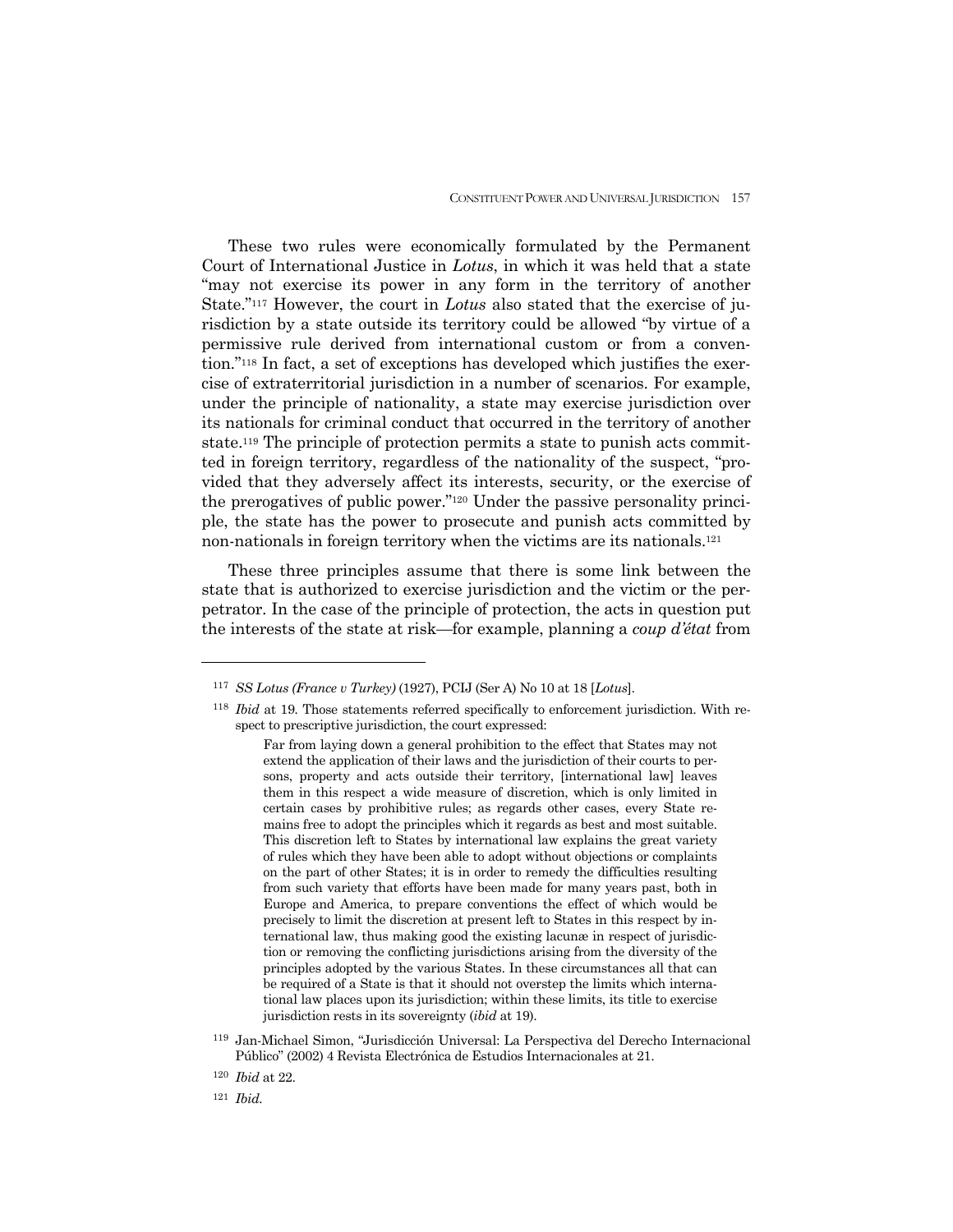These two rules were economically formulated by the Permanent Court of International Justice in *Lotus*, in which it was held that a state "may not exercise its power in any form in the territory of another State."117 However, the court in *Lotus* also stated that the exercise of jurisdiction by a state outside its territory could be allowed "by virtue of a permissive rule derived from international custom or from a convention."118 In fact, a set of exceptions has developed which justifies the exercise of extraterritorial jurisdiction in a number of scenarios. For example, under the principle of nationality, a state may exercise jurisdiction over its nationals for criminal conduct that occurred in the territory of another state.119 The principle of protection permits a state to punish acts committed in foreign territory, regardless of the nationality of the suspect, "provided that they adversely affect its interests, security, or the exercise of the prerogatives of public power."120 Under the passive personality principle, the state has the power to prosecute and punish acts committed by non-nationals in foreign territory when the victims are its nationals.121

 These three principles assume that there is some link between the state that is authorized to exercise jurisdiction and the victim or the perpetrator. In the case of the principle of protection, the acts in question put the interests of the state at risk—for example, planning a *coup d'état* from

<sup>117</sup> *SS Lotus (France v Turkey)* (1927), PCIJ (Ser A) No 10 at 18 [*Lotus*].

<sup>118</sup> *Ibid* at 19*.* Those statements referred specifically to enforcement jurisdiction. With respect to prescriptive jurisdiction, the court expressed:

Far from laying down a general prohibition to the effect that States may not extend the application of their laws and the jurisdiction of their courts to persons, property and acts outside their territory, [international law] leaves them in this respect a wide measure of discretion, which is only limited in certain cases by prohibitive rules; as regards other cases, every State remains free to adopt the principles which it regards as best and most suitable. This discretion left to States by international law explains the great variety of rules which they have been able to adopt without objections or complaints on the part of other States; it is in order to remedy the difficulties resulting from such variety that efforts have been made for many years past, both in Europe and America, to prepare conventions the effect of which would be precisely to limit the discretion at present left to States in this respect by international law, thus making good the existing lacunæ in respect of jurisdiction or removing the conflicting jurisdictions arising from the diversity of the principles adopted by the various States. In these circumstances all that can be required of a State is that it should not overstep the limits which international law places upon its jurisdiction; within these limits, its title to exercise jurisdiction rests in its sovereignty (*ibid* at 19).

<sup>119</sup> Jan-Michael Simon, "Jurisdicción Universal: La Perspectiva del Derecho Internacional Público" (2002) 4 Revista Electrónica de Estudios Internacionales at 21.

<sup>120</sup> *Ibid* at 22.

<sup>121</sup> *Ibid.*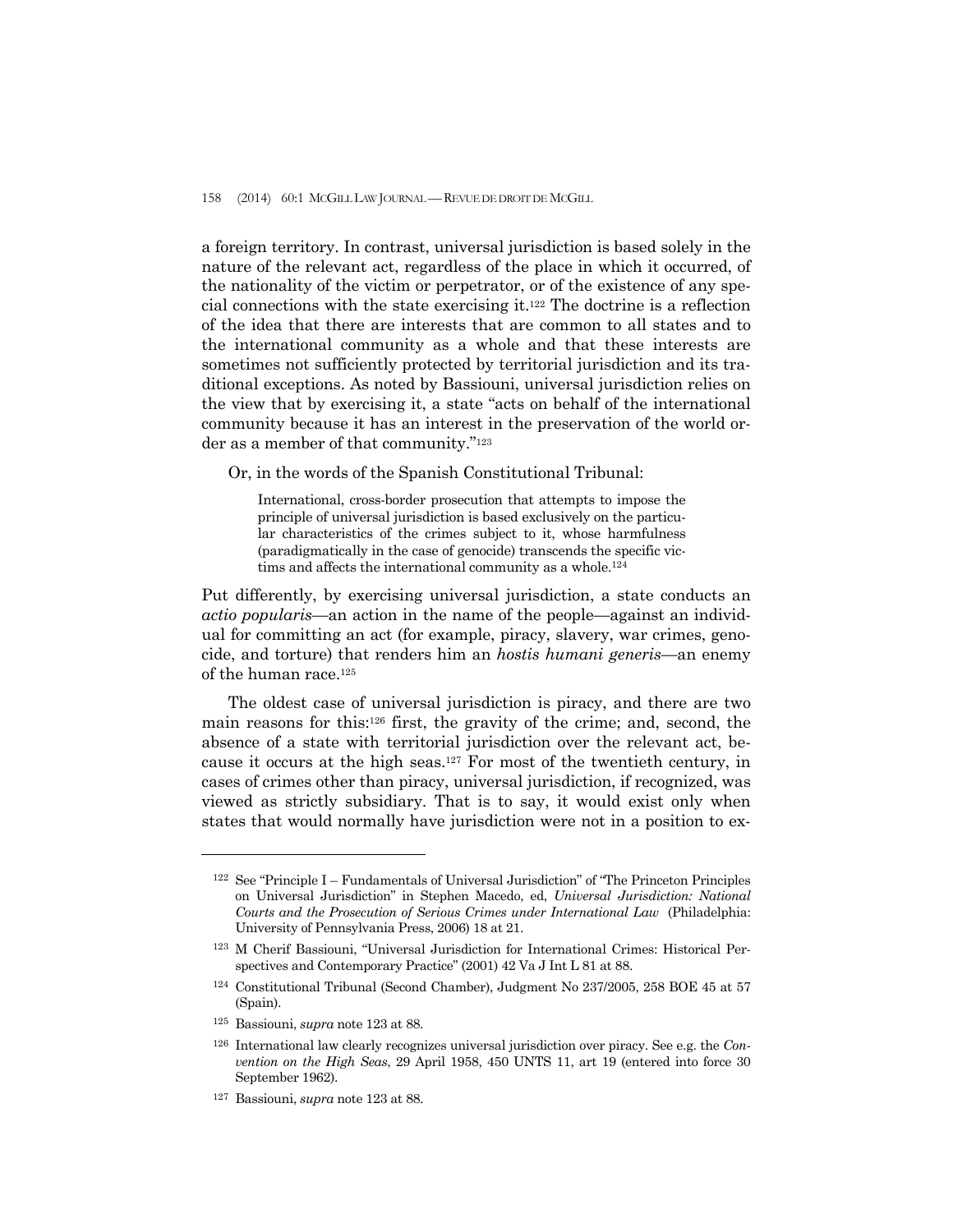a foreign territory. In contrast, universal jurisdiction is based solely in the nature of the relevant act, regardless of the place in which it occurred, of the nationality of the victim or perpetrator, or of the existence of any special connections with the state exercising it.122 The doctrine is a reflection of the idea that there are interests that are common to all states and to the international community as a whole and that these interests are sometimes not sufficiently protected by territorial jurisdiction and its traditional exceptions. As noted by Bassiouni, universal jurisdiction relies on the view that by exercising it, a state "acts on behalf of the international community because it has an interest in the preservation of the world order as a member of that community."123

Or, in the words of the Spanish Constitutional Tribunal:

International, cross-border prosecution that attempts to impose the principle of universal jurisdiction is based exclusively on the particular characteristics of the crimes subject to it, whose harmfulness (paradigmatically in the case of genocide) transcends the specific victims and affects the international community as a whole.<sup>124</sup>

Put differently, by exercising universal jurisdiction, a state conducts an *actio popularis*—an action in the name of the people—against an individual for committing an act (for example, piracy, slavery, war crimes, genocide, and torture) that renders him an *hostis humani generis*—an enemy of the human race.125

 The oldest case of universal jurisdiction is piracy, and there are two main reasons for this:126 first, the gravity of the crime; and, second, the absence of a state with territorial jurisdiction over the relevant act, because it occurs at the high seas.127 For most of the twentieth century, in cases of crimes other than piracy, universal jurisdiction, if recognized, was viewed as strictly subsidiary. That is to say, it would exist only when states that would normally have jurisdiction were not in a position to ex-

 $122$  See "Principle I – Fundamentals of Universal Jurisdiction" of "The Princeton Principles on Universal Jurisdiction" in Stephen Macedo, ed, *Universal Jurisdiction: National Courts and the Prosecution of Serious Crimes under International Law* (Philadelphia: University of Pennsylvania Press, 2006) 18 at 21.

<sup>123</sup> M Cherif Bassiouni, "Universal Jurisdiction for International Crimes: Historical Perspectives and Contemporary Practice" (2001) 42 Va J Int L 81 at 88.

<sup>124</sup> Constitutional Tribunal (Second Chamber), Judgment No 237/2005, 258 BOE 45 at 57 (Spain).

<sup>125</sup> Bassiouni, *supra* note 123 at 88.

<sup>126</sup> International law clearly recognizes universal jurisdiction over piracy. See e.g. the *Convention on the High Seas*, 29 April 1958, 450 UNTS 11, art 19 (entered into force 30 September 1962).

<sup>127</sup> Bassiouni, *supra* note 123 at 88.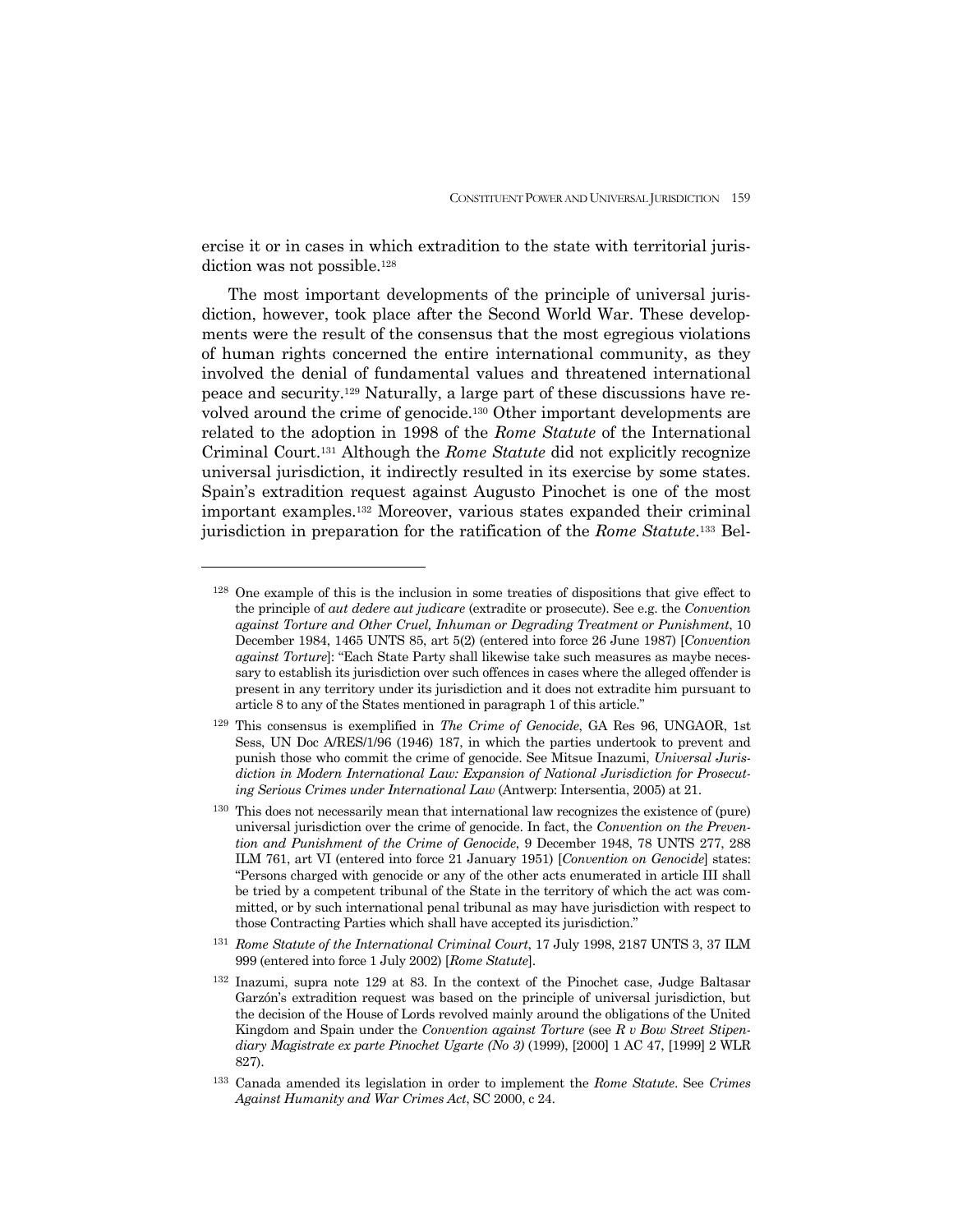ercise it or in cases in which extradition to the state with territorial jurisdiction was not possible.<sup>128</sup>

 The most important developments of the principle of universal jurisdiction, however, took place after the Second World War. These developments were the result of the consensus that the most egregious violations of human rights concerned the entire international community, as they involved the denial of fundamental values and threatened international peace and security.129 Naturally, a large part of these discussions have revolved around the crime of genocide.130 Other important developments are related to the adoption in 1998 of the *Rome Statute* of the International Criminal Court.131 Although the *Rome Statute* did not explicitly recognize universal jurisdiction, it indirectly resulted in its exercise by some states. Spain's extradition request against Augusto Pinochet is one of the most important examples.132 Moreover, various states expanded their criminal jurisdiction in preparation for the ratification of the *Rome Statute*.133 Bel-

-

131 *Rome Statute of the International Criminal Court*, 17 July 1998, 2187 UNTS 3, 37 ILM 999 (entered into force 1 July 2002) [*Rome Statute*].

<sup>128</sup> One example of this is the inclusion in some treaties of dispositions that give effect to the principle of *aut dedere aut judicare* (extradite or prosecute). See e.g. the *Convention against Torture and Other Cruel, Inhuman or Degrading Treatment or Punishment*, 10 December 1984, 1465 UNTS 85, art 5(2) (entered into force 26 June 1987) [*Convention against Torture*]: "Each State Party shall likewise take such measures as maybe necessary to establish its jurisdiction over such offences in cases where the alleged offender is present in any territory under its jurisdiction and it does not extradite him pursuant to article 8 to any of the States mentioned in paragraph 1 of this article."

<sup>129</sup> This consensus is exemplified in *The Crime of Genocide*, GA Res 96, UNGAOR, 1st Sess, UN Doc A/RES/1/96 (1946) 187, in which the parties undertook to prevent and punish those who commit the crime of genocide. See Mitsue Inazumi, *Universal Jurisdiction in Modern International Law: Expansion of National Jurisdiction for Prosecuting Serious Crimes under International Law* (Antwerp: Intersentia, 2005) at 21.

<sup>130</sup> This does not necessarily mean that international law recognizes the existence of (pure) universal jurisdiction over the crime of genocide. In fact, the *Convention on the Prevention and Punishment of the Crime of Genocide*, 9 December 1948, 78 UNTS 277, 288 ILM 761, art VI (entered into force 21 January 1951) [*Convention on Genocide*] states: "Persons charged with genocide or any of the other acts enumerated in article III shall be tried by a competent tribunal of the State in the territory of which the act was committed, or by such international penal tribunal as may have jurisdiction with respect to those Contracting Parties which shall have accepted its jurisdiction."

<sup>132</sup> Inazumi, supra note 129 at 83. In the context of the Pinochet case, Judge Baltasar Garzón's extradition request was based on the principle of universal jurisdiction, but the decision of the House of Lords revolved mainly around the obligations of the United Kingdom and Spain under the *Convention against Torture* (see *R v Bow Street Stipendiary Magistrate ex parte Pinochet Ugarte (No 3)* (1999), [2000] 1 AC 47, [1999] 2 WLR 827).

<sup>133</sup> Canada amended its legislation in order to implement the *Rome Statute*. See *Crimes Against Humanity and War Crimes Act*, SC 2000, c 24.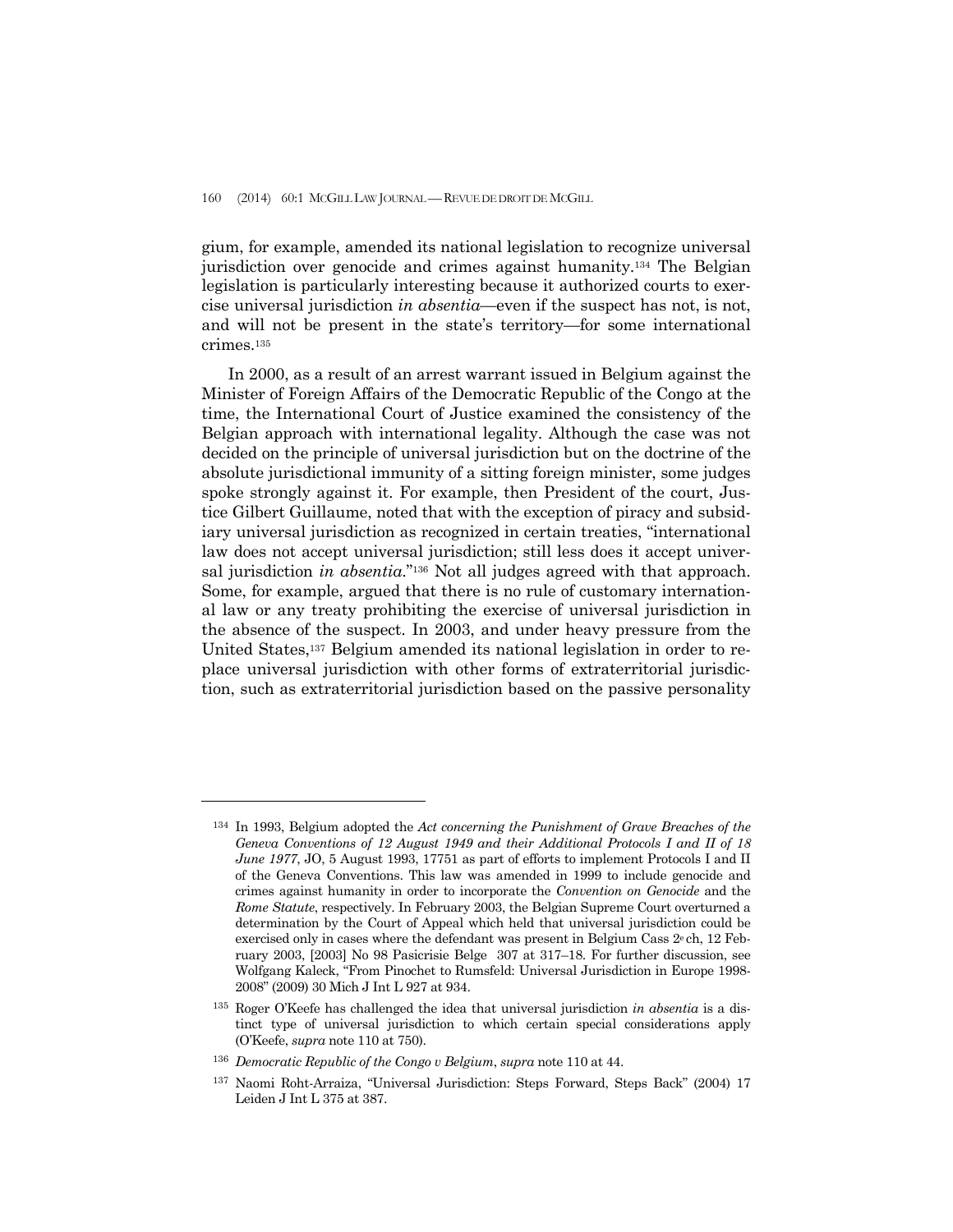gium, for example, amended its national legislation to recognize universal jurisdiction over genocide and crimes against humanity.134 The Belgian legislation is particularly interesting because it authorized courts to exercise universal jurisdiction *in absentia*—even if the suspect has not, is not, and will not be present in the state's territory—for some international crimes.135

 In 2000, as a result of an arrest warrant issued in Belgium against the Minister of Foreign Affairs of the Democratic Republic of the Congo at the time, the International Court of Justice examined the consistency of the Belgian approach with international legality. Although the case was not decided on the principle of universal jurisdiction but on the doctrine of the absolute jurisdictional immunity of a sitting foreign minister, some judges spoke strongly against it. For example, then President of the court, Justice Gilbert Guillaume, noted that with the exception of piracy and subsidiary universal jurisdiction as recognized in certain treaties, "international law does not accept universal jurisdiction; still less does it accept universal jurisdiction *in absentia*."136 Not all judges agreed with that approach. Some, for example, argued that there is no rule of customary international law or any treaty prohibiting the exercise of universal jurisdiction in the absence of the suspect. In 2003, and under heavy pressure from the United States,137 Belgium amended its national legislation in order to replace universal jurisdiction with other forms of extraterritorial jurisdiction, such as extraterritorial jurisdiction based on the passive personality

<sup>134</sup> In 1993, Belgium adopted the *Act concerning the Punishment of Grave Breaches of the Geneva Conventions of 12 August 1949 and their Additional Protocols I and II of 18 June 1977*, JO, 5 August 1993, 17751 as part of efforts to implement Protocols I and II of the Geneva Conventions. This law was amended in 1999 to include genocide and crimes against humanity in order to incorporate the *Convention on Genocide* and the *Rome Statute*, respectively. In February 2003, the Belgian Supreme Court overturned a determination by the Court of Appeal which held that universal jurisdiction could be exercised only in cases where the defendant was present in Belgium Cass 2e ch, 12 February 2003, [2003] No 98 Pasicrisie Belge 307 at 317–18. For further discussion, see Wolfgang Kaleck, "From Pinochet to Rumsfeld: Universal Jurisdiction in Europe 1998- 2008" (2009) 30 Mich J Int L 927 at 934.

<sup>135</sup> Roger O'Keefe has challenged the idea that universal jurisdiction *in absentia* is a distinct type of universal jurisdiction to which certain special considerations apply (O'Keefe, *supra* note 110 at 750).

<sup>136</sup> *Democratic Republic of the Congo v Belgium*, *supra* note 110 at 44.

<sup>137</sup> Naomi Roht-Arraiza, "Universal Jurisdiction: Steps Forward, Steps Back" (2004) 17 Leiden J Int L 375 at 387.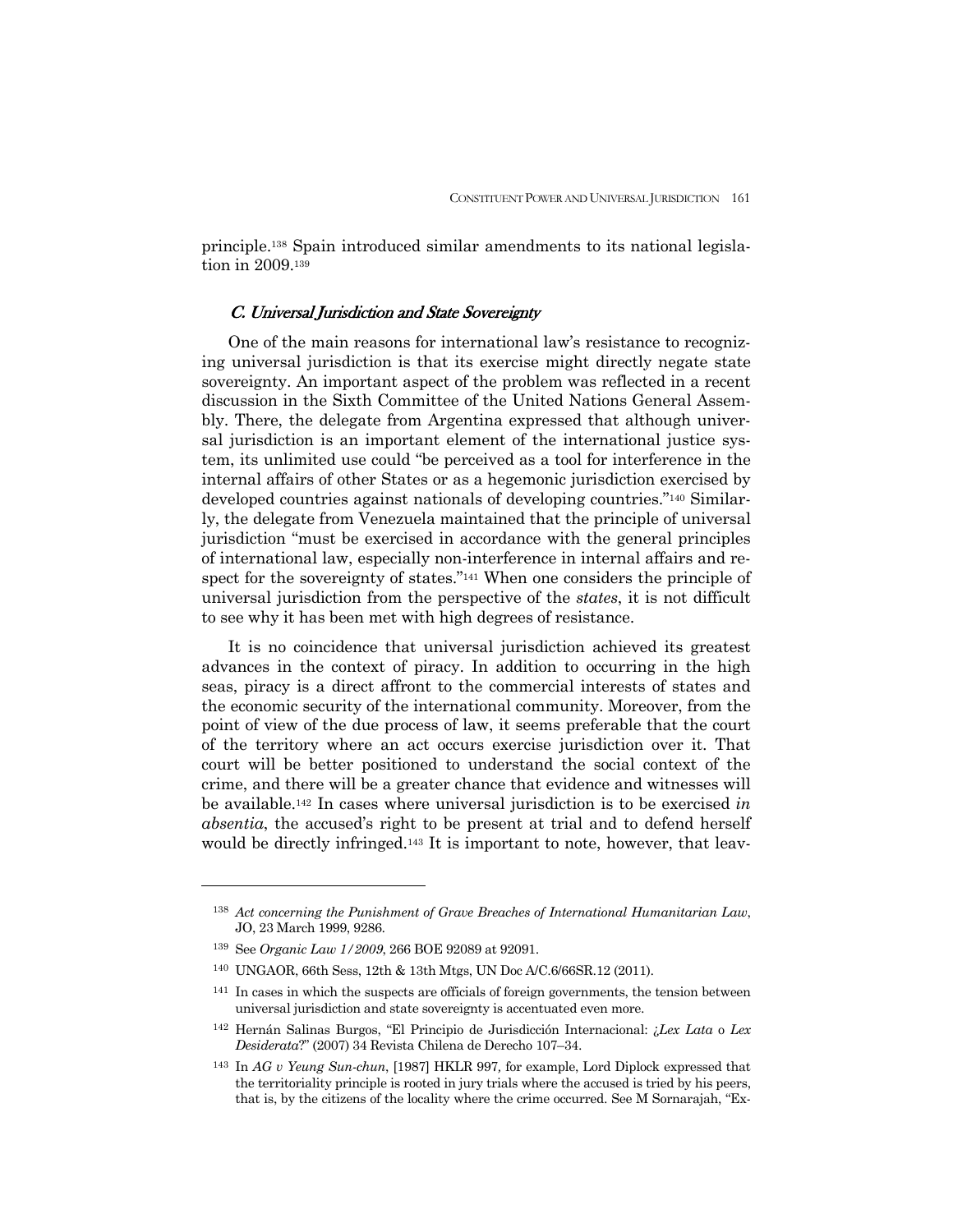principle.138 Spain introduced similar amendments to its national legislation in 2009.139

## C. Universal Jurisdiction and State Sovereignty

 One of the main reasons for international law's resistance to recognizing universal jurisdiction is that its exercise might directly negate state sovereignty. An important aspect of the problem was reflected in a recent discussion in the Sixth Committee of the United Nations General Assembly. There, the delegate from Argentina expressed that although universal jurisdiction is an important element of the international justice system, its unlimited use could "be perceived as a tool for interference in the internal affairs of other States or as a hegemonic jurisdiction exercised by developed countries against nationals of developing countries."140 Similarly, the delegate from Venezuela maintained that the principle of universal jurisdiction "must be exercised in accordance with the general principles of international law, especially non-interference in internal affairs and respect for the sovereignty of states."141 When one considers the principle of universal jurisdiction from the perspective of the *states*, it is not difficult to see why it has been met with high degrees of resistance.

 It is no coincidence that universal jurisdiction achieved its greatest advances in the context of piracy. In addition to occurring in the high seas, piracy is a direct affront to the commercial interests of states and the economic security of the international community. Moreover, from the point of view of the due process of law, it seems preferable that the court of the territory where an act occurs exercise jurisdiction over it. That court will be better positioned to understand the social context of the crime, and there will be a greater chance that evidence and witnesses will be available.142 In cases where universal jurisdiction is to be exercised *in absentia*, the accused's right to be present at trial and to defend herself would be directly infringed.143 It is important to note, however, that leav-

<sup>138</sup> *Act concerning the Punishment of Grave Breaches of International Humanitarian Law*, JO, 23 March 1999, 9286.

<sup>139</sup> See *Organic Law 1/2009*, 266 BOE 92089 at 92091.

<sup>140</sup> UNGAOR, 66th Sess, 12th & 13th Mtgs, UN Doc A/C.6/66SR.12 (2011).

<sup>141</sup> In cases in which the suspects are officials of foreign governments, the tension between universal jurisdiction and state sovereignty is accentuated even more.

<sup>142</sup> Hernán Salinas Burgos, "El Principio de Jurisdicción Internacional: ¿*Lex Lata* o *Lex Desiderata*?" (2007) 34 Revista Chilena de Derecho 107–34.

<sup>143</sup> In *AG v Yeung Sun-chun*, [1987] HKLR 997*,* for example, Lord Diplock expressed that the territoriality principle is rooted in jury trials where the accused is tried by his peers, that is, by the citizens of the locality where the crime occurred. See M Sornarajah, "Ex-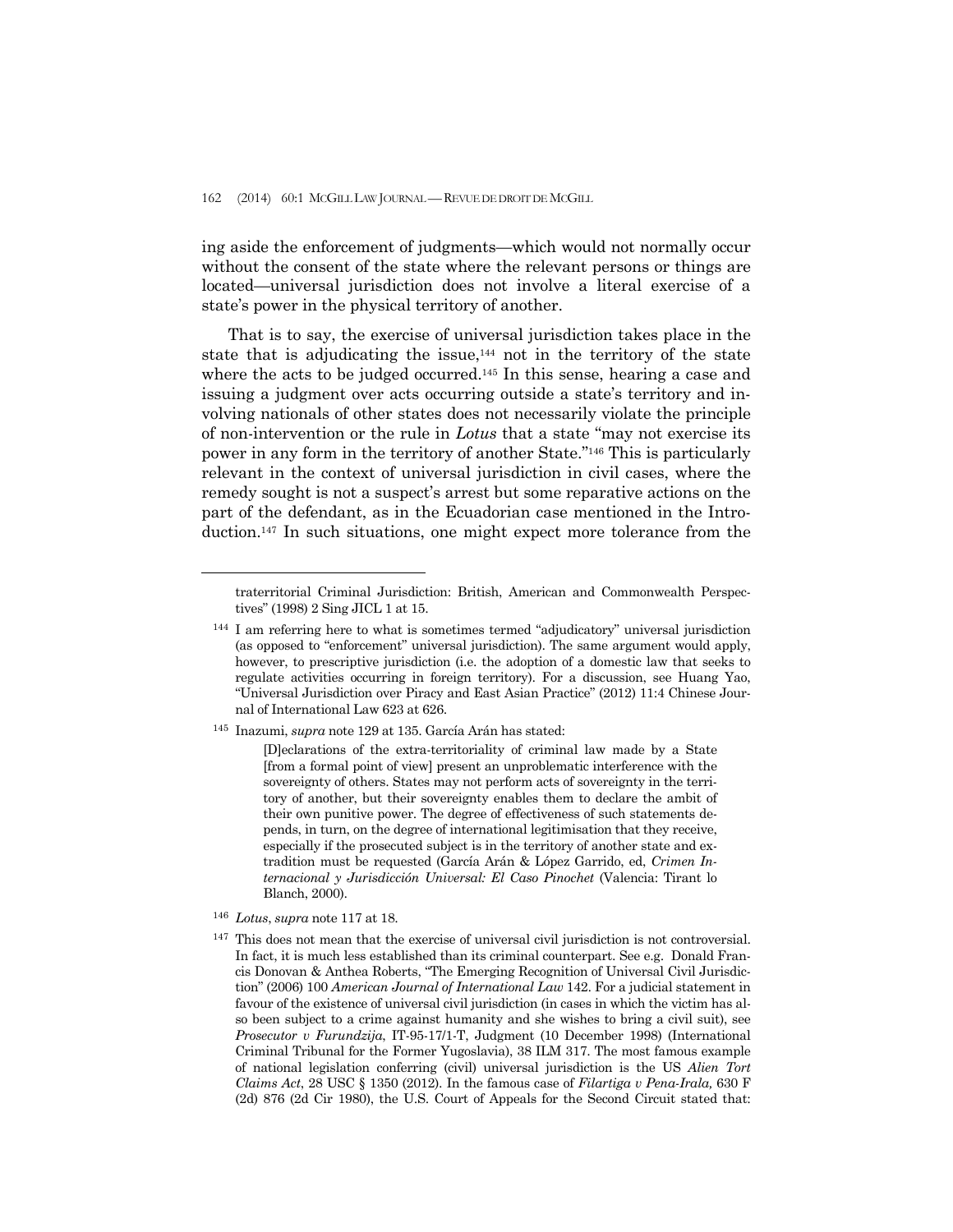ing aside the enforcement of judgments—which would not normally occur without the consent of the state where the relevant persons or things are located—universal jurisdiction does not involve a literal exercise of a state's power in the physical territory of another.

 That is to say, the exercise of universal jurisdiction takes place in the state that is adjudicating the issue, $144$  not in the territory of the state where the acts to be judged occurred.<sup>145</sup> In this sense, hearing a case and issuing a judgment over acts occurring outside a state's territory and involving nationals of other states does not necessarily violate the principle of non-intervention or the rule in *Lotus* that a state "may not exercise its power in any form in the territory of another State."146 This is particularly relevant in the context of universal jurisdiction in civil cases, where the remedy sought is not a suspect's arrest but some reparative actions on the part of the defendant, as in the Ecuadorian case mentioned in the Introduction.147 In such situations, one might expect more tolerance from the

145 Inazumi, *supra* note 129 at 135. García Arán has stated:

[D]eclarations of the extra-territoriality of criminal law made by a State [from a formal point of view] present an unproblematic interference with the sovereignty of others. States may not perform acts of sovereignty in the territory of another, but their sovereignty enables them to declare the ambit of their own punitive power. The degree of effectiveness of such statements depends, in turn, on the degree of international legitimisation that they receive, especially if the prosecuted subject is in the territory of another state and extradition must be requested (García Arán & López Garrido, ed, *Crimen Internacional y Jurisdicción Universal: El Caso Pinochet* (Valencia: Tirant lo Blanch, 2000).

<sup>146</sup> *Lotus*, *supra* note 117 at 18.

traterritorial Criminal Jurisdiction: British, American and Commonwealth Perspectives" (1998) 2 Sing JICL 1 at 15.

<sup>144</sup> I am referring here to what is sometimes termed "adjudicatory" universal jurisdiction (as opposed to "enforcement" universal jurisdiction). The same argument would apply, however, to prescriptive jurisdiction (i.e. the adoption of a domestic law that seeks to regulate activities occurring in foreign territory). For a discussion, see Huang Yao, "Universal Jurisdiction over Piracy and East Asian Practice" (2012) 11:4 Chinese Journal of International Law 623 at 626.

 $147$  This does not mean that the exercise of universal civil jurisdiction is not controversial. In fact, it is much less established than its criminal counterpart. See e.g. Donald Francis Donovan & Anthea Roberts, "The Emerging Recognition of Universal Civil Jurisdiction" (2006) 100 *American Journal of International Law* 142. For a judicial statement in favour of the existence of universal civil jurisdiction (in cases in which the victim has also been subject to a crime against humanity and she wishes to bring a civil suit), see *Prosecutor v Furundzija*, IT-95-17/1-T, Judgment (10 December 1998) (International Criminal Tribunal for the Former Yugoslavia), 38 ILM 317. The most famous example of national legislation conferring (civil) universal jurisdiction is the US *Alien Tort Claims Act*, 28 USC § 1350 (2012). In the famous case of *Filartiga v Pena-Irala,* 630 F (2d) 876 (2d Cir 1980), the U.S. Court of Appeals for the Second Circuit stated that: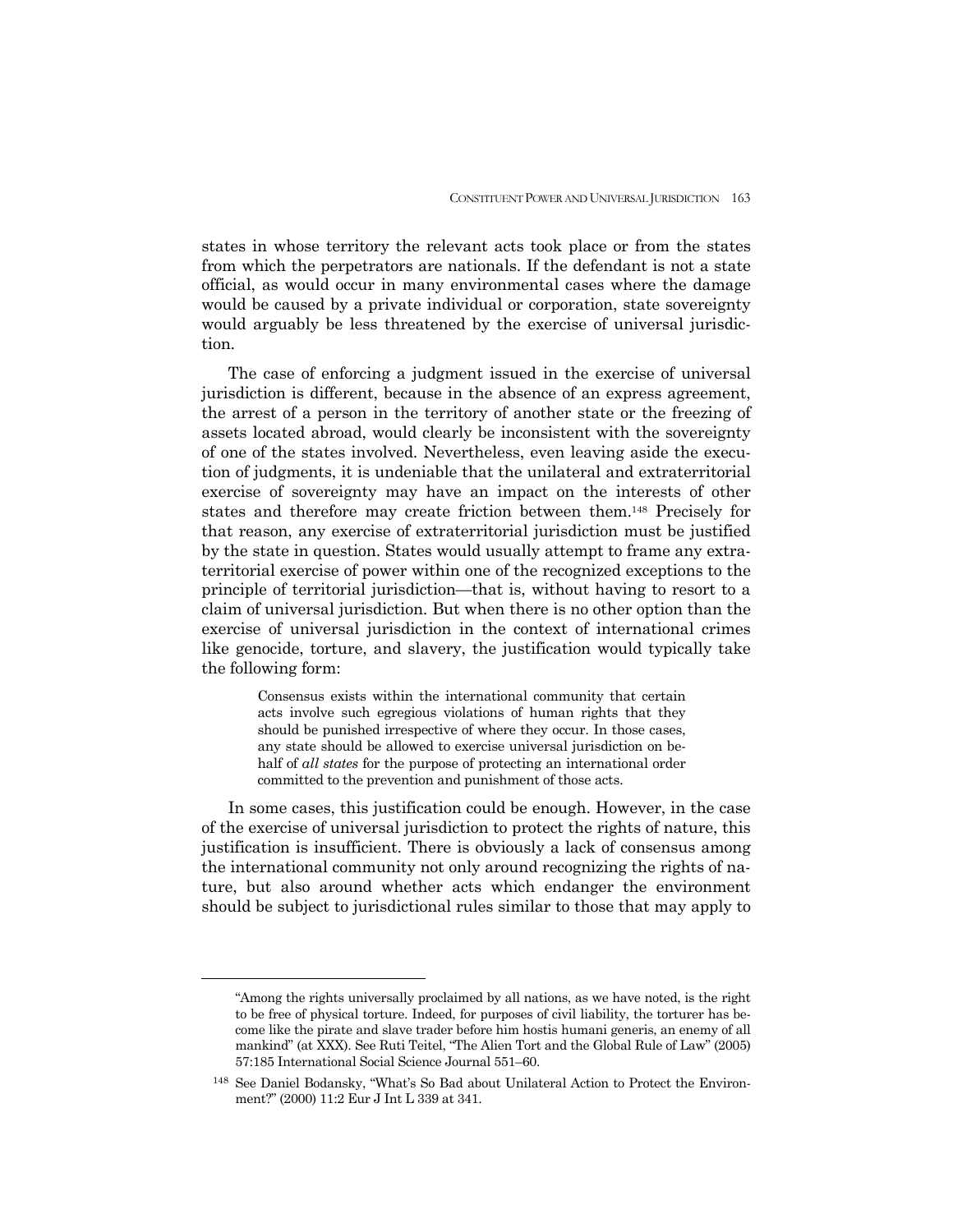states in whose territory the relevant acts took place or from the states from which the perpetrators are nationals. If the defendant is not a state official, as would occur in many environmental cases where the damage would be caused by a private individual or corporation, state sovereignty would arguably be less threatened by the exercise of universal jurisdiction.

 The case of enforcing a judgment issued in the exercise of universal jurisdiction is different, because in the absence of an express agreement, the arrest of a person in the territory of another state or the freezing of assets located abroad, would clearly be inconsistent with the sovereignty of one of the states involved. Nevertheless, even leaving aside the execution of judgments, it is undeniable that the unilateral and extraterritorial exercise of sovereignty may have an impact on the interests of other states and therefore may create friction between them.148 Precisely for that reason, any exercise of extraterritorial jurisdiction must be justified by the state in question. States would usually attempt to frame any extraterritorial exercise of power within one of the recognized exceptions to the principle of territorial jurisdiction—that is, without having to resort to a claim of universal jurisdiction. But when there is no other option than the exercise of universal jurisdiction in the context of international crimes like genocide, torture, and slavery, the justification would typically take the following form:

> Consensus exists within the international community that certain acts involve such egregious violations of human rights that they should be punished irrespective of where they occur. In those cases, any state should be allowed to exercise universal jurisdiction on behalf of *all states* for the purpose of protecting an international order committed to the prevention and punishment of those acts.

 In some cases, this justification could be enough. However, in the case of the exercise of universal jurisdiction to protect the rights of nature, this justification is insufficient. There is obviously a lack of consensus among the international community not only around recognizing the rights of nature, but also around whether acts which endanger the environment should be subject to jurisdictional rules similar to those that may apply to

<sup>&</sup>quot;Among the rights universally proclaimed by all nations, as we have noted, is the right to be free of physical torture. Indeed, for purposes of civil liability, the torturer has become like the pirate and slave trader before him hostis humani generis, an enemy of all mankind" (at XXX). See Ruti Teitel, "The Alien Tort and the Global Rule of Law" (2005) 57:185 International Social Science Journal 551–60.

<sup>148</sup> See Daniel Bodansky, "What's So Bad about Unilateral Action to Protect the Environment?" (2000) 11:2 Eur J Int L 339 at 341.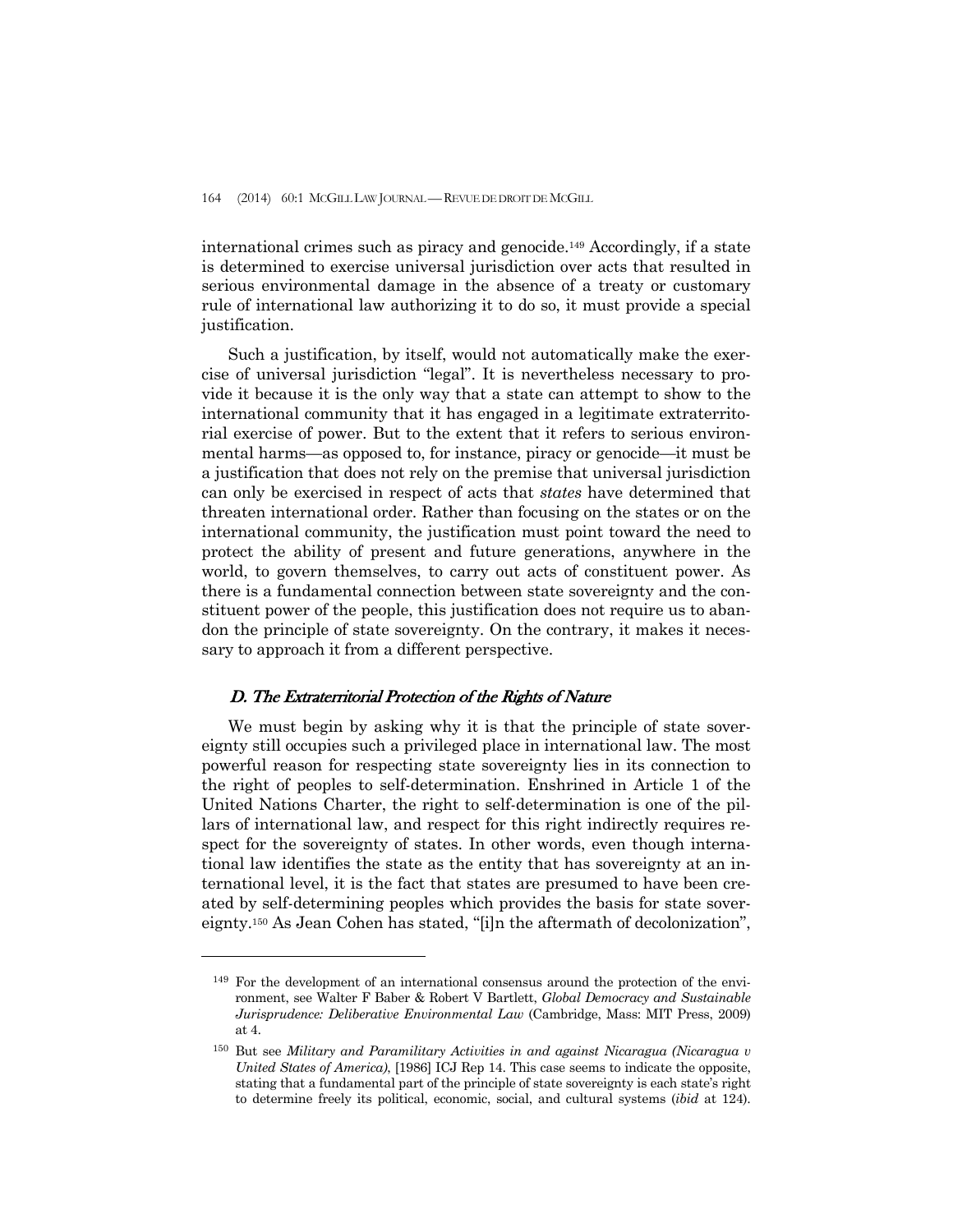international crimes such as piracy and genocide.149 Accordingly, if a state is determined to exercise universal jurisdiction over acts that resulted in serious environmental damage in the absence of a treaty or customary rule of international law authorizing it to do so, it must provide a special justification.

 Such a justification, by itself, would not automatically make the exercise of universal jurisdiction "legal". It is nevertheless necessary to provide it because it is the only way that a state can attempt to show to the international community that it has engaged in a legitimate extraterritorial exercise of power. But to the extent that it refers to serious environmental harms—as opposed to, for instance, piracy or genocide—it must be a justification that does not rely on the premise that universal jurisdiction can only be exercised in respect of acts that *states* have determined that threaten international order. Rather than focusing on the states or on the international community, the justification must point toward the need to protect the ability of present and future generations, anywhere in the world, to govern themselves, to carry out acts of constituent power. As there is a fundamental connection between state sovereignty and the constituent power of the people, this justification does not require us to abandon the principle of state sovereignty. On the contrary, it makes it necessary to approach it from a different perspective.

## D. The Extraterritorial Protection of the Rights of Nature

-

We must begin by asking why it is that the principle of state sovereignty still occupies such a privileged place in international law. The most powerful reason for respecting state sovereignty lies in its connection to the right of peoples to self-determination. Enshrined in Article 1 of the United Nations Charter, the right to self-determination is one of the pillars of international law, and respect for this right indirectly requires respect for the sovereignty of states. In other words, even though international law identifies the state as the entity that has sovereignty at an international level, it is the fact that states are presumed to have been created by self-determining peoples which provides the basis for state sovereignty.150 As Jean Cohen has stated, "[i]n the aftermath of decolonization",

<sup>149</sup> For the development of an international consensus around the protection of the environment, see Walter F Baber & Robert V Bartlett, *Global Democracy and Sustainable Jurisprudence: Deliberative Environmental Law* (Cambridge, Mass: MIT Press, 2009) at 4.

<sup>150</sup> But see *Military and Paramilitary Activities in and against Nicaragua (Nicaragua v United States of America)*, [1986] ICJ Rep 14. This case seems to indicate the opposite, stating that a fundamental part of the principle of state sovereignty is each state's right to determine freely its political, economic, social, and cultural systems (*ibid* at 124).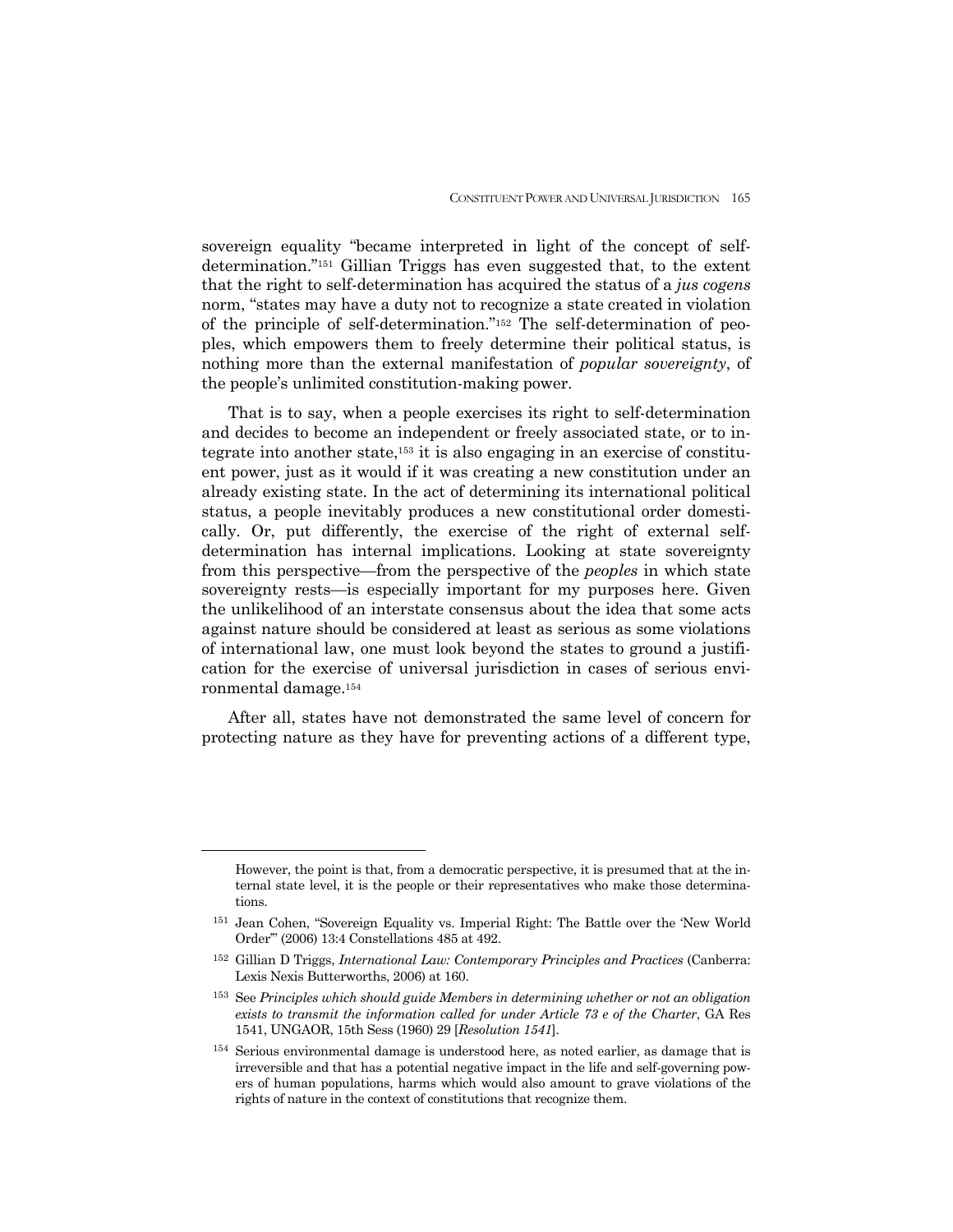sovereign equality "became interpreted in light of the concept of selfdetermination."151 Gillian Triggs has even suggested that, to the extent that the right to self-determination has acquired the status of a *jus cogens*  norm, "states may have a duty not to recognize a state created in violation of the principle of self-determination."152 The self-determination of peoples, which empowers them to freely determine their political status, is nothing more than the external manifestation of *popular sovereignty*, of the people's unlimited constitution-making power.

 That is to say, when a people exercises its right to self-determination and decides to become an independent or freely associated state, or to integrate into another state,153 it is also engaging in an exercise of constituent power, just as it would if it was creating a new constitution under an already existing state. In the act of determining its international political status, a people inevitably produces a new constitutional order domestically. Or, put differently, the exercise of the right of external selfdetermination has internal implications. Looking at state sovereignty from this perspective—from the perspective of the *peoples* in which state sovereignty rests—is especially important for my purposes here. Given the unlikelihood of an interstate consensus about the idea that some acts against nature should be considered at least as serious as some violations of international law, one must look beyond the states to ground a justification for the exercise of universal jurisdiction in cases of serious environmental damage.154

 After all, states have not demonstrated the same level of concern for protecting nature as they have for preventing actions of a different type,

However, the point is that, from a democratic perspective, it is presumed that at the internal state level, it is the people or their representatives who make those determinations.

<sup>151</sup> Jean Cohen, "Sovereign Equality vs. Imperial Right: The Battle over the 'New World Order'" (2006) 13:4 Constellations 485 at 492.

<sup>152</sup> Gillian D Triggs, *International Law: Contemporary Principles and Practices* (Canberra: Lexis Nexis Butterworths, 2006) at 160.

<sup>153</sup> See *Principles which should guide Members in determining whether or not an obligation exists to transmit the information called for under Article 73 e of the Charter*, GA Res 1541, UNGAOR, 15th Sess (1960) 29 [*Resolution 1541*].

<sup>154</sup> Serious environmental damage is understood here, as noted earlier, as damage that is irreversible and that has a potential negative impact in the life and self-governing powers of human populations, harms which would also amount to grave violations of the rights of nature in the context of constitutions that recognize them.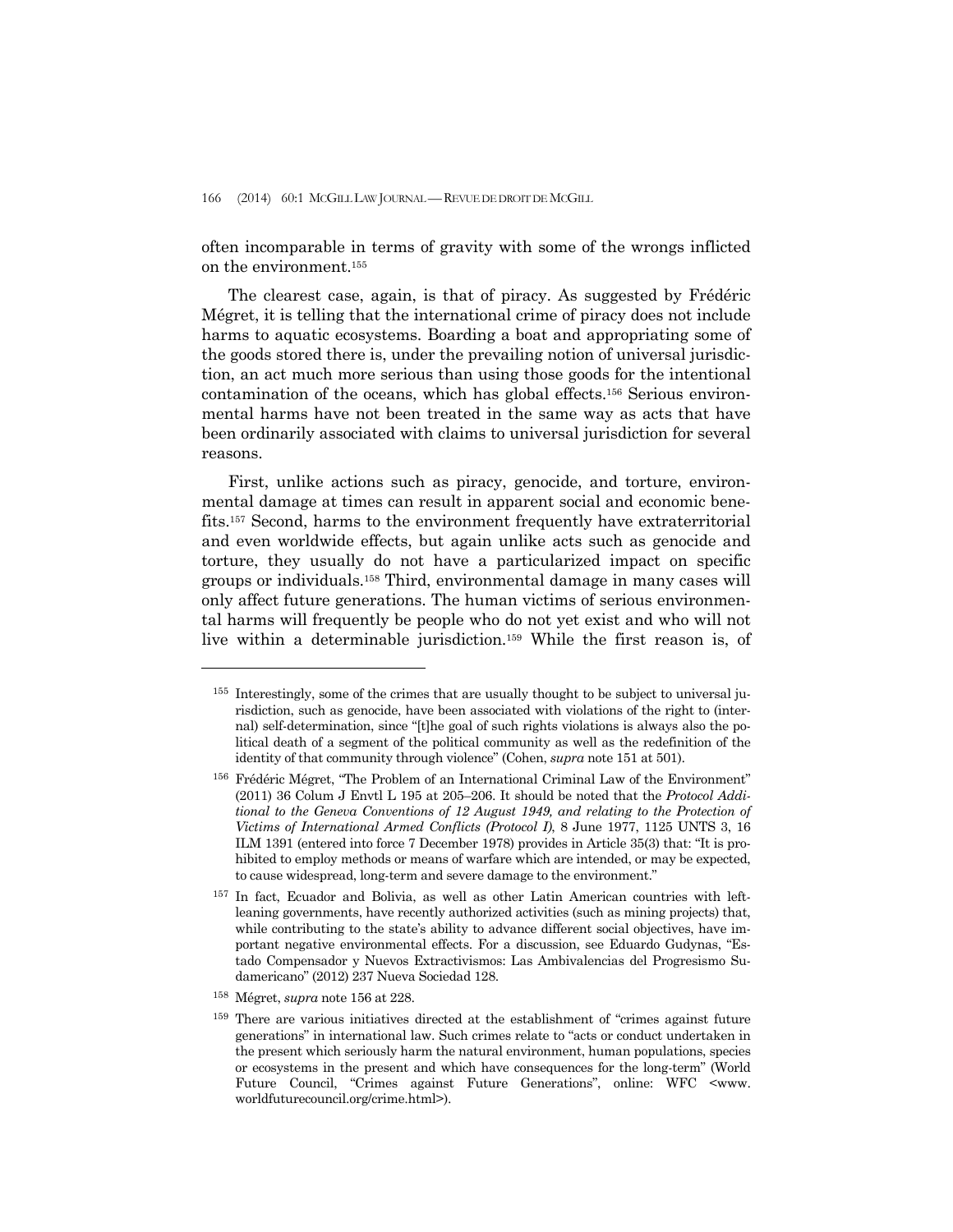often incomparable in terms of gravity with some of the wrongs inflicted on the environment.155

 The clearest case, again, is that of piracy. As suggested by Frédéric Mégret, it is telling that the international crime of piracy does not include harms to aquatic ecosystems. Boarding a boat and appropriating some of the goods stored there is, under the prevailing notion of universal jurisdiction, an act much more serious than using those goods for the intentional contamination of the oceans, which has global effects.156 Serious environmental harms have not been treated in the same way as acts that have been ordinarily associated with claims to universal jurisdiction for several reasons.

 First, unlike actions such as piracy, genocide, and torture, environmental damage at times can result in apparent social and economic benefits.157 Second, harms to the environment frequently have extraterritorial and even worldwide effects, but again unlike acts such as genocide and torture, they usually do not have a particularized impact on specific groups or individuals.158 Third, environmental damage in many cases will only affect future generations. The human victims of serious environmental harms will frequently be people who do not yet exist and who will not live within a determinable jurisdiction.159 While the first reason is, of

158 Mégret, *supra* note 156 at 228.

<sup>155</sup> Interestingly, some of the crimes that are usually thought to be subject to universal jurisdiction, such as genocide, have been associated with violations of the right to (internal) self-determination, since "[t]he goal of such rights violations is always also the political death of a segment of the political community as well as the redefinition of the identity of that community through violence" (Cohen, *supra* note 151 at 501).

<sup>&</sup>lt;sup>156</sup> Frédéric Mégret, "The Problem of an International Criminal Law of the Environment" (2011) 36 Colum J Envtl L 195 at 205–206. It should be noted that the *Protocol Additional to the Geneva Conventions of 12 August 1949, and relating to the Protection of Victims of International Armed Conflicts (Protocol I)*, 8 June 1977, 1125 UNTS 3, 16 ILM 1391 (entered into force 7 December 1978) provides in Article 35(3) that: "It is prohibited to employ methods or means of warfare which are intended, or may be expected, to cause widespread, long-term and severe damage to the environment."

<sup>157</sup> In fact, Ecuador and Bolivia, as well as other Latin American countries with leftleaning governments, have recently authorized activities (such as mining projects) that, while contributing to the state's ability to advance different social objectives, have important negative environmental effects. For a discussion, see Eduardo Gudynas, "Estado Compensador y Nuevos Extractivismos: Las Ambivalencias del Progresismo Sudamericano" (2012) 237 Nueva Sociedad 128.

<sup>159</sup> There are various initiatives directed at the establishment of "crimes against future generations" in international law. Such crimes relate to "acts or conduct undertaken in the present which seriously harm the natural environment, human populations, species or ecosystems in the present and which have consequences for the long-term" (World Future Council, "Crimes against Future Generations", online: WFC <www. worldfuturecouncil.org/crime.html>).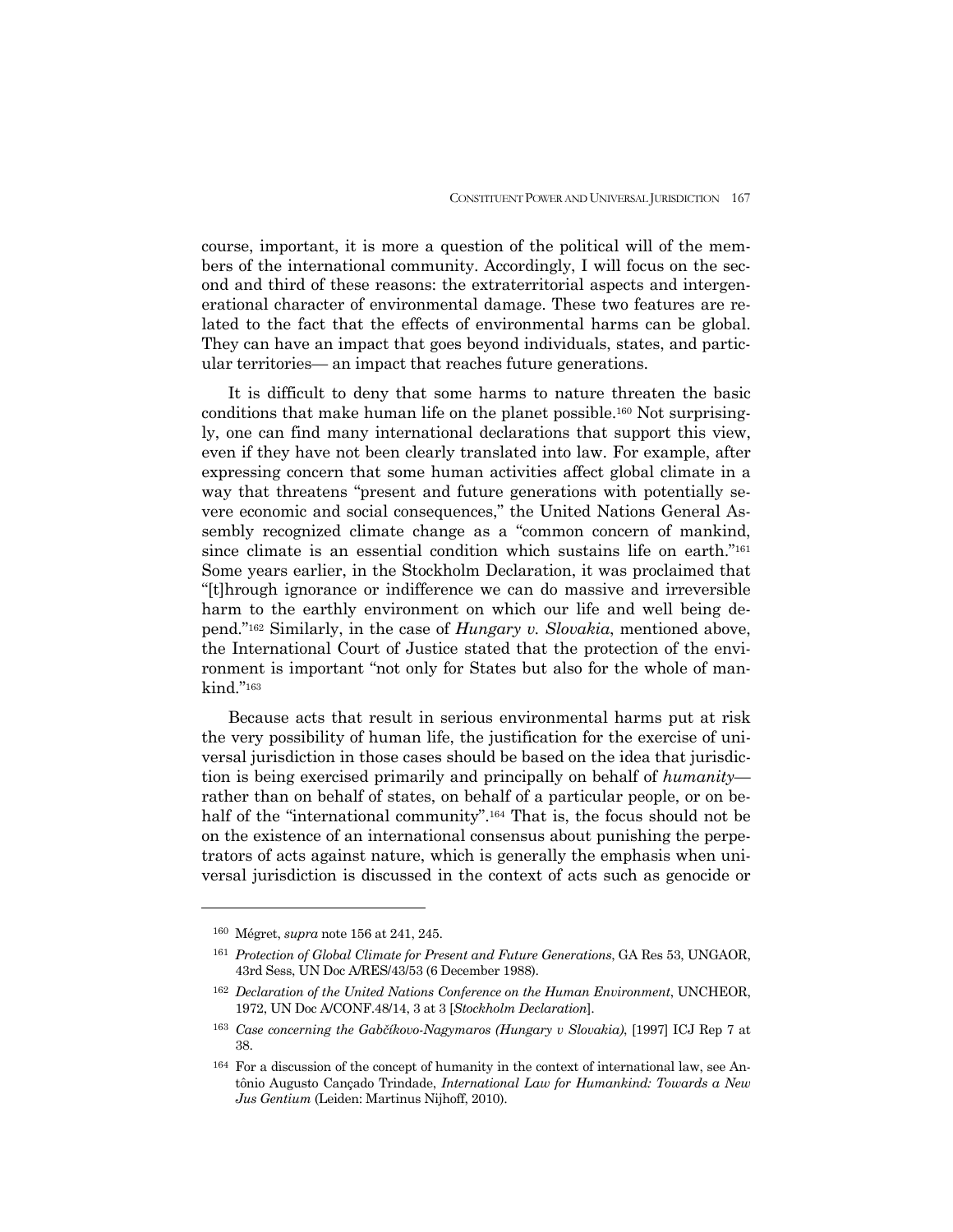course, important, it is more a question of the political will of the members of the international community. Accordingly, I will focus on the second and third of these reasons: the extraterritorial aspects and intergenerational character of environmental damage. These two features are related to the fact that the effects of environmental harms can be global. They can have an impact that goes beyond individuals, states, and particular territories— an impact that reaches future generations.

 It is difficult to deny that some harms to nature threaten the basic conditions that make human life on the planet possible.160 Not surprisingly, one can find many international declarations that support this view, even if they have not been clearly translated into law. For example, after expressing concern that some human activities affect global climate in a way that threatens "present and future generations with potentially severe economic and social consequences," the United Nations General Assembly recognized climate change as a "common concern of mankind, since climate is an essential condition which sustains life on earth."161 Some years earlier, in the Stockholm Declaration, it was proclaimed that "[t]hrough ignorance or indifference we can do massive and irreversible harm to the earthly environment on which our life and well being depend."162 Similarly, in the case of *Hungary v. Slovakia*, mentioned above, the International Court of Justice stated that the protection of the environment is important "not only for States but also for the whole of mankind."163

 Because acts that result in serious environmental harms put at risk the very possibility of human life, the justification for the exercise of universal jurisdiction in those cases should be based on the idea that jurisdiction is being exercised primarily and principally on behalf of *humanity* rather than on behalf of states, on behalf of a particular people, or on behalf of the "international community".<sup>164</sup> That is, the focus should not be on the existence of an international consensus about punishing the perpetrators of acts against nature, which is generally the emphasis when universal jurisdiction is discussed in the context of acts such as genocide or

<sup>160</sup> Mégret, *supra* note 156 at 241, 245.

<sup>161</sup> *Protection of Global Climate for Present and Future Generations*, GA Res 53, UNGAOR, 43rd Sess, UN Doc A/RES/43/53 (6 December 1988).

<sup>162</sup> *Declaration of the United Nations Conference on the Human Environment*, UNCHEOR, 1972, UN Doc A/CONF.48/14, 3 at 3 [*Stockholm Declaration*].

<sup>163</sup> *Case concerning the Gabčíkovo-Nagymaros (Hungary v Slovakia)*, [1997] ICJ Rep 7 at 38.

<sup>164</sup> For a discussion of the concept of humanity in the context of international law, see Antônio Augusto Cançado Trindade, *International Law for Humankind: Towards a New Jus Gentium* (Leiden: Martinus Nijhoff, 2010).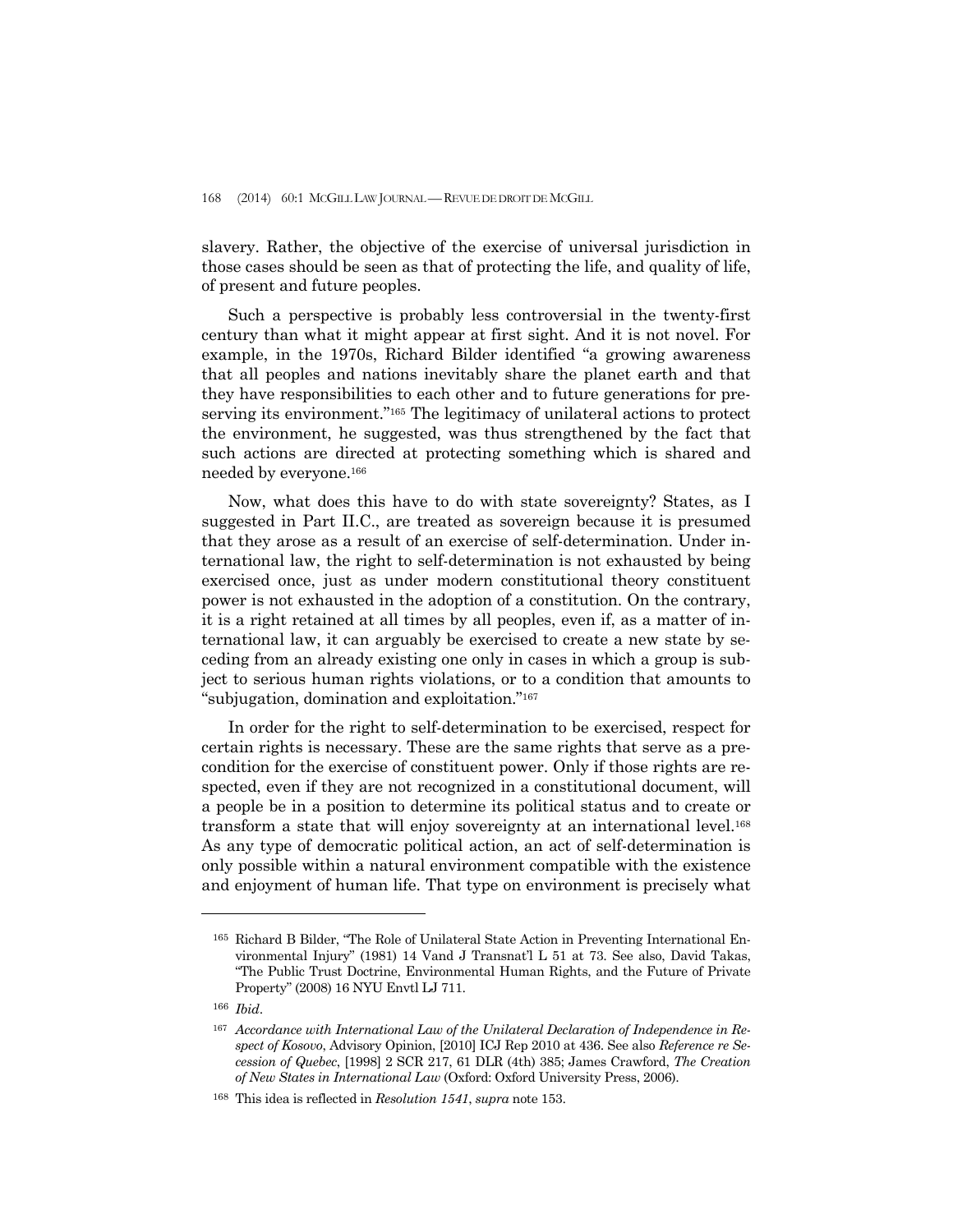slavery. Rather, the objective of the exercise of universal jurisdiction in those cases should be seen as that of protecting the life, and quality of life, of present and future peoples.

 Such a perspective is probably less controversial in the twenty-first century than what it might appear at first sight. And it is not novel. For example, in the 1970s, Richard Bilder identified "a growing awareness that all peoples and nations inevitably share the planet earth and that they have responsibilities to each other and to future generations for preserving its environment."165 The legitimacy of unilateral actions to protect the environment, he suggested, was thus strengthened by the fact that such actions are directed at protecting something which is shared and needed by everyone.166

 Now, what does this have to do with state sovereignty? States, as I suggested in Part II.C., are treated as sovereign because it is presumed that they arose as a result of an exercise of self-determination. Under international law, the right to self-determination is not exhausted by being exercised once, just as under modern constitutional theory constituent power is not exhausted in the adoption of a constitution. On the contrary, it is a right retained at all times by all peoples, even if, as a matter of international law, it can arguably be exercised to create a new state by seceding from an already existing one only in cases in which a group is subject to serious human rights violations, or to a condition that amounts to "subjugation, domination and exploitation."167

 In order for the right to self-determination to be exercised, respect for certain rights is necessary. These are the same rights that serve as a precondition for the exercise of constituent power. Only if those rights are respected, even if they are not recognized in a constitutional document, will a people be in a position to determine its political status and to create or transform a state that will enjoy sovereignty at an international level.168 As any type of democratic political action, an act of self-determination is only possible within a natural environment compatible with the existence and enjoyment of human life. That type on environment is precisely what

<sup>165</sup> Richard B Bilder, "The Role of Unilateral State Action in Preventing International Environmental Injury" (1981) 14 Vand J Transnat'l L 51 at 73. See also, David Takas, "The Public Trust Doctrine, Environmental Human Rights, and the Future of Private Property" (2008) 16 NYU Envtl LJ 711.

<sup>166</sup> *Ibid*.

<sup>167</sup> *Accordance with International Law of the Unilateral Declaration of Independence in Respect of Kosovo*, Advisory Opinion, [2010] ICJ Rep 2010 at 436. See also *Reference re Secession of Quebec*, [1998] 2 SCR 217, 61 DLR (4th) 385; James Crawford, *The Creation of New States in International Law* (Oxford: Oxford University Press, 2006).

<sup>168</sup> This idea is reflected in *Resolution 1541*, *supra* note 153.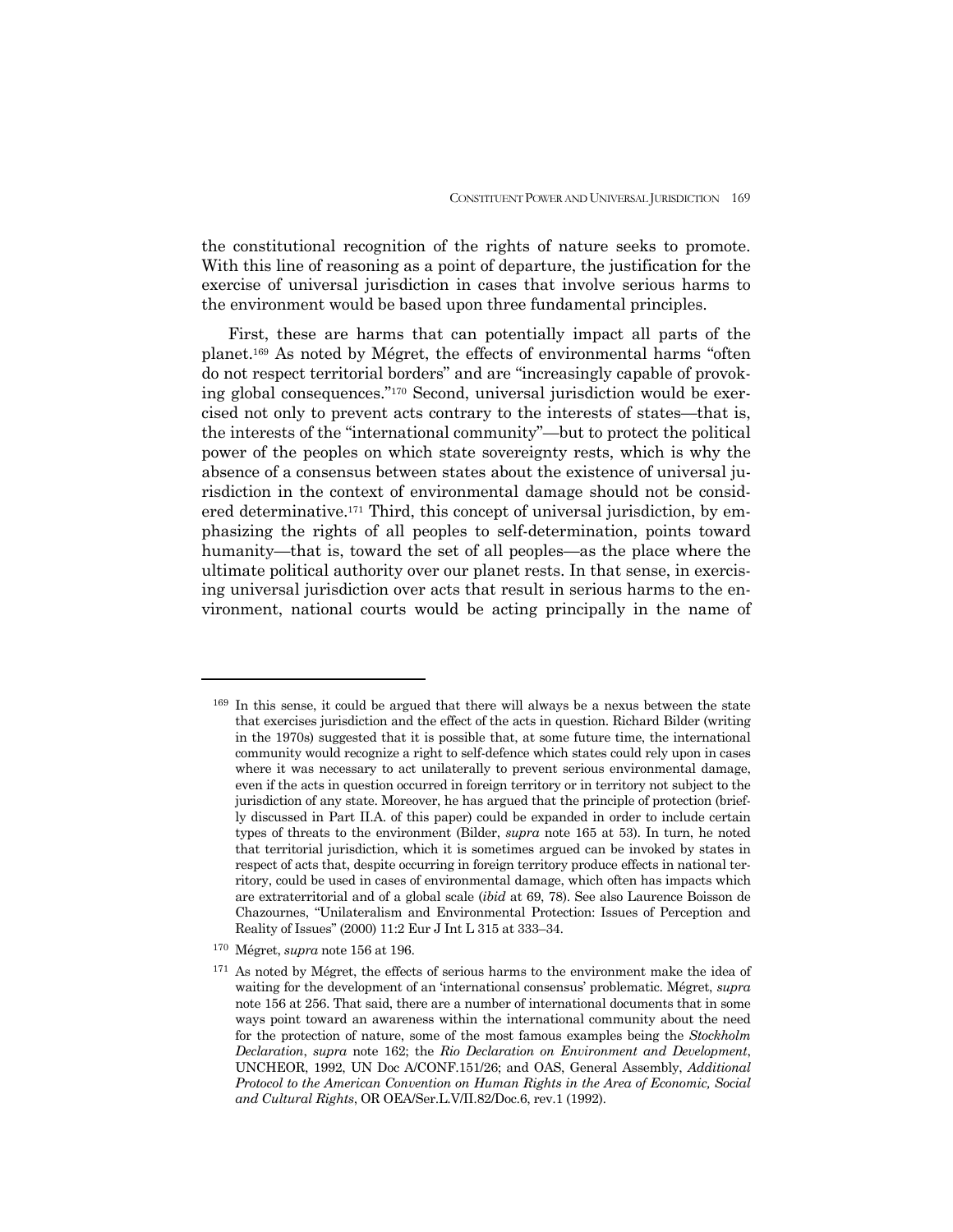the constitutional recognition of the rights of nature seeks to promote. With this line of reasoning as a point of departure, the justification for the exercise of universal jurisdiction in cases that involve serious harms to the environment would be based upon three fundamental principles.

First, these are harms that can potentially impact all parts of the planet.169 As noted by Mégret, the effects of environmental harms "often do not respect territorial borders" and are "increasingly capable of provoking global consequences."170 Second, universal jurisdiction would be exercised not only to prevent acts contrary to the interests of states—that is, the interests of the "international community"—but to protect the political power of the peoples on which state sovereignty rests, which is why the absence of a consensus between states about the existence of universal jurisdiction in the context of environmental damage should not be considered determinative.171 Third, this concept of universal jurisdiction, by emphasizing the rights of all peoples to self-determination, points toward humanity—that is, toward the set of all peoples—as the place where the ultimate political authority over our planet rests. In that sense, in exercising universal jurisdiction over acts that result in serious harms to the environment, national courts would be acting principally in the name of

<sup>&</sup>lt;sup>169</sup> In this sense, it could be argued that there will always be a nexus between the state that exercises jurisdiction and the effect of the acts in question. Richard Bilder (writing in the 1970s) suggested that it is possible that, at some future time, the international community would recognize a right to self-defence which states could rely upon in cases where it was necessary to act unilaterally to prevent serious environmental damage, even if the acts in question occurred in foreign territory or in territory not subject to the jurisdiction of any state. Moreover, he has argued that the principle of protection (briefly discussed in Part II.A. of this paper) could be expanded in order to include certain types of threats to the environment (Bilder, *supra* note 165 at 53). In turn, he noted that territorial jurisdiction, which it is sometimes argued can be invoked by states in respect of acts that, despite occurring in foreign territory produce effects in national territory, could be used in cases of environmental damage, which often has impacts which are extraterritorial and of a global scale (*ibid* at 69, 78). See also Laurence Boisson de Chazournes, "Unilateralism and Environmental Protection: Issues of Perception and Reality of Issues" (2000) 11:2 Eur J Int L 315 at 333–34.

<sup>170</sup> Mégret, *supra* note 156 at 196.

<sup>171</sup> As noted by Mégret, the effects of serious harms to the environment make the idea of waiting for the development of an 'international consensus' problematic. Mégret, *supra*  note 156 at 256. That said, there are a number of international documents that in some ways point toward an awareness within the international community about the need for the protection of nature, some of the most famous examples being the *Stockholm Declaration*, *supra* note 162; the *Rio Declaration on Environment and Development*, UNCHEOR, 1992, UN Doc A/CONF.151/26; and OAS, General Assembly, *Additional Protocol to the American Convention on Human Rights in the Area of Economic, Social and Cultural Rights*, OR OEA/Ser.L.V/II.82/Doc.6, rev.1 (1992).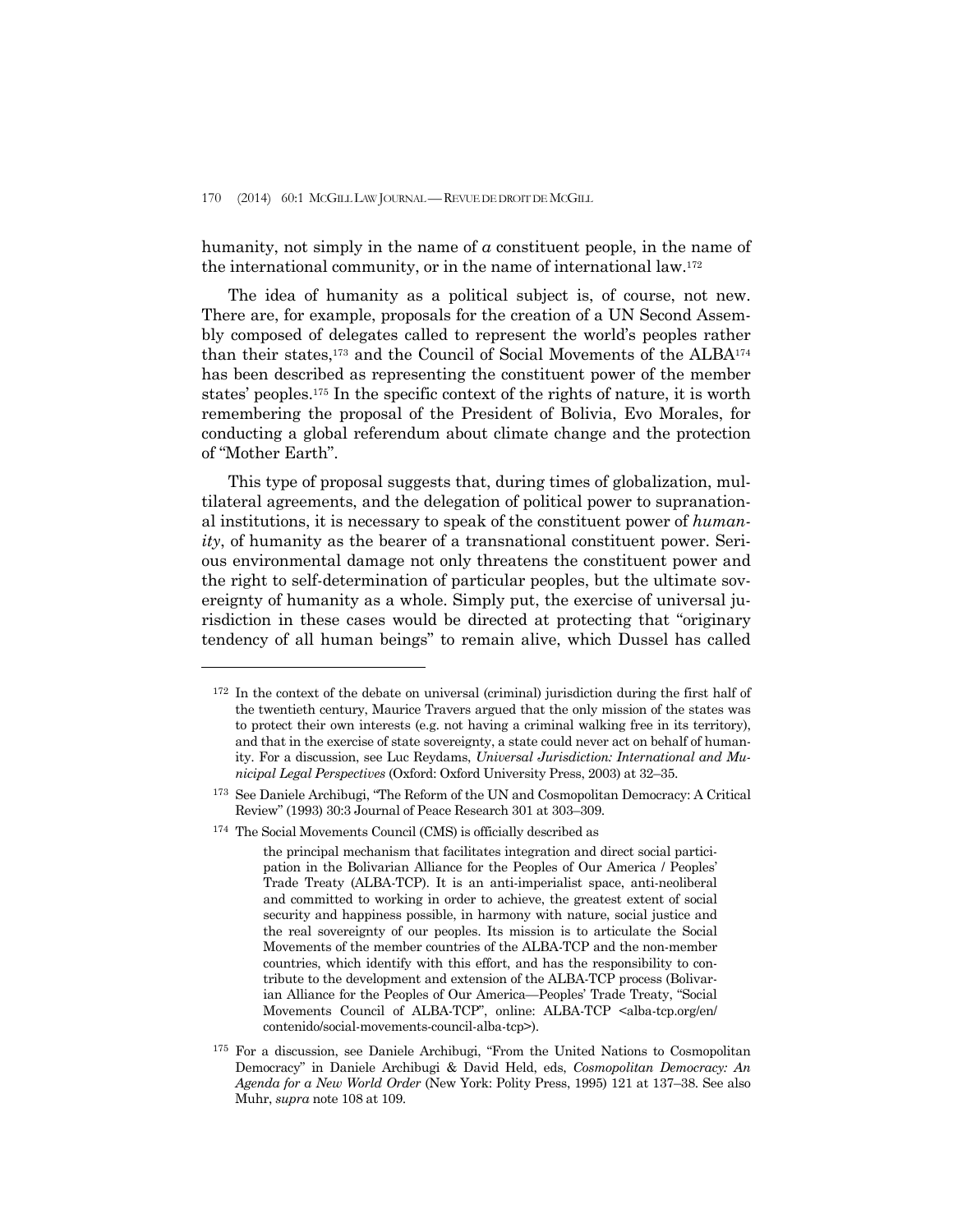humanity, not simply in the name of *a* constituent people, in the name of the international community, or in the name of international law.172

 The idea of humanity as a political subject is, of course, not new. There are, for example, proposals for the creation of a UN Second Assembly composed of delegates called to represent the world's peoples rather than their states,173 and the Council of Social Movements of the ALBA174 has been described as representing the constituent power of the member states' peoples.175 In the specific context of the rights of nature, it is worth remembering the proposal of the President of Bolivia, Evo Morales, for conducting a global referendum about climate change and the protection of "Mother Earth".

 This type of proposal suggests that, during times of globalization, multilateral agreements, and the delegation of political power to supranational institutions, it is necessary to speak of the constituent power of *humanity*, of humanity as the bearer of a transnational constituent power. Serious environmental damage not only threatens the constituent power and the right to self-determination of particular peoples, but the ultimate sovereignty of humanity as a whole. Simply put, the exercise of universal jurisdiction in these cases would be directed at protecting that "originary tendency of all human beings" to remain alive, which Dussel has called

174 The Social Movements Council (CMS) is officially described as

<sup>172</sup> In the context of the debate on universal (criminal) jurisdiction during the first half of the twentieth century, Maurice Travers argued that the only mission of the states was to protect their own interests (e.g. not having a criminal walking free in its territory), and that in the exercise of state sovereignty, a state could never act on behalf of humanity. For a discussion, see Luc Reydams, *Universal Jurisdiction: International and Municipal Legal Perspectives* (Oxford: Oxford University Press, 2003) at 32–35.

<sup>173</sup> See Daniele Archibugi, "The Reform of the UN and Cosmopolitan Democracy: A Critical Review" (1993) 30:3 Journal of Peace Research 301 at 303–309.

the principal mechanism that facilitates integration and direct social participation in the Bolivarian Alliance for the Peoples of Our America / Peoples' Trade Treaty (ALBA-TCP). It is an anti-imperialist space, anti-neoliberal and committed to working in order to achieve, the greatest extent of social security and happiness possible, in harmony with nature, social justice and the real sovereignty of our peoples. Its mission is to articulate the Social Movements of the member countries of the ALBA-TCP and the non-member countries, which identify with this effort, and has the responsibility to contribute to the development and extension of the ALBA-TCP process (Bolivarian Alliance for the Peoples of Our America—Peoples' Trade Treaty, "Social Movements Council of ALBA-TCP", online: ALBA-TCP <alba-tcp.org/en/ contenido/social-movements-council-alba-tcp>).

<sup>175</sup> For a discussion, see Daniele Archibugi, "From the United Nations to Cosmopolitan Democracy" in Daniele Archibugi & David Held, eds, *Cosmopolitan Democracy: An Agenda for a New World Order* (New York: Polity Press, 1995) 121 at 137–38. See also Muhr, *supra* note 108 at 109.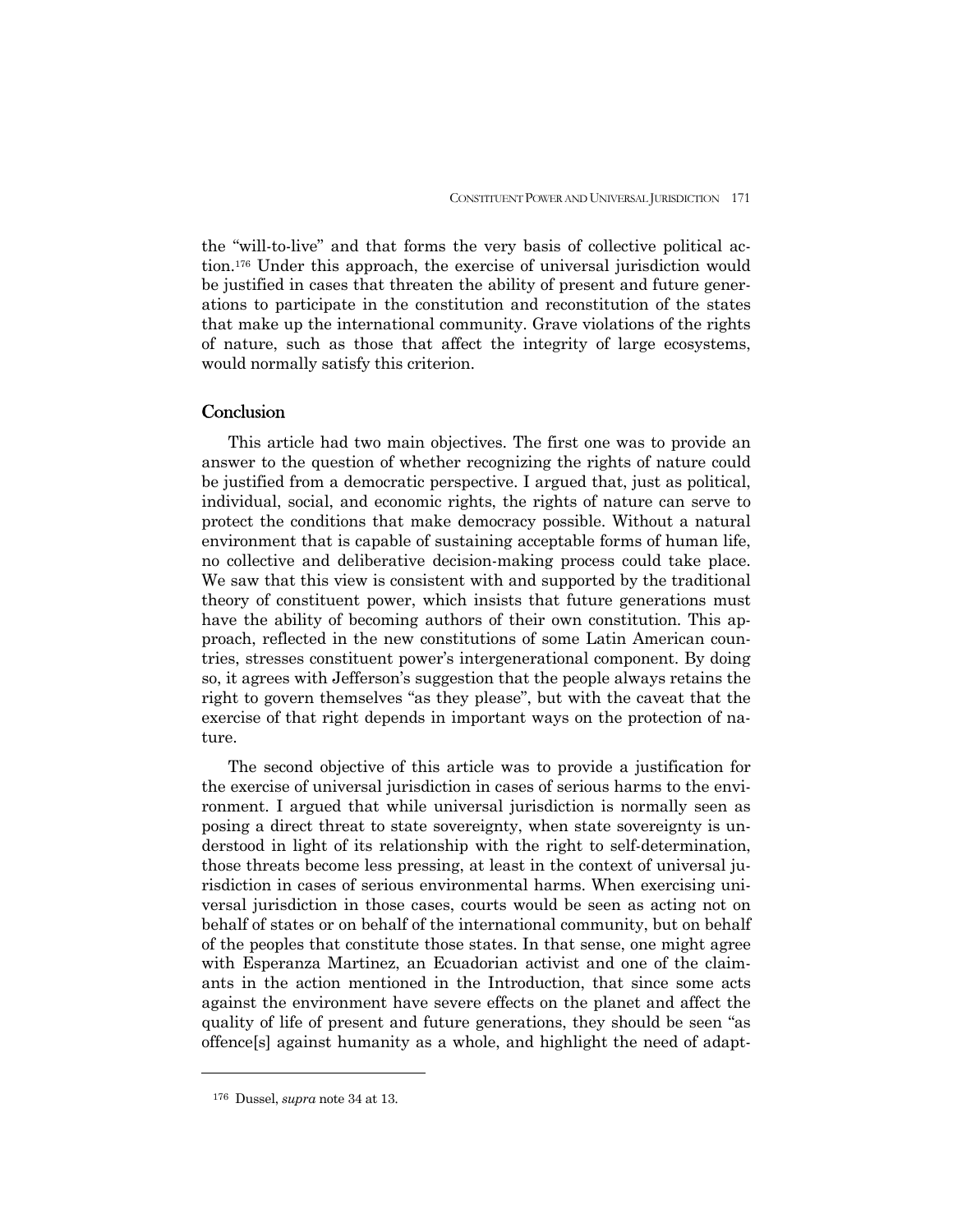the "will-to-live" and that forms the very basis of collective political action.176 Under this approach, the exercise of universal jurisdiction would be justified in cases that threaten the ability of present and future generations to participate in the constitution and reconstitution of the states that make up the international community. Grave violations of the rights of nature, such as those that affect the integrity of large ecosystems, would normally satisfy this criterion.

## **Conclusion**

 This article had two main objectives. The first one was to provide an answer to the question of whether recognizing the rights of nature could be justified from a democratic perspective. I argued that, just as political, individual, social, and economic rights, the rights of nature can serve to protect the conditions that make democracy possible. Without a natural environment that is capable of sustaining acceptable forms of human life, no collective and deliberative decision-making process could take place. We saw that this view is consistent with and supported by the traditional theory of constituent power, which insists that future generations must have the ability of becoming authors of their own constitution. This approach, reflected in the new constitutions of some Latin American countries, stresses constituent power's intergenerational component. By doing so, it agrees with Jefferson's suggestion that the people always retains the right to govern themselves "as they please", but with the caveat that the exercise of that right depends in important ways on the protection of nature.

 The second objective of this article was to provide a justification for the exercise of universal jurisdiction in cases of serious harms to the environment. I argued that while universal jurisdiction is normally seen as posing a direct threat to state sovereignty, when state sovereignty is understood in light of its relationship with the right to self-determination, those threats become less pressing, at least in the context of universal jurisdiction in cases of serious environmental harms. When exercising universal jurisdiction in those cases, courts would be seen as acting not on behalf of states or on behalf of the international community, but on behalf of the peoples that constitute those states. In that sense, one might agree with Esperanza Martinez, an Ecuadorian activist and one of the claimants in the action mentioned in the Introduction, that since some acts against the environment have severe effects on the planet and affect the quality of life of present and future generations, they should be seen "as offence[s] against humanity as a whole, and highlight the need of adapt-

<sup>176</sup> Dussel, *supra* note 34 at 13.